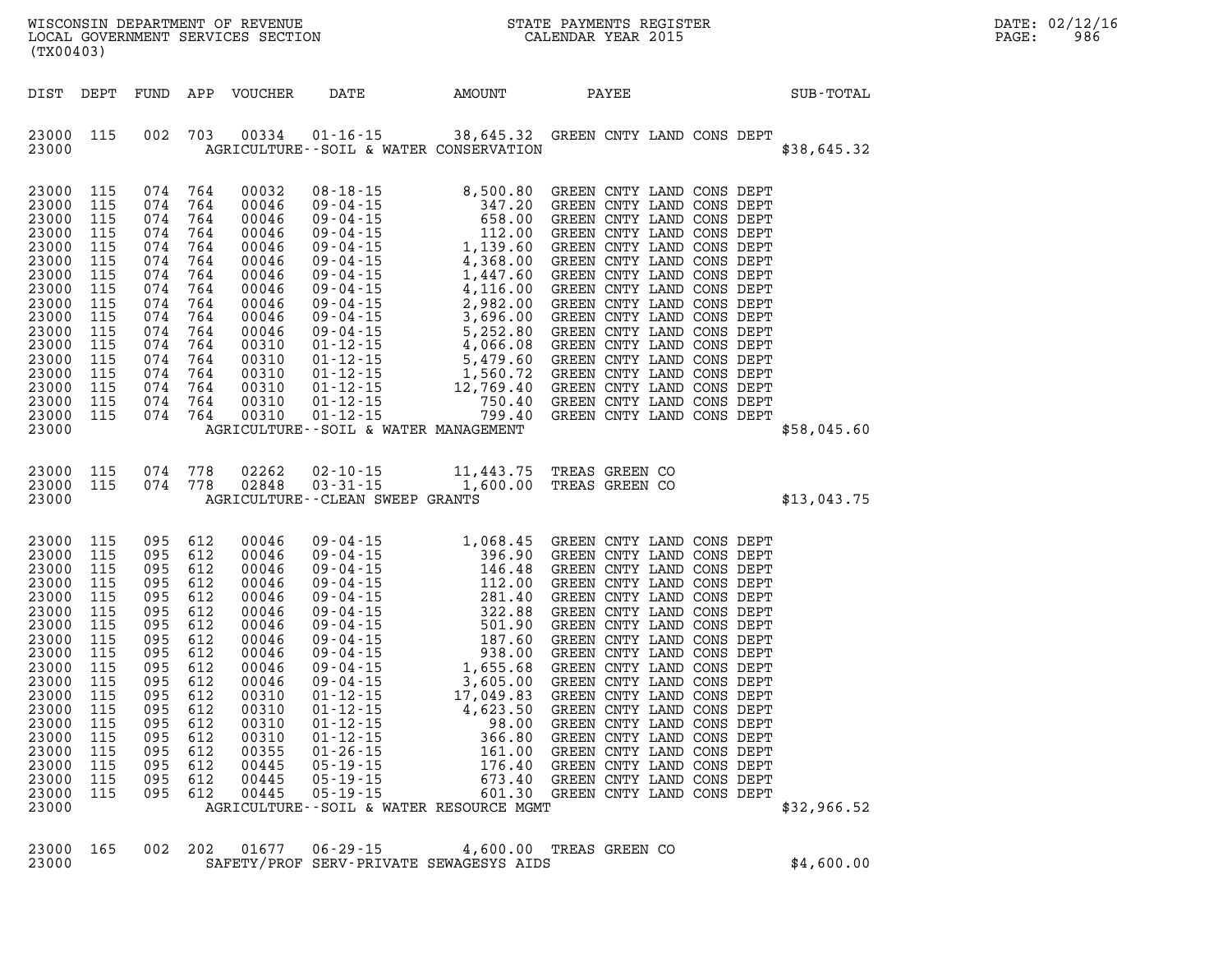| (TX00403)                                                                                                                                                                        |                                                                                                                                   |                                                                                                                                                                                 |                                                                    |                                                                                                                                                                         |                                                                                                                                                                       |                                                 |                                                                                                                                                                                                                       | $R = \frac{1}{2}$ | DATE: 02/12/16<br>PAGE:<br>986 |  |
|----------------------------------------------------------------------------------------------------------------------------------------------------------------------------------|-----------------------------------------------------------------------------------------------------------------------------------|---------------------------------------------------------------------------------------------------------------------------------------------------------------------------------|--------------------------------------------------------------------|-------------------------------------------------------------------------------------------------------------------------------------------------------------------------|-----------------------------------------------------------------------------------------------------------------------------------------------------------------------|-------------------------------------------------|-----------------------------------------------------------------------------------------------------------------------------------------------------------------------------------------------------------------------|-------------------|--------------------------------|--|
|                                                                                                                                                                                  |                                                                                                                                   |                                                                                                                                                                                 |                                                                    | DIST DEPT FUND APP VOUCHER                                                                                                                                              | DATE                                                                                                                                                                  | AMOUNT                                          | PAYEE                                                                                                                                                                                                                 |                   | SUB-TOTAL                      |  |
| 23000 115<br>23000                                                                                                                                                               |                                                                                                                                   |                                                                                                                                                                                 |                                                                    |                                                                                                                                                                         | 002 703 00334 01-16-15 38,645.32 GREEN CNTY LAND CONS DEPT<br>AGRICULTURE--SOIL & WATER CONSERVATION                                                                  |                                                 |                                                                                                                                                                                                                       |                   | \$38,645.32                    |  |
| 23000 115<br>23000<br>23000<br>23000<br>23000<br>23000<br>23000<br>23000<br>23000<br>23000<br>23000<br>23000<br>23000<br>23000<br>23000<br>23000<br>23000 115<br>23000           | 115<br>115<br>115<br>115<br>115<br>115<br>115<br>115<br>115<br>115<br>115<br>115<br>115<br>115<br>115                             | 074 764<br>074 764<br>074 764<br>074 764<br>074 764<br>074<br>074 764<br>074<br>074 764<br>074 764<br>074 764<br>074 764<br>074 764<br>074 764<br>074 764<br>074 764<br>074 764 | 764<br>764                                                         | 00032<br>00046<br>00046<br>00046<br>00046<br>00046<br>00046<br>00046<br>00046<br>00046<br>00046<br>00310<br>00310<br>00310<br>00310<br>00310<br>00310                   | AGRICULTURE--SOIL & WATER MANAGEMENT                                                                                                                                  |                                                 |                                                                                                                                                                                                                       |                   | \$58,045.60                    |  |
| 23000                                                                                                                                                                            | 23000 115 074 778<br>23000 115 074 778                                                                                            |                                                                                                                                                                                 |                                                                    |                                                                                                                                                                         | 02262  02-10-15   11,443.75   TREAS   GREEN   CO   02848   03-31-15   1,600.00   TREAS   GREEN   CO<br>AGRICULTURE--CLEAN SWEEP GRANTS                                |                                                 |                                                                                                                                                                                                                       |                   | \$13,043.75                    |  |
| 23000<br>23000<br>23000<br>23000<br>23000<br>23000<br>23000<br>23000<br>23000<br>23000<br>23000<br>23000<br>23000<br>23000<br>23000<br>23000<br>23000<br>23000<br>23000<br>23000 | 115<br>115<br>115<br>115<br>115<br>115<br>115<br>115<br>115<br>115<br>115<br>115<br>115<br>115<br>115<br>115<br>115<br>115<br>115 | 095 612<br>095 612<br>095<br>095 612<br>095<br>095 612<br>095<br>095 612<br>095<br>095 612<br>095<br>095 612<br>095 612<br>095<br>095<br>095<br>095<br>095<br>095 612           | 612<br>612<br>612<br>612<br>612<br>612<br>612<br>612<br>612<br>612 | 00046<br>00046<br>00046<br>00046<br>00046<br>00046<br>00046<br>00046<br>00046<br>00046<br>00046<br>00310<br>00310<br>00310<br>00310<br>00355<br>00445<br>00445<br>00445 | $01 - 12 - 15$<br>$01 - 12 - 15$<br>$01 - 12 - 15$<br>$01 - 26 - 15$<br>$05 - 19 - 15$<br>$05 - 19 - 15$<br>$05 - 19 - 15$<br>AGRICULTURE--SOIL & WATER RESOURCE MGMT | 4,623.50<br>98.00<br>366.80<br>161.00<br>176.40 | GREEN CNTY LAND CONS DEPT<br>GREEN CNTY LAND CONS DEPT<br>GREEN CNTY LAND CONS DEPT<br>GREEN CNTY LAND CONS DEPT<br>GREEN CNTY LAND CONS DEPT<br>673.40 GREEN CNTY LAND CONS DEPT<br>601.30 GREEN CNTY LAND CONS DEPT |                   | \$32,966.52                    |  |
| 23000 165                                                                                                                                                                        |                                                                                                                                   | 002 202                                                                                                                                                                         |                                                                    | 01677                                                                                                                                                                   | $06 - 29 - 15$                                                                                                                                                        | 4,600.00                                        | TREAS GREEN CO                                                                                                                                                                                                        |                   |                                |  |

**23000 SAFETY/PROF SERV-PRIVATE SEWAGESYS AIDS \$4,600.00**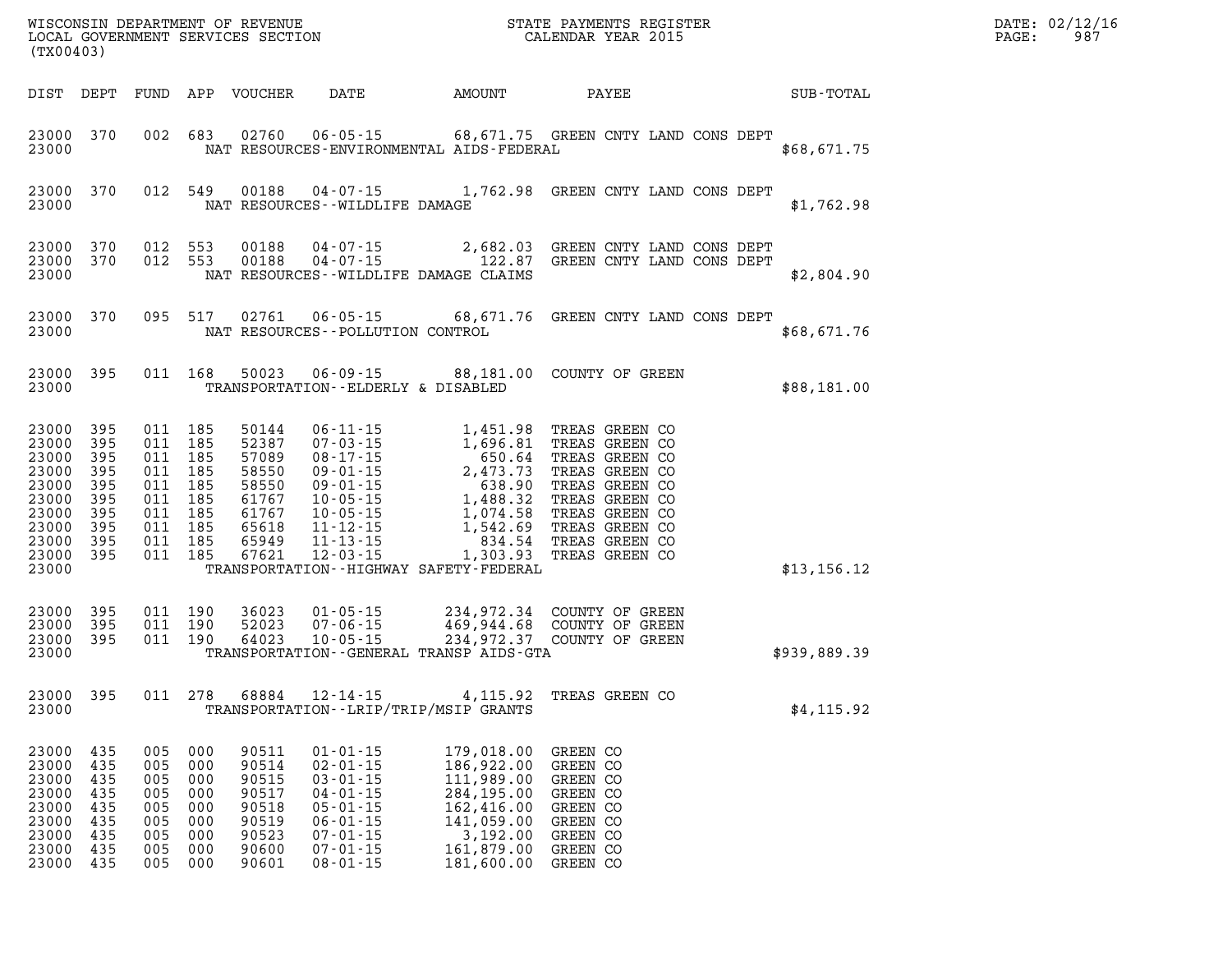| (TX00403)                                                                                                   |                                               |                                                                                                 |                                                      |                                                                                        |                                                                                                                                                                |                                                                                                                                                                                                                                                                                                                           |                                                                                                                                                                                                               | $\mathbb{R}^n$ | DATE: 02/12/16<br>$\mathtt{PAGE}$ : | 987 |  |
|-------------------------------------------------------------------------------------------------------------|-----------------------------------------------|-------------------------------------------------------------------------------------------------|------------------------------------------------------|----------------------------------------------------------------------------------------|----------------------------------------------------------------------------------------------------------------------------------------------------------------|---------------------------------------------------------------------------------------------------------------------------------------------------------------------------------------------------------------------------------------------------------------------------------------------------------------------------|---------------------------------------------------------------------------------------------------------------------------------------------------------------------------------------------------------------|----------------|-------------------------------------|-----|--|
| DIST DEPT                                                                                                   |                                               |                                                                                                 |                                                      | FUND APP VOUCHER                                                                       |                                                                                                                                                                | DATE AMOUNT                                                                                                                                                                                                                                                                                                               | PAYEE                                                                                                                                                                                                         |                | SUB-TOTAL                           |     |  |
| 23000 370<br>23000                                                                                          |                                               |                                                                                                 |                                                      |                                                                                        |                                                                                                                                                                | NAT RESOURCES-ENVIRONMENTAL AIDS-FEDERAL                                                                                                                                                                                                                                                                                  | 002 683 02760 06-05-15 68,671.75 GREEN CNTY LAND CONS DEPT                                                                                                                                                    |                | \$68,671.75                         |     |  |
| 23000<br>23000                                                                                              | 370                                           |                                                                                                 | 012 549                                              |                                                                                        | NAT RESOURCES -- WILDLIFE DAMAGE                                                                                                                               |                                                                                                                                                                                                                                                                                                                           | 00188  04-07-15  1,762.98  GREEN CNTY LAND CONS DEPT                                                                                                                                                          |                | \$1,762.98                          |     |  |
| 23000 370<br>23000 370<br>23000                                                                             |                                               | 012 553                                                                                         | 012 553                                              |                                                                                        |                                                                                                                                                                | NAT RESOURCES--WILDLIFE DAMAGE CLAIMS                                                                                                                                                                                                                                                                                     | $\begin{array}{cccc} 0.0188 & 0.4\cdot 0.7\cdot 1.5 & 2,682.03 & \text{GREEN CNY} & \text{LAND CONS DEPT} \\ 0.0188 & 0.4\cdot 0.7\cdot 1.5 & 122.87 & \text{GREEN CNYY} & \text{LAND CONS DEPT} \end{array}$ |                | \$2,804.90                          |     |  |
| 23000 370<br>23000                                                                                          |                                               |                                                                                                 |                                                      |                                                                                        | NAT RESOURCES -- POLLUTION CONTROL                                                                                                                             |                                                                                                                                                                                                                                                                                                                           | 095 517 02761 06-05-15 68,671.76 GREEN CNTY LAND CONS DEPT                                                                                                                                                    |                | \$68,671.76                         |     |  |
| 23000 395<br>23000                                                                                          |                                               |                                                                                                 | 011 168                                              |                                                                                        | TRANSPORTATION--ELDERLY & DISABLED                                                                                                                             |                                                                                                                                                                                                                                                                                                                           | 50023  06-09-15  88,181.00  COUNTY OF GREEN                                                                                                                                                                   |                | \$88,181.00                         |     |  |
| 23000<br>23000<br>23000<br>23000<br>23000<br>23000<br>23000<br>23000 395<br>23000 395<br>23000 395<br>23000 | 395<br>395<br>395<br>395<br>395<br>395<br>395 | 011 185<br>011 185<br>011 185<br>011 185<br>011 185<br>011 185<br>011 185<br>011 185<br>011 185 | 011 185                                              | 50144<br>52387<br>57089<br>58550<br>58550<br>61767<br>61767<br>65618<br>65949<br>67621 |                                                                                                                                                                | 06-11-15<br>07-03-15<br>08-17-15<br>08-17-15<br>08-01-15<br>09-01-15<br>2,473.73<br>09-01-15<br>2,473.73<br>09-01-15<br>2,473.73<br>09-01-15<br>638.90<br>10-05-15<br>1,488.32<br>10-05-15<br>1,542.69<br>11-12-15<br>1,542.69<br>11-13-15<br>1,542.69<br>11-13-15<br>1,54<br>TRANSPORTATION - - HIGHWAY SAFETY - FEDERAL | TREAS GREEN CO<br>TREAS GREEN CO<br>TREAS GREEN CO<br>TREAS GREEN CO<br>TREAS GREEN CO<br>TREAS GREEN CO<br>TREAS GREEN CO<br>TREAS GREEN CO<br>TREAS GREEN CO<br>TREAS GREEN CO                              |                | \$13, 156.12                        |     |  |
| 23000 395<br>23000<br>23000 395<br>23000                                                                    | 395                                           | 011 190<br>011 190<br>011 190                                                                   |                                                      | 36023<br>52023<br>64023                                                                | $10 - 05 - 15$                                                                                                                                                 | TRANSPORTATION--GENERAL TRANSP AIDS-GTA                                                                                                                                                                                                                                                                                   | 01-05-15 234,972.34 COUNTY OF GREEN<br>07-06-15 469,944.68 COUNTY OF GREEN<br>10-05-15 234,972.37 COUNTY OF GREEN<br>234,972.37 COUNTY OF GREEN                                                               |                | \$939,889.39                        |     |  |
| 23000 395<br>23000                                                                                          |                                               | 011 278                                                                                         |                                                      | 68884                                                                                  |                                                                                                                                                                | TRANSPORTATION--LRIP/TRIP/MSIP GRANTS                                                                                                                                                                                                                                                                                     | 12-14-15 4, 115.92 TREAS GREEN CO                                                                                                                                                                             |                | \$4,115.92                          |     |  |
| 23000 435<br>23000<br>23000<br>23000<br>23000<br>23000<br>23000<br>23000<br>23000 435                       | 435<br>435<br>435<br>435<br>435<br>435<br>435 | 005<br>005<br>005<br>005<br>005<br>005<br>005<br>005<br>005 000                                 | 000<br>000<br>000<br>000<br>000<br>000<br>000<br>000 | 90511<br>90514<br>90515<br>90517<br>90518<br>90519<br>90523<br>90600<br>90601          | $01 - 01 - 15$<br>$02 - 01 - 15$<br>$03 - 01 - 15$<br>$04 - 01 - 15$<br>$05 - 01 - 15$<br>$06 - 01 - 15$<br>$07 - 01 - 15$<br>$07 - 01 - 15$<br>$08 - 01 - 15$ | 179,018.00 GREEN CO<br>186,922.00<br>111,989.00<br>284,195.00<br>162,416.00<br>141,059.00<br>3,192.00<br>161,879.00<br>181,600.00                                                                                                                                                                                         | GREEN CO<br>GREEN CO<br>GREEN CO<br>GREEN CO<br>GREEN CO<br>GREEN CO<br>GREEN CO<br>GREEN CO                                                                                                                  |                |                                     |     |  |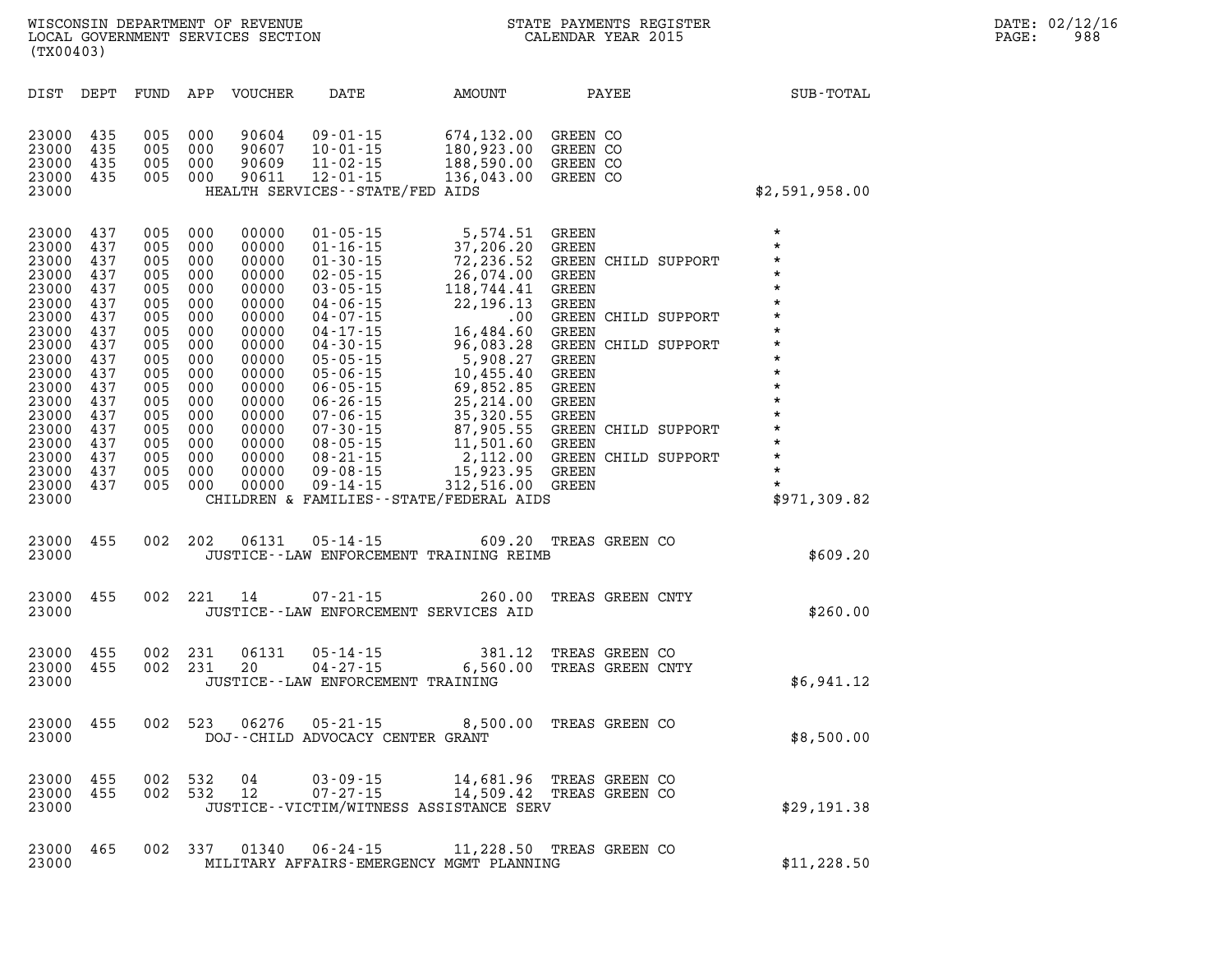| DIST                                                                                                                                                                    | DEPT                                                                                                                              | FUND                                                                                                                              | APP                                                                                                                               | <b>VOUCHER</b>                                                                                                                                                          | DATE                                                                                                                                                                                                                                                                                                                                               | AMOUNT                                                                                                                                                                                                                                        |                                                                                                                                                                                                      | PAYEE |                                                                                                            | SUB-TOTAL                                                                                                                                                                                                     |
|-------------------------------------------------------------------------------------------------------------------------------------------------------------------------|-----------------------------------------------------------------------------------------------------------------------------------|-----------------------------------------------------------------------------------------------------------------------------------|-----------------------------------------------------------------------------------------------------------------------------------|-------------------------------------------------------------------------------------------------------------------------------------------------------------------------|----------------------------------------------------------------------------------------------------------------------------------------------------------------------------------------------------------------------------------------------------------------------------------------------------------------------------------------------------|-----------------------------------------------------------------------------------------------------------------------------------------------------------------------------------------------------------------------------------------------|------------------------------------------------------------------------------------------------------------------------------------------------------------------------------------------------------|-------|------------------------------------------------------------------------------------------------------------|---------------------------------------------------------------------------------------------------------------------------------------------------------------------------------------------------------------|
| 23000<br>23000<br>23000<br>23000<br>23000                                                                                                                               | 435<br>435<br>435<br>435                                                                                                          | 005<br>005<br>005<br>005                                                                                                          | 000<br>000<br>000<br>000                                                                                                          | 90604<br>90607<br>90609<br>90611                                                                                                                                        | $09 - 01 - 15$<br>$10 - 01 - 15$<br>$11 - 02 - 15$<br>$12 - 01 - 15$<br>HEALTH SERVICES--STATE/FED AIDS                                                                                                                                                                                                                                            | 674,132.00<br>180,923.00<br>188,590.00<br>136,043.00                                                                                                                                                                                          | GREEN CO<br>GREEN CO<br>GREEN CO<br>GREEN CO                                                                                                                                                         |       |                                                                                                            | \$2,591,958.00                                                                                                                                                                                                |
| 23000<br>23000<br>23000<br>23000<br>23000<br>23000<br>23000<br>23000<br>23000<br>23000<br>23000<br>23000<br>23000<br>23000<br>23000<br>23000<br>23000<br>23000<br>23000 | 437<br>437<br>437<br>437<br>437<br>437<br>437<br>437<br>437<br>437<br>437<br>437<br>437<br>437<br>437<br>437<br>437<br>437<br>437 | 005<br>005<br>005<br>005<br>005<br>005<br>005<br>005<br>005<br>005<br>005<br>005<br>005<br>005<br>005<br>005<br>005<br>005<br>005 | 000<br>000<br>000<br>000<br>000<br>000<br>000<br>000<br>000<br>000<br>000<br>000<br>000<br>000<br>000<br>000<br>000<br>000<br>000 | 00000<br>00000<br>00000<br>00000<br>00000<br>00000<br>00000<br>00000<br>00000<br>00000<br>00000<br>00000<br>00000<br>00000<br>00000<br>00000<br>00000<br>00000<br>00000 | $01 - 05 - 15$<br>$01 - 16 - 15$<br>$01 - 30 - 15$<br>$02 - 05 - 15$<br>$03 - 05 - 15$<br>$04 - 06 - 15$<br>$04 - 07 - 15$<br>$04 - 17 - 15$<br>$04 - 30 - 15$<br>$05 - 05 - 15$<br>$05 - 06 - 15$<br>$06 - 05 - 15$<br>$06 - 26 - 15$<br>$07 - 06 - 15$<br>$07 - 30 - 15$<br>$08 - 05 - 15$<br>$08 - 21 - 15$<br>$09 - 08 - 15$<br>$09 - 14 - 15$ | 5,574.51<br>37,206.20<br>72,236.52<br>26,074.00<br>118,744.41<br>22,196.13<br>.00<br>16,484.60<br>96,083.28<br>5,908.27<br>10,455.40<br>69,852.85<br>25, 214.00<br>35,320.55<br>87,905.55<br>11,501.60<br>2,112.00<br>15,923.95<br>312,516.00 | GREEN<br><b>GREEN</b><br>GREEN<br><b>GREEN</b><br><b>GREEN</b><br>GREEN<br>GREEN<br><b>GREEN</b><br>GREEN<br><b>GREEN</b><br><b>GREEN</b><br>GREEN<br>GREEN<br><b>GREEN</b><br>GREEN<br><b>GREEN</b> |       | <b>GREEN CHILD SUPPORT</b><br>CHILD SUPPORT<br>GREEN CHILD SUPPORT<br>CHILD SUPPORT<br>GREEN CHILD SUPPORT | $\star$<br>$\star$<br>$\star$<br>$\star$<br>$\star$<br>$\star$<br>$\star$<br>$\star$<br>$\star$<br>$\star$<br>$\star$<br>$\star$<br>$\star$<br>$\star$<br>$\star$<br>$\star$<br>$\star$<br>$\star$<br>$\star$ |
| 23000                                                                                                                                                                   |                                                                                                                                   |                                                                                                                                   |                                                                                                                                   |                                                                                                                                                                         |                                                                                                                                                                                                                                                                                                                                                    | CHILDREN & FAMILIES--STATE/FEDERAL AIDS                                                                                                                                                                                                       |                                                                                                                                                                                                      |       |                                                                                                            | \$971,309.82                                                                                                                                                                                                  |
| 23000<br>23000                                                                                                                                                          | 455                                                                                                                               | 002                                                                                                                               | 202                                                                                                                               | 06131                                                                                                                                                                   | $05 - 14 - 15$                                                                                                                                                                                                                                                                                                                                     | 609.20<br>JUSTICE -- LAW ENFORCEMENT TRAINING REIMB                                                                                                                                                                                           | TREAS GREEN CO                                                                                                                                                                                       |       |                                                                                                            | \$609.20                                                                                                                                                                                                      |
| 23000<br>23000                                                                                                                                                          | 455                                                                                                                               | 002                                                                                                                               | 221                                                                                                                               | 14                                                                                                                                                                      | $07 - 21 - 15$<br>JUSTICE--LAW ENFORCEMENT SERVICES AID                                                                                                                                                                                                                                                                                            | 260.00                                                                                                                                                                                                                                        | TREAS GREEN CNTY                                                                                                                                                                                     |       |                                                                                                            | \$260.00                                                                                                                                                                                                      |
| 23000<br>23000<br>23000                                                                                                                                                 | 455<br>455                                                                                                                        | 002<br>002                                                                                                                        | 231<br>231                                                                                                                        | 06131<br>20                                                                                                                                                             | $05 - 14 - 15$<br>$04 - 27 - 15$<br>JUSTICE--LAW ENFORCEMENT TRAINING                                                                                                                                                                                                                                                                              | 381.12<br>6,560.00                                                                                                                                                                                                                            | TREAS GREEN CO<br>TREAS GREEN CNTY                                                                                                                                                                   |       |                                                                                                            | \$6,941.12                                                                                                                                                                                                    |
| 23000<br>23000                                                                                                                                                          | 455                                                                                                                               | 002                                                                                                                               | 523                                                                                                                               | 06276                                                                                                                                                                   | $05 - 21 - 15$<br>DOJ--CHILD ADVOCACY CENTER GRANT                                                                                                                                                                                                                                                                                                 | 8,500.00                                                                                                                                                                                                                                      | TREAS GREEN CO                                                                                                                                                                                       |       |                                                                                                            | \$8,500.00                                                                                                                                                                                                    |
| 23000<br>23000<br>23000                                                                                                                                                 | 455<br>455                                                                                                                        | 002<br>002                                                                                                                        | 532<br>532                                                                                                                        | 04<br>12                                                                                                                                                                | $03 - 09 - 15$<br>$07 - 27 - 15$                                                                                                                                                                                                                                                                                                                   | 14,681.96<br>14,509.42<br>JUSTICE--VICTIM/WITNESS ASSISTANCE SERV                                                                                                                                                                             | TREAS GREEN CO<br>TREAS GREEN CO                                                                                                                                                                     |       |                                                                                                            | \$29,191.38                                                                                                                                                                                                   |
| 23000                                                                                                                                                                   | 465                                                                                                                               | 002                                                                                                                               | 337                                                                                                                               | 01340                                                                                                                                                                   | $06 - 24 - 15$                                                                                                                                                                                                                                                                                                                                     | 11,228.50                                                                                                                                                                                                                                     | TREAS GREEN CO                                                                                                                                                                                       |       |                                                                                                            |                                                                                                                                                                                                               |

**23000 MILITARY AFFAIRS-EMERGENCY MGMT PLANNING \$11,228.50**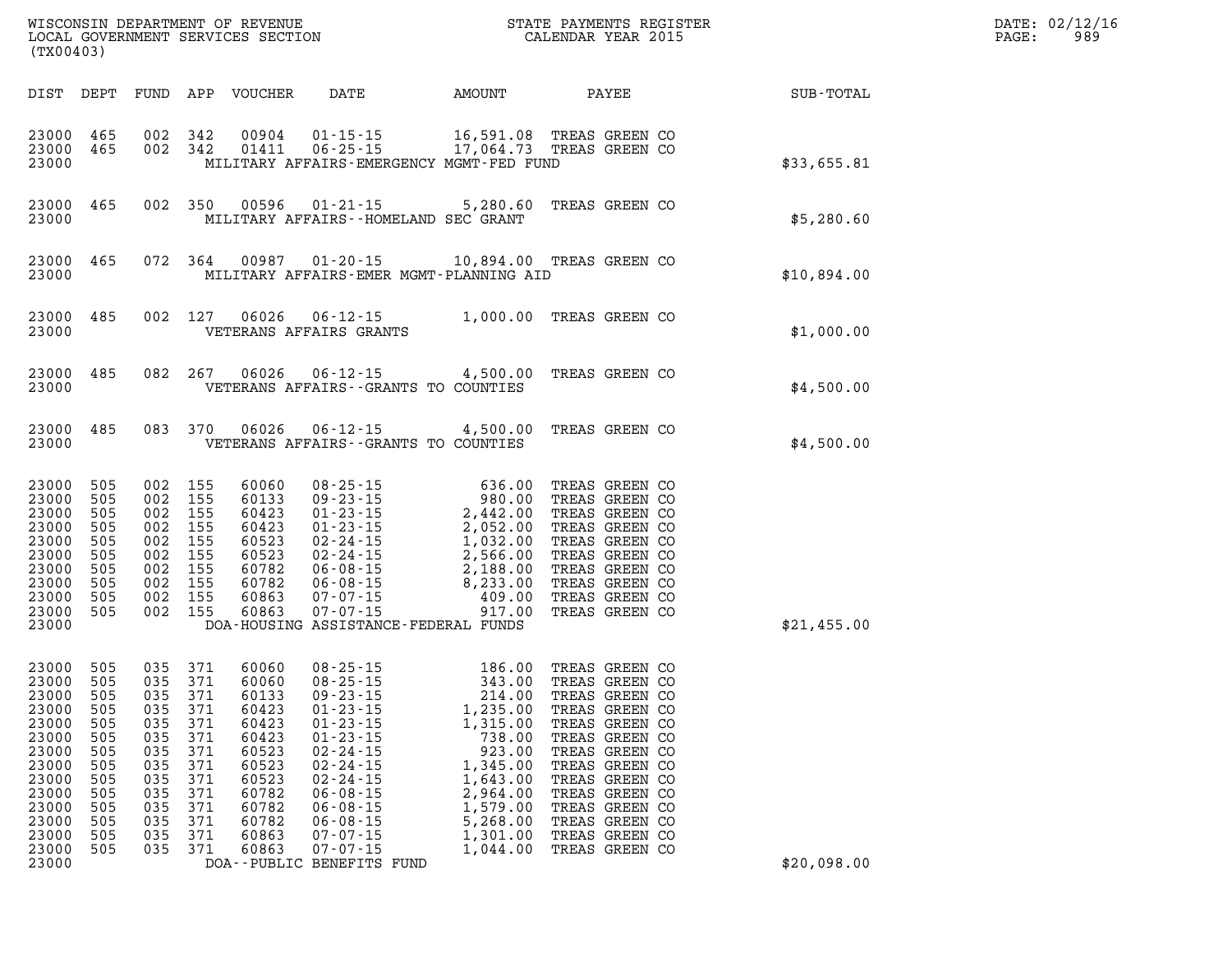| (TX00403)                                                                                                                               |                                                                                         |                                                                                                            |                                                                                 |                                                                                                                            |                                                                                                                                                                                                                                                                                                                                                         | WISCONSIN DEPARTMENT OF REVENUE<br>LOCAL GOVERNMENT SERVICES SECTION THE STATE PAYMENTS REGISTER<br>(TWO 1403)   |  |                                                                                                                                                                                  |  | $\mathbb{R}^n$ | $\mathtt{PAGE}$ : | DATE: 02/12/16<br>989 |
|-----------------------------------------------------------------------------------------------------------------------------------------|-----------------------------------------------------------------------------------------|------------------------------------------------------------------------------------------------------------|---------------------------------------------------------------------------------|----------------------------------------------------------------------------------------------------------------------------|---------------------------------------------------------------------------------------------------------------------------------------------------------------------------------------------------------------------------------------------------------------------------------------------------------------------------------------------------------|------------------------------------------------------------------------------------------------------------------|--|----------------------------------------------------------------------------------------------------------------------------------------------------------------------------------|--|----------------|-------------------|-----------------------|
|                                                                                                                                         |                                                                                         |                                                                                                            |                                                                                 |                                                                                                                            | DIST DEPT FUND APP VOUCHER DATE AMOUNT PAYEE SUB-TOTAL                                                                                                                                                                                                                                                                                                  |                                                                                                                  |  |                                                                                                                                                                                  |  |                |                   |                       |
| 23000                                                                                                                                   |                                                                                         |                                                                                                            |                                                                                 |                                                                                                                            | $\begin{array}{cccccc} 23000& 465& 002& 342& 00904& 01\text{-}15\text{-}15& 16\text{,}591.08 & \text{TREAS GREEN CO}\\ 23000& 465& 002& 342& 01411& 06\text{-}25\text{-}15& 17\text{,}064.73 & \text{TREAS GREEN CO} \end{array}$<br>MILITARY AFFAIRS-EMERGENCY MGMT-FED FUND                                                                           |                                                                                                                  |  |                                                                                                                                                                                  |  | \$33,655.81    |                   |                       |
|                                                                                                                                         |                                                                                         |                                                                                                            |                                                                                 |                                                                                                                            | 23000 465 002 350 00596 01-21-15 5,280.60 TREAS GREEN CO \$5,280.60<br>MILITARY AFFAIRS - HOMELAND SEC GRANT                                                                                                                                                                                                                                            |                                                                                                                  |  |                                                                                                                                                                                  |  |                |                   |                       |
| 23000                                                                                                                                   |                                                                                         |                                                                                                            |                                                                                 |                                                                                                                            | 23000 465 072 364 00987 01-20-15 10,894.00 TREAS GREEN CO<br>MILITARY AFFAIRS-EMER MGMT-PLANNING AID                                                                                                                                                                                                                                                    |                                                                                                                  |  |                                                                                                                                                                                  |  |                |                   |                       |
| 23000                                                                                                                                   |                                                                                         |                                                                                                            |                                                                                 |                                                                                                                            | 23000 485 002 127 06026 06-12-15 1,000.00 TREAS GREEN CO<br>VETERANS AFFAIRS GRANTS                                                                                                                                                                                                                                                                     |                                                                                                                  |  |                                                                                                                                                                                  |  | \$1,000.00     |                   |                       |
| 23000                                                                                                                                   |                                                                                         |                                                                                                            |                                                                                 |                                                                                                                            | 23000 485 082 267 06026 06-12-15 4,500.00 TREAS GREEN CO<br>VETERANS AFFAIRS - GRANTS TO COUNTIES                                                                                                                                                                                                                                                       |                                                                                                                  |  |                                                                                                                                                                                  |  | \$4,500.00     |                   |                       |
| 23000                                                                                                                                   |                                                                                         |                                                                                                            |                                                                                 |                                                                                                                            | 23000 485 083 370 06026 06-12-15 4,500.00 TREAS GREEN CO<br>VETERANS AFFAIRS -- GRANTS TO COUNTIES                                                                                                                                                                                                                                                      |                                                                                                                  |  |                                                                                                                                                                                  |  | \$4,500.00     |                   |                       |
| 23000<br>23000<br>23000<br>23000<br>23000<br>23000<br>23000<br>23000<br>23000<br>23000                                                  | 505<br>505<br>505<br>505<br>505<br>505<br>505<br>505<br>505<br>23000 505                | 002 155<br>002 155<br>002 155<br>002 155<br>002 155<br>002 155<br>002 155<br>002 155<br>002 155<br>002 155 |                                                                                 |                                                                                                                            | DOA-HOUSING ASSISTANCE-FEDERAL FUNDS                                                                                                                                                                                                                                                                                                                    |                                                                                                                  |  |                                                                                                                                                                                  |  | \$21,455.00    |                   |                       |
| 23000 505<br>23000<br>23000<br>23000<br>23000<br>23000<br>23000<br>23000<br>23000<br>23000<br>23000<br>23000<br>23000<br>23000<br>23000 | 505<br>505<br>505<br>505<br>505<br>505<br>505<br>505<br>505<br>505<br>505<br>505<br>505 | 035 371<br>035 371<br>035 371<br>035<br>035<br>035<br>035<br>035<br>035<br>035<br>035<br>035<br>035        | 035 371<br>371<br>371<br>371<br>371<br>371<br>371<br>371<br>371<br>371<br>- 371 | 60060<br>60060<br>60133<br>60423<br>60423<br>60423<br>60523<br>60523<br>60523<br>60782<br>60782<br>60782<br>60863<br>60863 | 08-25-15 186.00 TREAS GREEN CO<br>08-25-15 343.00 TREAS GREEN CO<br>09-23-15 214.00 TREAS GREEN CO<br>01-23-15 1,235.00 TREAS GREEN CO<br>$01 - 23 - 15$<br>$01 - 23 - 15$<br>$02 - 24 - 15$<br>$02 - 24 - 15$<br>$02 - 24 - 15$<br>$06 - 08 - 15$<br>$06 - 08 - 15$<br>$06 - 08 - 15$<br>$07 - 07 - 15$<br>$07 - 07 - 15$<br>DOA--PUBLIC BENEFITS FUND | 1,315.00<br>738.00<br>923.00<br>1,345.00<br>1,643.00<br>2,964.00<br>1,579.00<br>5,268.00<br>1,301.00<br>1,044.00 |  | TREAS GREEN CO<br>TREAS GREEN CO<br>TREAS GREEN CO<br>TREAS GREEN CO<br>TREAS GREEN CO<br>TREAS GREEN CO<br>TREAS GREEN CO<br>TREAS GREEN CO<br>TREAS GREEN CO<br>TREAS GREEN CO |  | \$20,098.00    |                   |                       |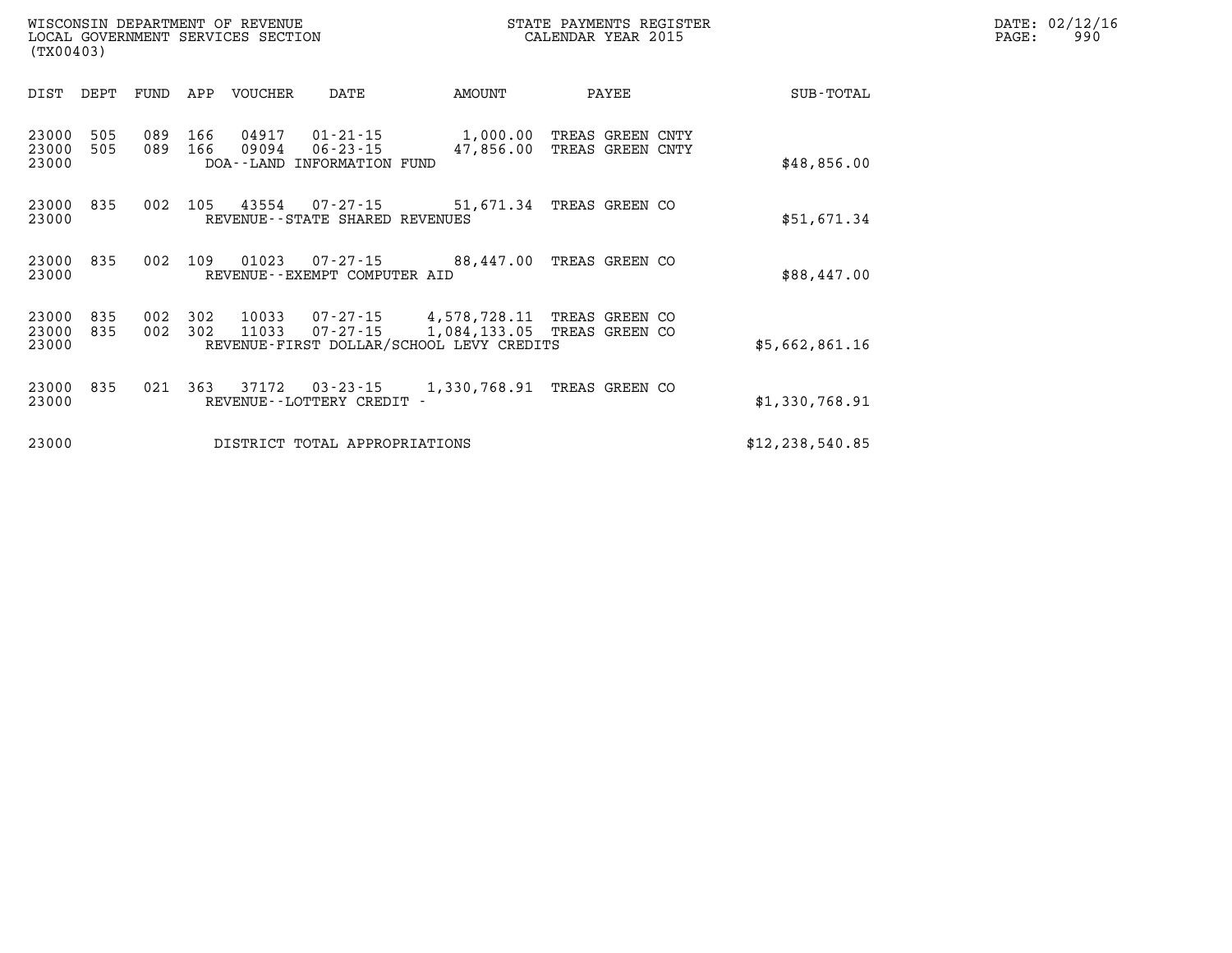| WISCONSIN DEPARTMENT OF REVENUE<br>LOCAL GOVERNMENT SERVICES SECTION<br>(TX00403)                                                               |                                                                                      | STATE PAYMENTS REGISTER<br>CALENDAR YEAR 2015       |  |  |  |  |
|-------------------------------------------------------------------------------------------------------------------------------------------------|--------------------------------------------------------------------------------------|-----------------------------------------------------|--|--|--|--|
| APP<br>VOUCHER<br>DEPT<br>FUND<br>DATE<br>DIST                                                                                                  | AMOUNT                                                                               | PAYEE<br>SUB-TOTAL                                  |  |  |  |  |
| 23000<br>505<br>089<br>166<br>04917<br>01-21-15<br>23000<br>089<br>505<br>166<br>09094<br>$06 - 23 - 15$<br>23000<br>DOA--LAND INFORMATION FUND | 1,000.00<br>47,856.00                                                                | TREAS GREEN CNTY<br>TREAS GREEN CNTY<br>\$48,856.00 |  |  |  |  |
| 43554<br>23000<br>835<br>002<br>105<br>07-27-15<br>23000<br>REVENUE--STATE SHARED REVENUES                                                      | 51,671.34                                                                            | TREAS GREEN CO<br>\$51,671.34                       |  |  |  |  |
| 23000<br>835<br>002<br>109<br>01023<br>07-27-15<br>23000<br>REVENUE - - EXEMPT COMPUTER AID                                                     | 88,447.00                                                                            | TREAS GREEN CO<br>\$88,447.00                       |  |  |  |  |
| 23000<br>835<br>002<br>302<br>10033<br>23000<br>302<br>835<br>11033<br>$07 - 27 - 15$<br>002<br>23000                                           | 07-27-15<br>4,578,728.11<br>1,084,133.05<br>REVENUE-FIRST DOLLAR/SCHOOL LEVY CREDITS | TREAS GREEN CO<br>TREAS GREEN CO<br>\$5,662,861.16  |  |  |  |  |
| 23000<br>835<br>363<br>37172<br>03-23-15<br>021<br>23000<br>REVENUE - - LOTTERY CREDIT -                                                        | 1,330,768.91                                                                         | TREAS GREEN CO<br>\$1,330,768.91                    |  |  |  |  |
| 23000<br>DISTRICT TOTAL APPROPRIATIONS                                                                                                          |                                                                                      | \$12, 238, 540.85                                   |  |  |  |  |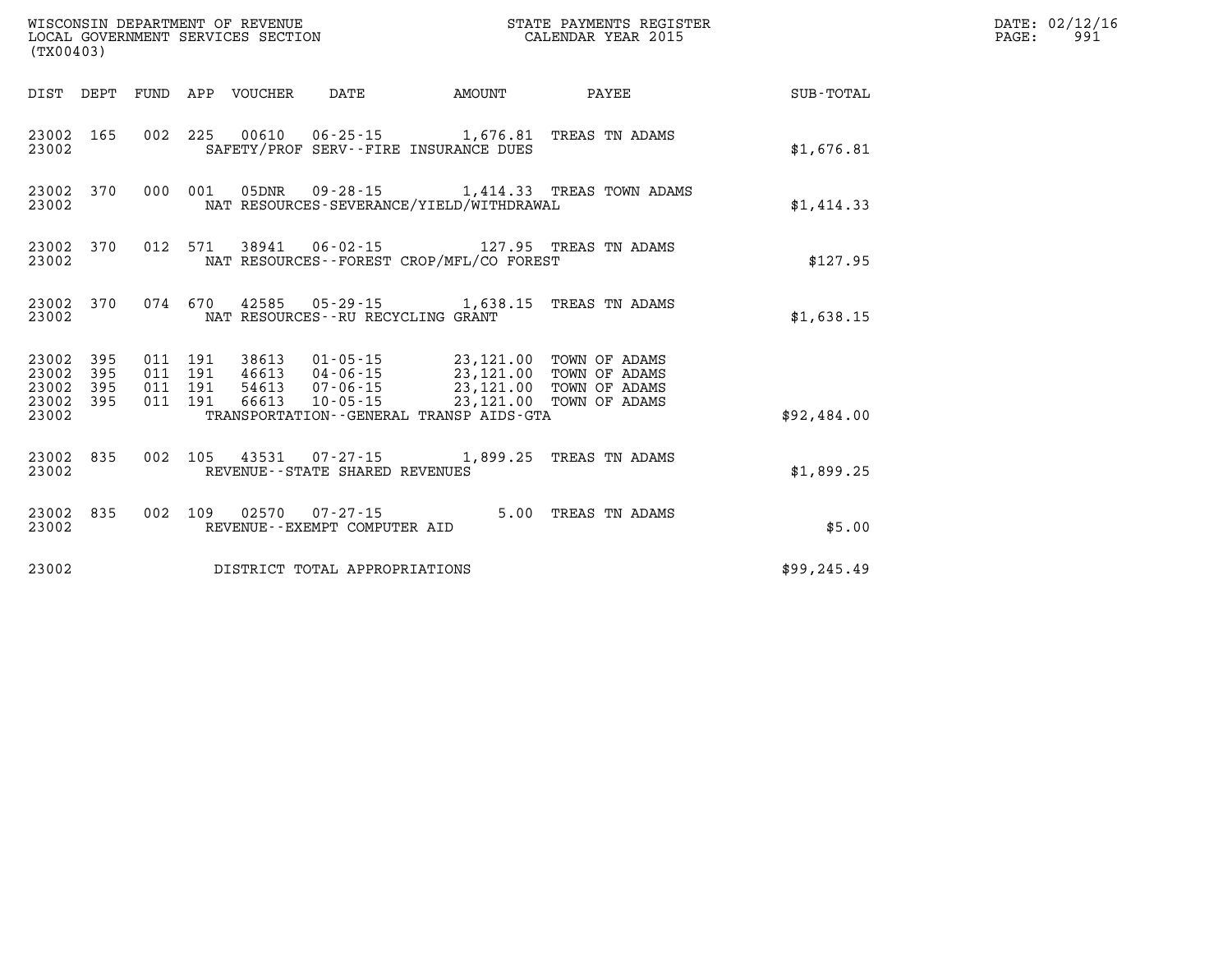| (TX00403)                                |            | WISCONSIN DEPARTMENT OF REVENUE<br>LOCAL GOVERNMENT SERVICES SECTION |                                       |                                          | STATE PAYMENTS REGISTER<br>CALENDAR YEAR 2015                                                                                                               |              | DATE: 02/12/16<br>$\mathtt{PAGE}$ :<br>991 |
|------------------------------------------|------------|----------------------------------------------------------------------|---------------------------------------|------------------------------------------|-------------------------------------------------------------------------------------------------------------------------------------------------------------|--------------|--------------------------------------------|
|                                          |            | DIST DEPT FUND APP VOUCHER                                           | DATE                                  | AMOUNT                                   | PAYEE                                                                                                                                                       | SUB-TOTAL    |                                            |
| 23002 165<br>23002                       |            |                                                                      | SAFETY/PROF SERV--FIRE INSURANCE DUES |                                          | 002 225 00610 06-25-15 1,676.81 TREAS TN ADAMS                                                                                                              | \$1,676.81   |                                            |
| 23002 370<br>23002                       |            | 000 001<br>05DNR                                                     |                                       | NAT RESOURCES-SEVERANCE/YIELD/WITHDRAWAL | 09-28-15 1,414.33 TREAS TOWN ADAMS                                                                                                                          | \$1,414.33   |                                            |
| 23002 370<br>23002                       |            |                                                                      |                                       | NAT RESOURCES--FOREST CROP/MFL/CO FOREST | 012 571 38941 06-02-15 127.95 TREAS TN ADAMS                                                                                                                | \$127.95     |                                            |
| 23002 370<br>23002                       |            |                                                                      | NAT RESOURCES--RU RECYCLING GRANT     |                                          | 074 670 42585 05-29-15 1,638.15 TREAS TN ADAMS                                                                                                              | \$1,638.15   |                                            |
| 23002 395<br>23002<br>23002<br>23002 395 | 395<br>395 | 011 191<br>011 191<br>011 191<br>011 191<br>66613                    | 10-05-15                              |                                          | 38613  01-05-15  23,121.00  TOWN OF ADAMS<br>46613 04-06-15 23,121.00 TOWN OF ADAMS<br>54613  07-06-15  23,121.00  TOWN OF ADAMS<br>23,121.00 TOWN OF ADAMS |              |                                            |
| 23002                                    |            |                                                                      |                                       | TRANSPORTATION--GENERAL TRANSP AIDS-GTA  |                                                                                                                                                             | \$92,484.00  |                                            |
| 23002 835<br>23002                       |            |                                                                      | REVENUE - - STATE SHARED REVENUES     |                                          | 002 105 43531 07-27-15 1,899.25 TREAS TN ADAMS                                                                                                              | \$1,899.25   |                                            |
| 23002 835<br>23002                       |            | 002 109                                                              | REVENUE--EXEMPT COMPUTER AID          |                                          | 5.00 TREAS TN ADAMS                                                                                                                                         | \$5.00       |                                            |
| 23002                                    |            |                                                                      | DISTRICT TOTAL APPROPRIATIONS         |                                          |                                                                                                                                                             | \$99, 245.49 |                                            |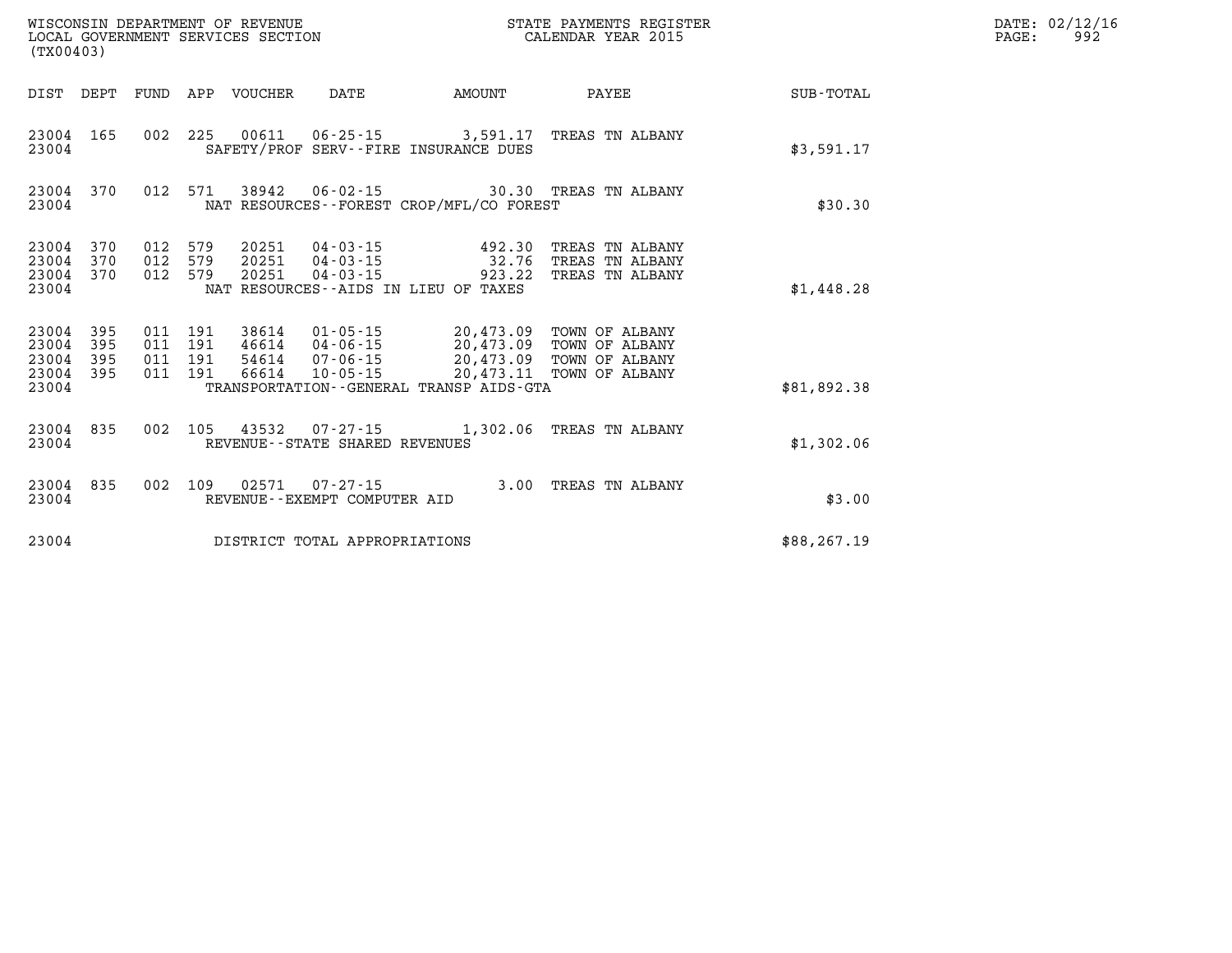| (TX00403)                                 |                          |                          |                          | WISCONSIN DEPARTMENT OF REVENUE<br>LOCAL GOVERNMENT SERVICES SECTION |                                                                      | STATE PAYMENTS REGISTER<br>CALENDAR YEAR 2015                                                    |                                                                      |                  |
|-------------------------------------------|--------------------------|--------------------------|--------------------------|----------------------------------------------------------------------|----------------------------------------------------------------------|--------------------------------------------------------------------------------------------------|----------------------------------------------------------------------|------------------|
| DIST                                      | DEPT                     | FUND                     | APP                      | VOUCHER                                                              | DATE                                                                 | AMOUNT                                                                                           | PAYEE                                                                | <b>SUB-TOTAL</b> |
| 23004<br>23004                            | 165                      | 002                      | 225                      | 00611                                                                | $06 - 25 - 15$                                                       | 3,591.17<br>SAFETY/PROF SERV--FIRE INSURANCE DUES                                                | TREAS TN ALBANY                                                      | \$3,591.17       |
| 23004<br>23004                            | 370                      | 012                      | 571                      | 38942                                                                | $06 - 02 - 15$                                                       | 30.30<br>NAT RESOURCES--FOREST CROP/MFL/CO FOREST                                                | TREAS TN ALBANY                                                      | \$30.30          |
| 23004<br>23004<br>23004<br>23004          | 370<br>370<br>370        | 012<br>012<br>012        | 579<br>579<br>579        | 20251<br>20251<br>20251                                              | 04 - 03 - 15<br>04-03-15<br>$04 - 03 - 15$                           | 492.30<br>32.76<br>923.22<br>NAT RESOURCES -- AIDS IN LIEU OF TAXES                              | TREAS TN ALBANY<br>TREAS TN ALBANY<br>TREAS TN ALBANY                | \$1,448.28       |
| 23004<br>23004<br>23004<br>23004<br>23004 | 395<br>395<br>395<br>395 | 011<br>011<br>011<br>011 | 191<br>191<br>191<br>191 | 38614<br>46614<br>54614<br>66614                                     | $01 - 05 - 15$<br>$04 - 06 - 15$<br>$07 - 06 - 15$<br>$10 - 05 - 15$ | 20,473.09<br>20,473.09<br>20,473.09<br>20,473.11<br>TRANSPORTATION - - GENERAL TRANSP AIDS - GTA | TOWN OF ALBANY<br>TOWN OF ALBANY<br>TOWN OF ALBANY<br>TOWN OF ALBANY | \$81,892.38      |
| 23004<br>23004                            | 835                      | 002                      | 105                      | 43532                                                                | $07 - 27 - 15$<br>REVENUE - - STATE SHARED REVENUES                  | 1,302.06                                                                                         | TREAS TN ALBANY                                                      | \$1,302.06       |
| 23004<br>23004                            | 835                      | 002                      | 109                      | 02571                                                                | $07 - 27 - 15$<br>REVENUE - - EXEMPT COMPUTER AID                    | 3.00                                                                                             | TREAS TN ALBANY                                                      | \$3.00           |
| 23004                                     |                          |                          |                          |                                                                      | DISTRICT TOTAL APPROPRIATIONS                                        |                                                                                                  |                                                                      | \$88,267.19      |

**DATE: 02/12/16<br>PAGE: 992**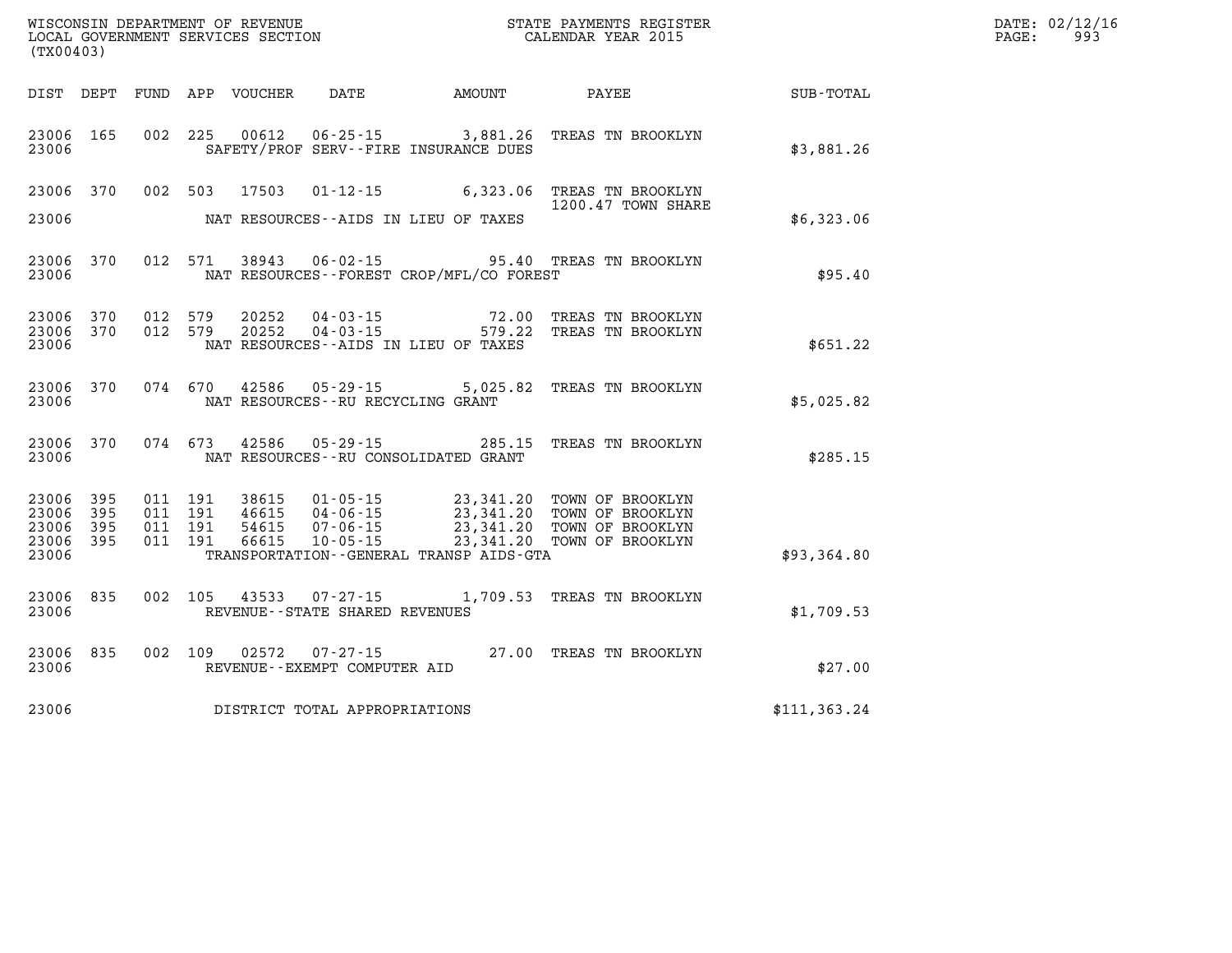| (TX00403)                            |                     |                                          |         |                            |                                                  |                                                |                                                                                                                                                    |               | DATE: 02/12/16<br>$\mathtt{PAGE}$ :<br>993 |
|--------------------------------------|---------------------|------------------------------------------|---------|----------------------------|--------------------------------------------------|------------------------------------------------|----------------------------------------------------------------------------------------------------------------------------------------------------|---------------|--------------------------------------------|
|                                      |                     |                                          |         | DIST DEPT FUND APP VOUCHER | DATE                                             | <b>EXAMOUNT</b>                                | PAYEE                                                                                                                                              | SUB-TOTAL     |                                            |
| 23006 165<br>23006                   |                     |                                          | 002 225 |                            |                                                  | SAFETY/PROF SERV--FIRE INSURANCE DUES          | 00612  06-25-15  3,881.26  TREAS TN BROOKLYN                                                                                                       | \$3,881.26    |                                            |
| 23006 370                            |                     | 002 503                                  |         | 17503                      |                                                  |                                                | 01-12-15 6,323.06 TREAS TN BROOKLYN<br>1200.47 TOWN SHARE                                                                                          |               |                                            |
| 23006                                |                     |                                          |         |                            |                                                  | NAT RESOURCES--AIDS IN LIEU OF TAXES           |                                                                                                                                                    | \$6,323.06    |                                            |
| 23006 370<br>23006                   |                     |                                          |         |                            |                                                  | NAT RESOURCES--FOREST CROP/MFL/CO FOREST       | 012 571 38943 06-02-15 95.40 TREAS TN BROOKLYN                                                                                                     | \$95.40       |                                            |
| 23006 370<br>23006<br>23006          | 370                 | 012 579<br>012 579                       |         | 20252<br>20252             | 04-03-15<br>$04 - 03 - 15$                       | 579.22<br>NAT RESOURCES--AIDS IN LIEU OF TAXES | 72.00 TREAS TN BROOKLYN<br>TREAS TN BROOKLYN                                                                                                       | \$651.22      |                                            |
| 23006 370<br>23006                   |                     | 074 670                                  |         |                            | NAT RESOURCES -- RU RECYCLING GRANT              |                                                | 42586  05-29-15  5,025.82  TREAS TN BROOKLYN                                                                                                       | \$5,025.82    |                                            |
| 23006 370<br>23006                   |                     | 074 673                                  |         | 42586                      |                                                  | NAT RESOURCES--RU CONSOLIDATED GRANT           |                                                                                                                                                    | \$285.15      |                                            |
| 23006 395<br>23006<br>23006<br>23006 | 395<br>395<br>- 395 | 011 191<br>011 191<br>011 191<br>011 191 |         | 54615<br>66615             | $07 - 06 - 15$<br>10 - 05 - 15                   |                                                | 38615 01-05-15 23,341.20 TOWN OF BROOKLYN<br>46615 04-06-15 23,341.20 TOWN OF BROOKLYN<br>23,341.20 TOWN OF BROOKLYN<br>23,341.20 TOWN OF BROOKLYN |               |                                            |
| 23006                                |                     |                                          |         |                            |                                                  | TRANSPORTATION - - GENERAL TRANSP AIDS - GTA   |                                                                                                                                                    | \$93,364.80   |                                            |
| 23006 835<br>23006                   |                     | 002 105                                  |         | 43533                      | $07 - 27 - 15$<br>REVENUE--STATE SHARED REVENUES |                                                | 1,709.53 TREAS TN BROOKLYN                                                                                                                         | \$1,709.53    |                                            |
| 23006                                | 23006 835           | 002 109                                  |         | 02572                      | 07-27-15<br>REVENUE--EXEMPT COMPUTER AID         |                                                | 27.00 TREAS TN BROOKLYN                                                                                                                            | \$27.00       |                                            |
| 23006                                |                     |                                          |         |                            | DISTRICT TOTAL APPROPRIATIONS                    |                                                |                                                                                                                                                    | \$111, 363.24 |                                            |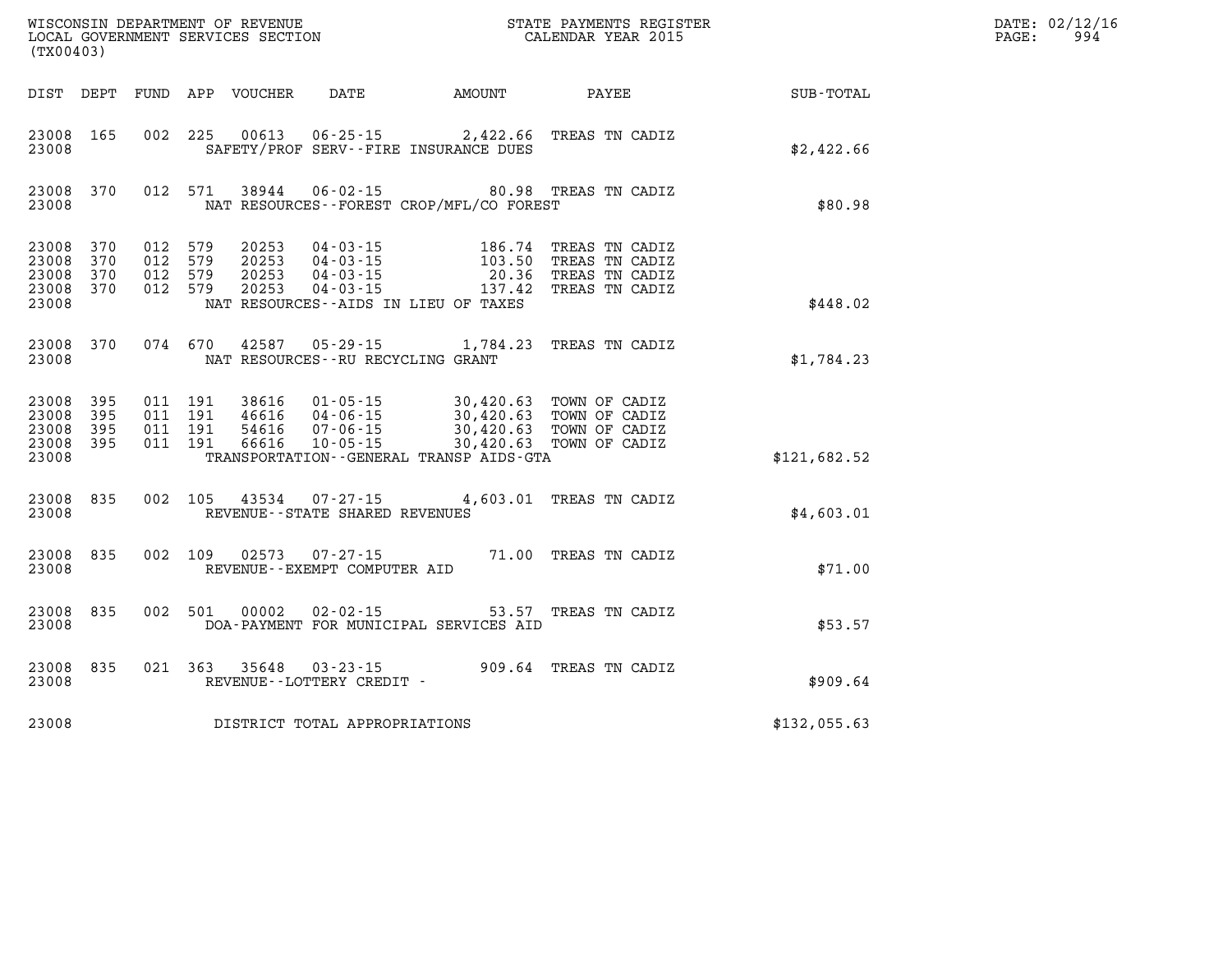| (TX00403)                                         |                       |                                          | WISCONSIN DEPARTMENT OF REVENUE<br>LOCAL GOVERNMENT SERVICES SECTION |                                                        |                                                                                                                                                                                                                      | STATE PAYMENTS REGISTER<br>CALENDAR YEAR 2015                                                                                       |              | DATE: 02/12/16<br>994<br>$\mathtt{PAGE:}$ |
|---------------------------------------------------|-----------------------|------------------------------------------|----------------------------------------------------------------------|--------------------------------------------------------|----------------------------------------------------------------------------------------------------------------------------------------------------------------------------------------------------------------------|-------------------------------------------------------------------------------------------------------------------------------------|--------------|-------------------------------------------|
|                                                   |                       |                                          |                                                                      |                                                        | DIST DEPT FUND APP VOUCHER DATE AMOUNT PAYEE                                                                                                                                                                         |                                                                                                                                     | SUB-TOTAL    |                                           |
| 23008 165<br>23008                                |                       |                                          |                                                                      |                                                        | SAFETY/PROF SERV--FIRE INSURANCE DUES                                                                                                                                                                                | 002 225 00613 06-25-15 2,422.66 TREAS TN CADIZ                                                                                      | \$2,422.66   |                                           |
| 23008                                             | 23008 370             |                                          |                                                                      |                                                        | NAT RESOURCES - - FOREST CROP/MFL/CO FOREST                                                                                                                                                                          | 012 571 38944 06-02-15 80.98 TREAS TN CADIZ                                                                                         | \$80.98      |                                           |
| 23008 370<br>23008<br>23008<br>23008 370<br>23008 | 370<br>370            | 012 579<br>012 579<br>012 579<br>012 579 | 20253<br>20253<br>20253<br>20253                                     |                                                        | NAT RESOURCES - AIDS IN LIEU OF TAXES                                                                                                                                                                                | 04-03-15 186.74 TREAS TN CADIZ<br>04-03-15 103.50 TREAS TN CADIZ<br>04-03-15 20.36 TREAS TN CADIZ<br>04-03-15 137.42 TREAS TN CADIZ | \$448.02     |                                           |
| 23008                                             | 23008 370             |                                          |                                                                      | NAT RESOURCES--RU RECYCLING GRANT                      |                                                                                                                                                                                                                      | 074 670 42587 05-29-15 1,784.23 TREAS TN CADIZ                                                                                      | \$1,784.23   |                                           |
| 23008<br>23008<br>23008<br>23008 395<br>23008     | - 395<br>- 395<br>395 | 011 191<br>011 191<br>011 191<br>011 191 |                                                                      |                                                        | 38616 01-05-15 30,420.63 TOWN OF CADIZ<br>46616 04-06-15 30,420.63 TOWN OF CADIZ<br>54616 07-06-15 30,420.63 TOWN OF CADIZ<br>66616 10-05-15 30,420.63 TOWN OF CADIZ<br>TRANSPORTATION - - GENERAL TRANSP AIDS - GTA |                                                                                                                                     | \$121,682.52 |                                           |
| 23008 835<br>23008                                |                       |                                          |                                                                      | REVENUE--STATE SHARED REVENUES                         |                                                                                                                                                                                                                      | 002 105 43534 07-27-15 4,603.01 TREAS TN CADIZ                                                                                      | \$4,603.01   |                                           |
| 23008 835<br>23008                                |                       |                                          |                                                                      | 002 109 02573 07-27-15<br>REVENUE--EXEMPT COMPUTER AID |                                                                                                                                                                                                                      | 71.00 TREAS TN CADIZ                                                                                                                | \$71.00      |                                           |
| 23008 835<br>23008                                |                       |                                          |                                                                      |                                                        | DOA-PAYMENT FOR MUNICIPAL SERVICES AID                                                                                                                                                                               | 002 501 00002 02-02-15 53.57 TREAS TN CADIZ                                                                                         | \$53.57      |                                           |
| 23008                                             | 23008 835             |                                          |                                                                      | REVENUE--LOTTERY CREDIT -                              |                                                                                                                                                                                                                      | 021 363 35648 03-23-15 909.64 TREAS TN CADIZ                                                                                        | \$909.64     |                                           |
| 23008                                             |                       |                                          |                                                                      | DISTRICT TOTAL APPROPRIATIONS                          |                                                                                                                                                                                                                      |                                                                                                                                     | \$132,055.63 |                                           |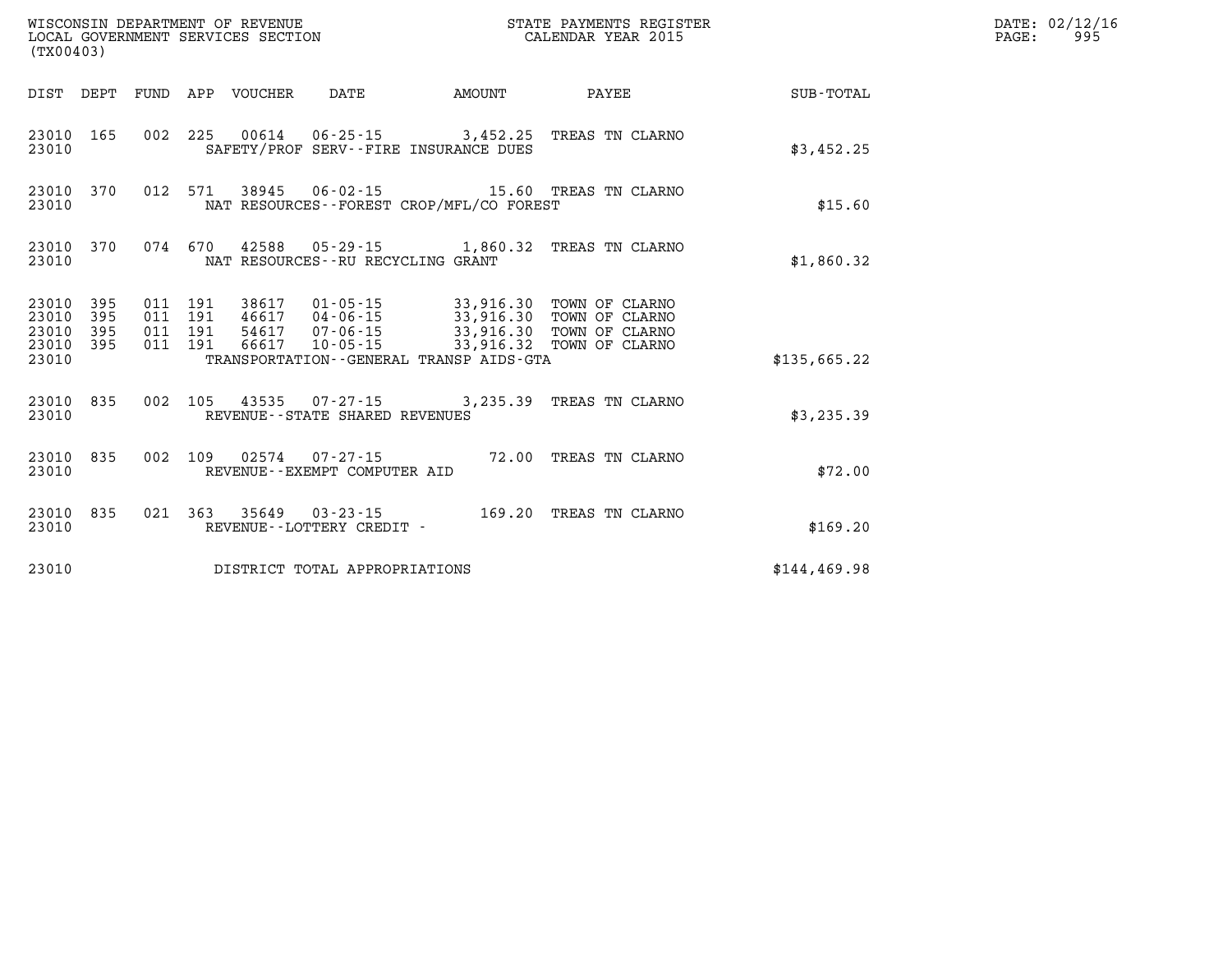| (TX00403)                                         |            |                    |                    |                                 |                                      |                                             | STATE PAYMENTS REGISTER                                                                                                                                                     |               | DATE: 02/12/16<br>$\mathtt{PAGE:}$<br>995 |
|---------------------------------------------------|------------|--------------------|--------------------|---------------------------------|--------------------------------------|---------------------------------------------|-----------------------------------------------------------------------------------------------------------------------------------------------------------------------------|---------------|-------------------------------------------|
|                                                   |            |                    |                    | DIST DEPT FUND APP VOUCHER DATE |                                      | <b>EXAMPLE TO AMOUNT</b>                    | <b>PAYEE</b> PAYEE                                                                                                                                                          | SUB-TOTAL     |                                           |
| 23010                                             | 23010 165  |                    |                    |                                 |                                      | SAFETY/PROF SERV--FIRE INSURANCE DUES       | 002 225 00614 06-25-15 3,452.25 TREAS TN CLARNO                                                                                                                             | \$3,452.25    |                                           |
| 23010                                             |            |                    |                    |                                 |                                      | NAT RESOURCES - - FOREST CROP/MFL/CO FOREST | 23010 370 012 571 38945 06-02-15 15.60 TREAS TN CLARNO                                                                                                                      | \$15.60       |                                           |
| 23010                                             |            |                    |                    |                                 | NAT RESOURCES - - RU RECYCLING GRANT |                                             | 23010 370 074 670 42588 05-29-15 1,860.32 TREAS TN CLARNO                                                                                                                   | \$1,860.32    |                                           |
| 23010 395<br>23010<br>23010<br>23010 395<br>23010 | 395<br>395 | 011 191<br>011 191 | 011 191<br>011 191 |                                 |                                      | TRANSPORTATION--GENERAL TRANSP AIDS-GTA     | 38617  01-05-15  33,916.30  TOWN OF CLARNO<br>46617 04-06-15 33,916.30 TOWN OF CLARNO<br>54617 07-06-15 33,916.30 TOWN OF CLARNO<br>66617 10-05-15 33,916.32 TOWN OF CLARNO | \$135,665.22  |                                           |
| 23010                                             | 23010 835  |                    |                    |                                 | REVENUE--STATE SHARED REVENUES       |                                             | 002 105 43535 07-27-15 3,235.39 TREAS TN CLARNO                                                                                                                             | \$3,235.39    |                                           |
| 23010                                             | 23010 835  |                    |                    |                                 | REVENUE--EXEMPT COMPUTER AID         |                                             | 002 109 02574 07-27-15 72.00 TREAS TN CLARNO                                                                                                                                | \$72.00       |                                           |
| 23010                                             | 23010 835  |                    |                    |                                 | REVENUE - - LOTTERY CREDIT -         |                                             | 021  363  35649  03-23-15   169.20  TREAS TN CLARNO                                                                                                                         | \$169.20      |                                           |
| 23010                                             |            |                    |                    |                                 | DISTRICT TOTAL APPROPRIATIONS        |                                             |                                                                                                                                                                             | \$144, 469.98 |                                           |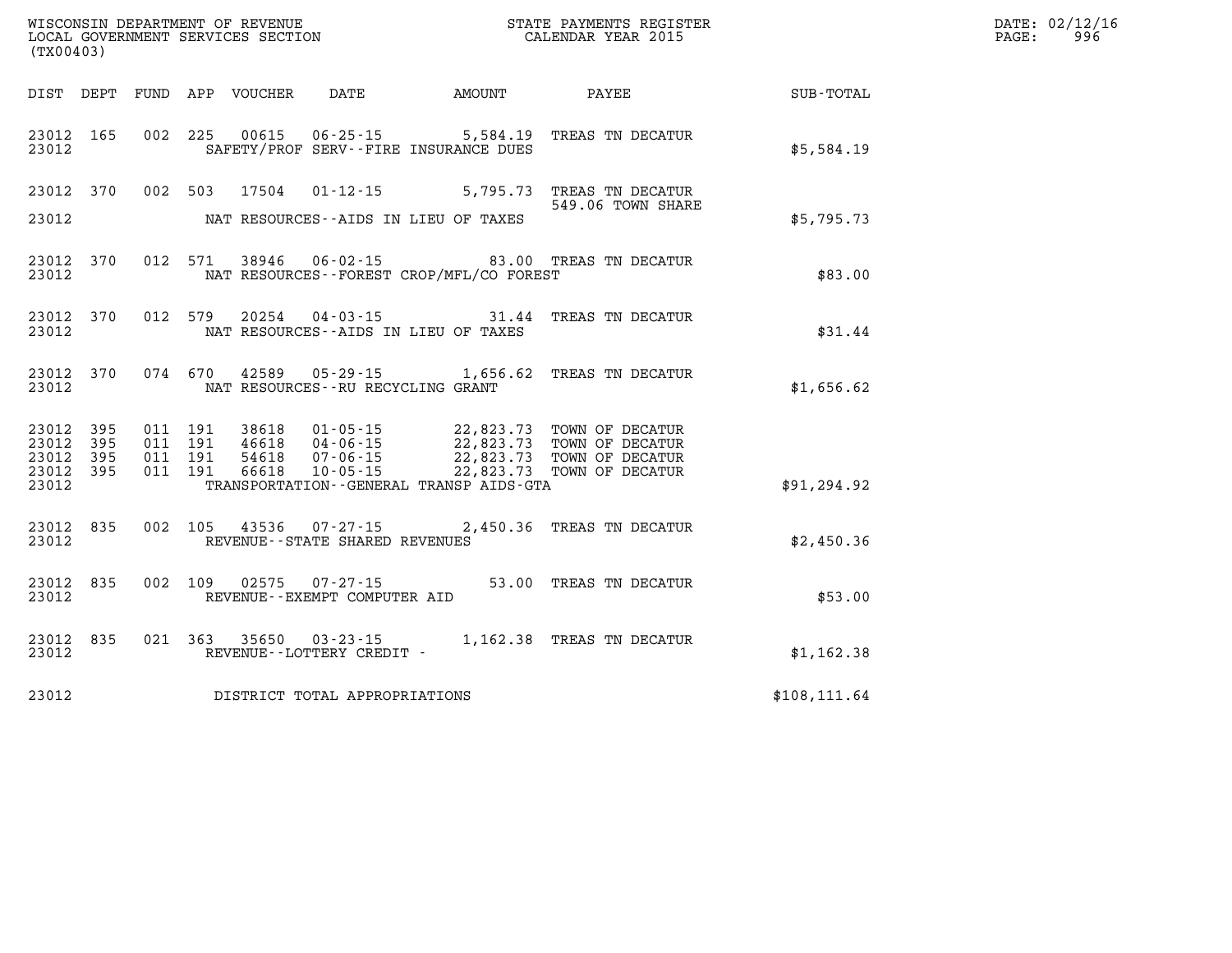| (TX00403)                                             |     |         |       |                                       |                                              | WISCONSIN DEPARTMENT OF REVENUE<br>LOCAL GOVERNMENT SERVICES SECTION THE STATE PAYMENTS REGIST<br>(TYOO402)<br>STATE PAYMENTS REGISTER |               | DATE: 02/12/16<br>$\mathtt{PAGE}$ :<br>996 |
|-------------------------------------------------------|-----|---------|-------|---------------------------------------|----------------------------------------------|----------------------------------------------------------------------------------------------------------------------------------------|---------------|--------------------------------------------|
|                                                       |     |         |       |                                       |                                              | DIST DEPT FUND APP VOUCHER DATE AMOUNT PAYEE                                                                                           | SUB-TOTAL     |                                            |
| 23012 165<br>23012                                    |     |         |       | SAFETY/PROF SERV--FIRE INSURANCE DUES |                                              | 002 225 00615 06-25-15 5,584.19 TREAS TN DECATUR                                                                                       | \$5,584.19    |                                            |
| 23012 370<br>23012                                    |     |         |       | NAT RESOURCES--AIDS IN LIEU OF TAXES  |                                              | 002 503 17504 01-12-15 5,795.73 TREAS TN DECATUR<br>549.06 TOWN SHARE                                                                  | \$5,795.73    |                                            |
| 23012 370<br>23012                                    |     | 012 571 |       |                                       | NAT RESOURCES - - FOREST CROP/MFL/CO FOREST  | 38946  06-02-15  83.00 TREAS TN DECATUR                                                                                                | \$83.00       |                                            |
| 23012 370<br>23012                                    |     | 012 579 | 20254 | NAT RESOURCES--AIDS IN LIEU OF TAXES  |                                              | 04-03-15 31.44 TREAS TN DECATUR                                                                                                        | \$31.44       |                                            |
| 23012 370<br>23012                                    |     |         |       | NAT RESOURCES--RU RECYCLING GRANT     |                                              | 074 670 42589 05-29-15 1,656.62 TREAS TN DECATUR                                                                                       | \$1,656.62    |                                            |
| 23012 395<br>23012<br>23012 395<br>23012 395<br>23012 | 395 |         |       |                                       | TRANSPORTATION - - GENERAL TRANSP AIDS - GTA |                                                                                                                                        | \$91,294.92   |                                            |
| 23012<br>23012                                        | 835 |         |       | REVENUE--STATE SHARED REVENUES        |                                              | 002 105 43536 07-27-15 2,450.36 TREAS TN DECATUR                                                                                       | \$2,450.36    |                                            |
| 23012<br>23012                                        | 835 |         |       | REVENUE--EXEMPT COMPUTER AID          |                                              | 002 109 02575 07-27-15 53.00 TREAS TN DECATUR                                                                                          | \$53.00       |                                            |
| 23012<br>23012                                        | 835 |         |       | REVENUE--LOTTERY CREDIT -             |                                              | 021 363 35650 03-23-15 1,162.38 TREAS TN DECATUR                                                                                       | \$1,162.38    |                                            |
| 23012                                                 |     |         |       | DISTRICT TOTAL APPROPRIATIONS         |                                              |                                                                                                                                        | \$108, 111.64 |                                            |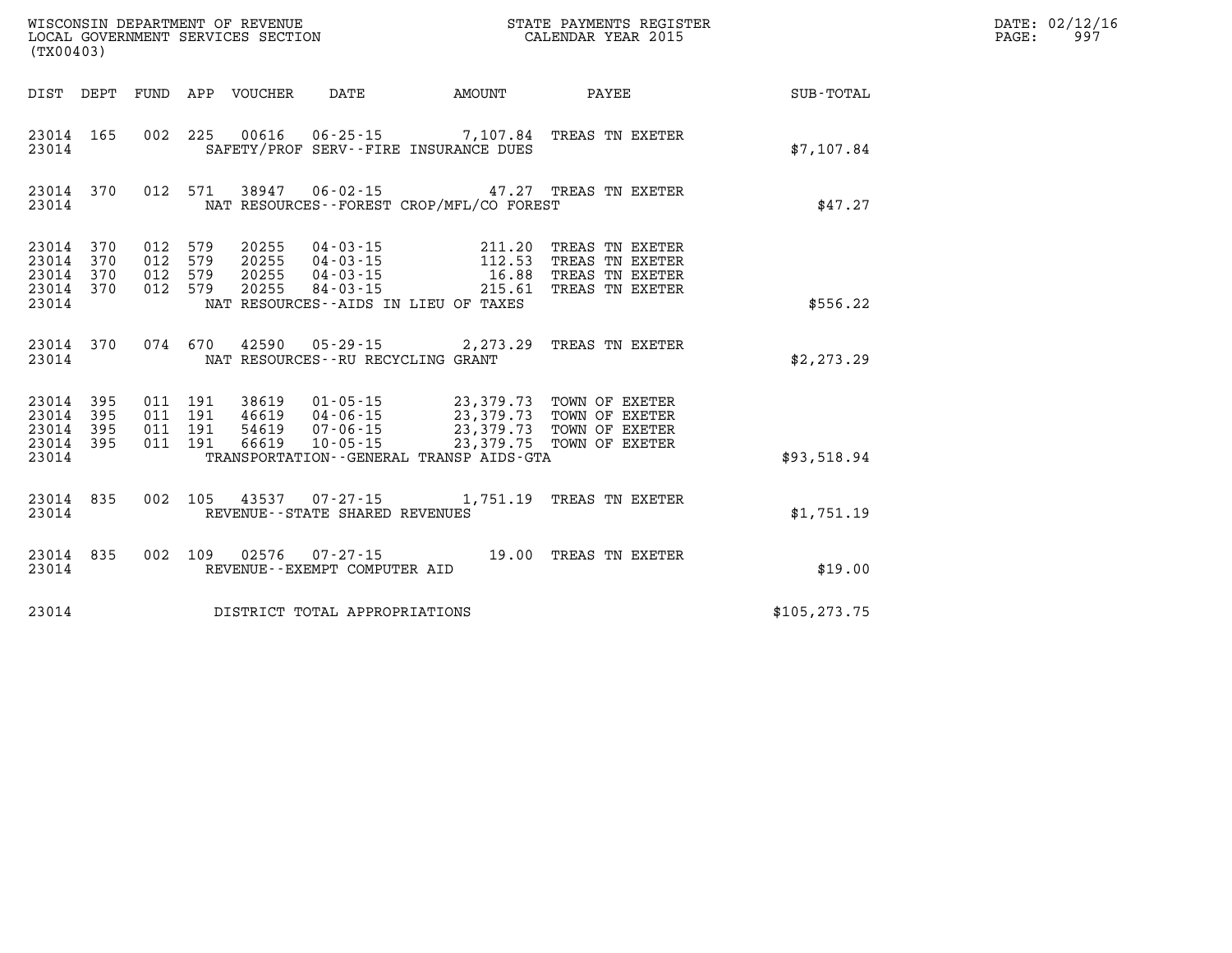| (TX00403)              |                                     |                               |  |  |                                |                                                                                                                                                                                      |                                                                                                                                    |               | DATE: 02/12/16<br>997<br>$\mathtt{PAGE}$ : |
|------------------------|-------------------------------------|-------------------------------|--|--|--------------------------------|--------------------------------------------------------------------------------------------------------------------------------------------------------------------------------------|------------------------------------------------------------------------------------------------------------------------------------|---------------|--------------------------------------------|
|                        |                                     |                               |  |  |                                | DIST DEPT FUND APP VOUCHER DATE AMOUNT                                                                                                                                               | <b>PAYEE</b>                                                                                                                       | SUB-TOTAL     |                                            |
| 23014                  | 23014 165                           |                               |  |  |                                | SAFETY/PROF SERV--FIRE INSURANCE DUES                                                                                                                                                | 002 225 00616 06-25-15 7,107.84 TREAS TN EXETER                                                                                    | \$7,107.84    |                                            |
| 23014                  | 23014 370                           |                               |  |  |                                | NAT RESOURCES--FOREST CROP/MFL/CO FOREST                                                                                                                                             | 012 571 38947 06-02-15 47.27 TREAS TN EXETER                                                                                       | \$47.27       |                                            |
|                        | 23014 370<br>23014 370<br>23014 370 | 012 579<br>012 579<br>012 579 |  |  |                                |                                                                                                                                                                                      | 20255   04-03-15   211.20 TREAS TN EXETER<br>20255   04-03-15   112.53 TREAS TN EXETER<br>20255   04-03-15   16.88 TREAS TN EXETER |               |                                            |
| 23014                  | 23014 370                           | 012 579                       |  |  |                                | NAT RESOURCES--AIDS IN LIEU OF TAXES                                                                                                                                                 | 20255 84-03-15 215.61 TREAS TN EXETER                                                                                              | \$556.22      |                                            |
| 23014                  | 23014 370                           |                               |  |  |                                | NAT RESOURCES--RU RECYCLING GRANT                                                                                                                                                    | 074 670 42590 05-29-15 2,273.29 TREAS TN EXETER                                                                                    | \$2,273.29    |                                            |
| 23014 395<br>23014 395 | 23014 395                           | 011 191<br>011 191<br>011 191 |  |  |                                | 38619  01-05-15  23,379.73  TOWN OF EXETER<br>46619  04-06-15  23,379.73  TOWN OF EXETER<br>54619  07-06-15  23,379.73  TOWN OF EXETER<br>66619  10-05-15  23,379.75  TOWN OF EXETER |                                                                                                                                    |               |                                            |
| 23014 395<br>23014     |                                     | 011 191                       |  |  |                                | TRANSPORTATION - - GENERAL TRANSP AIDS - GTA                                                                                                                                         |                                                                                                                                    | \$93,518.94   |                                            |
| 23014 835<br>23014     |                                     |                               |  |  | REVENUE--STATE SHARED REVENUES |                                                                                                                                                                                      | 002 105 43537 07-27-15 1,751.19 TREAS TN EXETER                                                                                    | \$1,751.19    |                                            |
| 23014                  | 23014 835                           |                               |  |  | REVENUE--EXEMPT COMPUTER AID   |                                                                                                                                                                                      | 002 109 02576 07-27-15 19.00 TREAS TN EXETER                                                                                       | \$19.00       |                                            |
| 23014                  | DISTRICT TOTAL APPROPRIATIONS       |                               |  |  |                                |                                                                                                                                                                                      |                                                                                                                                    | \$105, 273.75 |                                            |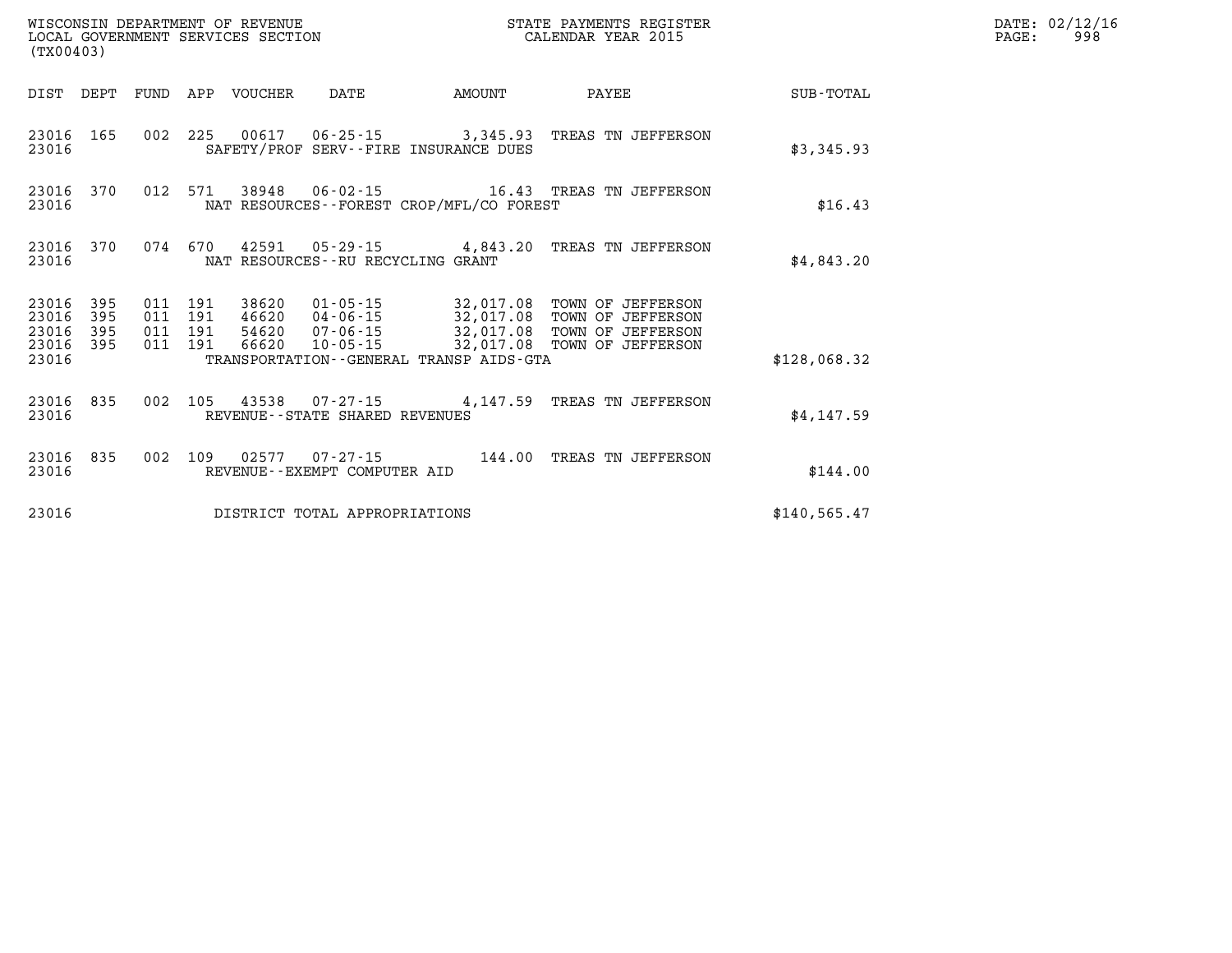| (TX00403)                            |                   |                                          |         |                            |                                   |                                          | STATE PAYMENTS REGISTER                                                                                                                                                        |               | DATE: 02/12/16<br>$\mathtt{PAGE}$ : | 998 |
|--------------------------------------|-------------------|------------------------------------------|---------|----------------------------|-----------------------------------|------------------------------------------|--------------------------------------------------------------------------------------------------------------------------------------------------------------------------------|---------------|-------------------------------------|-----|
|                                      |                   |                                          |         | DIST DEPT FUND APP VOUCHER | DATE                              | <b>AMOUNT</b>                            | PAYEE                                                                                                                                                                          | SUB-TOTAL     |                                     |     |
| 23016 165<br>23016                   |                   |                                          |         |                            |                                   | SAFETY/PROF SERV--FIRE INSURANCE DUES    | 002 225 00617 06-25-15 3,345.93 TREAS TN JEFFERSON                                                                                                                             | \$3,345.93    |                                     |     |
| 23016 370<br>23016                   |                   |                                          |         |                            |                                   | NAT RESOURCES--FOREST CROP/MFL/CO FOREST | 012 571 38948 06-02-15 16.43 TREAS TN JEFFERSON                                                                                                                                | \$16.43       |                                     |     |
| 23016 370<br>23016                   |                   |                                          | 074 670 |                            | NAT RESOURCES--RU RECYCLING GRANT |                                          | 42591  05-29-15  4,843.20  TREAS TN JEFFERSON                                                                                                                                  | \$4,843.20    |                                     |     |
| 23016<br>23016<br>23016<br>23016 395 | 395<br>395<br>395 | 011 191<br>011 191<br>011 191<br>011 191 |         | 66620                      | 10-05-15                          |                                          | 38620  01-05-15  32,017.08  TOWN OF JEFFERSON<br>46620  04-06-15  32,017.08  TOWN OF JEFFERSON<br>54620  07-06-15  32,017.08  TOWN OF JEFFERSON<br>32,017.08 TOWN OF JEFFERSON |               |                                     |     |
| 23016                                |                   |                                          |         |                            |                                   | TRANSPORTATION--GENERAL TRANSP AIDS-GTA  |                                                                                                                                                                                | \$128,068.32  |                                     |     |
| 23016 835<br>23016                   |                   | 002                                      |         |                            | REVENUE--STATE SHARED REVENUES    |                                          | 105  43538  07-27-15  4,147.59  TREAS TN JEFFERSON                                                                                                                             | \$4,147.59    |                                     |     |
| 23016 835<br>23016                   |                   | 002 109                                  |         |                            | REVENUE--EXEMPT COMPUTER AID      |                                          | 02577  07-27-15  144.00  TREAS TN JEFFERSON                                                                                                                                    | \$144.00      |                                     |     |
| 23016                                |                   |                                          |         |                            | DISTRICT TOTAL APPROPRIATIONS     |                                          |                                                                                                                                                                                | \$140, 565.47 |                                     |     |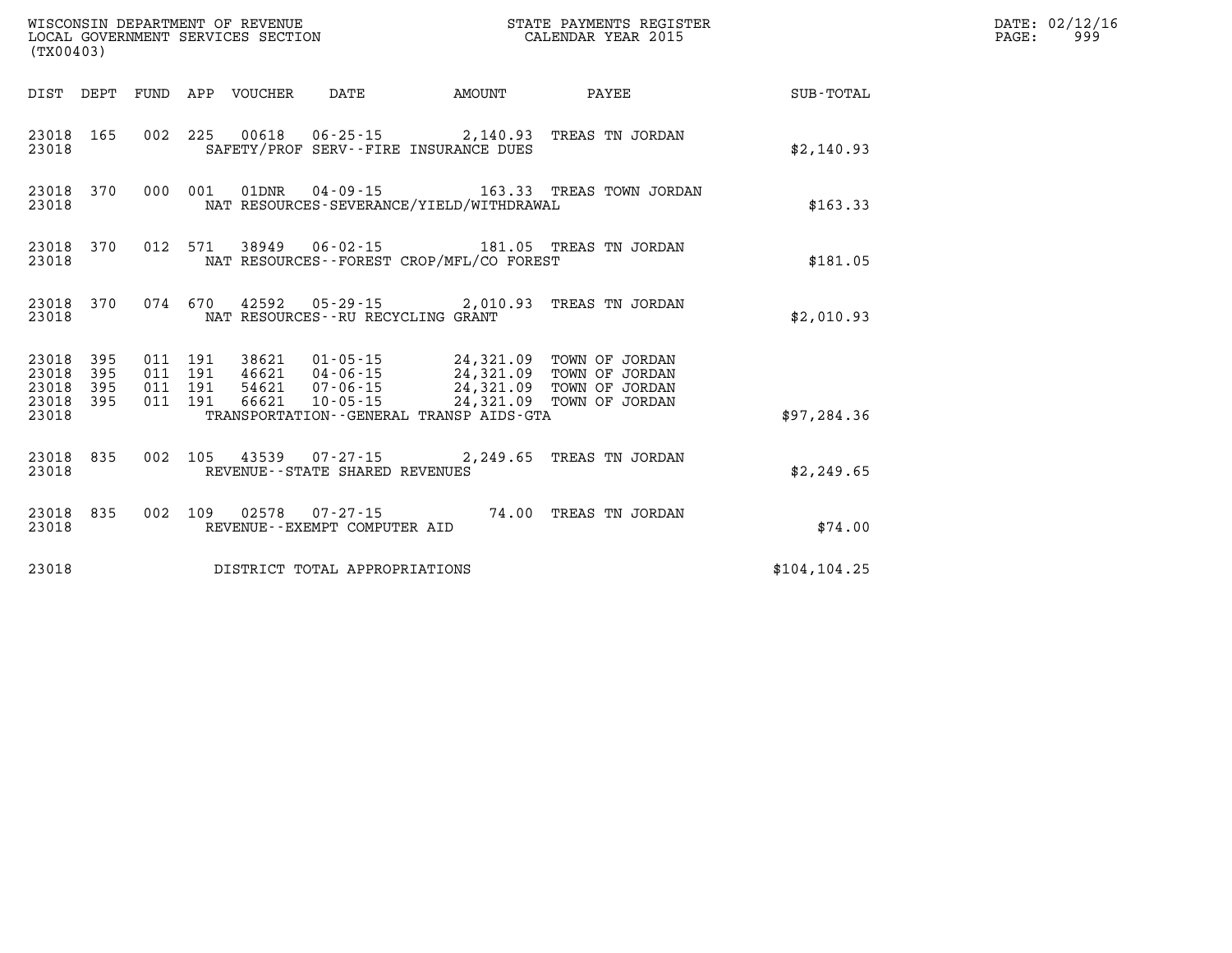| (TX00403)                                    |     |                                          |                            | WISCONSIN DEPARTMENT OF REVENUE<br>LOCAL GOVERNMENT SERVICES SECTION |                                            | STATE PAYMENTS REGISTER<br>CALENDAR YEAR 2015                                                                                                             |               | DATE: 02/12/16<br>999<br>$\mathtt{PAGE}$ : |
|----------------------------------------------|-----|------------------------------------------|----------------------------|----------------------------------------------------------------------|--------------------------------------------|-----------------------------------------------------------------------------------------------------------------------------------------------------------|---------------|--------------------------------------------|
|                                              |     |                                          | DIST DEPT FUND APP VOUCHER | DATE                                                                 | AMOUNT                                     | PAYEE                                                                                                                                                     | SUB-TOTAL     |                                            |
| 23018 165<br>23018                           |     |                                          |                            |                                                                      | SAFETY/PROF SERV--FIRE INSURANCE DUES      | 002 225 00618 06-25-15 2,140.93 TREAS TN JORDAN                                                                                                           | \$2,140.93    |                                            |
| 23018 370<br>23018                           |     | 000 001 01DNR                            |                            |                                                                      | NAT RESOURCES-SEVERANCE/YIELD/WITHDRAWAL   |                                                                                                                                                           | \$163.33      |                                            |
| 23018 370<br>23018                           |     |                                          |                            |                                                                      | NAT RESOURCES -- FOREST CROP/MFL/CO FOREST | 012 571 38949 06-02-15 181.05 TREAS TN JORDAN                                                                                                             | \$181.05      |                                            |
| 23018 370<br>23018                           |     |                                          |                            | NAT RESOURCES--RU RECYCLING GRANT                                    |                                            | 074 670 42592 05-29-15 2,010.93 TREAS TN JORDAN                                                                                                           | \$2,010.93    |                                            |
| 23018 395<br>23018 395<br>23018<br>23018 395 | 395 | 011 191<br>011 191<br>011 191<br>011 191 | 38621<br>66621             | 10-05-15                                                             |                                            | 01-05-15 24,321.09 TOWN OF JORDAN<br>46621  04-06-15  24,321.09  TOWN OF JORDAN<br>54621  07-06-15  24,321.09  TOWN OF JORDAN<br>24,321.09 TOWN OF JORDAN |               |                                            |
| 23018                                        |     |                                          |                            |                                                                      | TRANSPORTATION--GENERAL TRANSP AIDS-GTA    |                                                                                                                                                           | \$97,284.36   |                                            |
| 23018 835<br>23018                           |     |                                          |                            | 002 105 43539 07-27-15<br>REVENUE - - STATE SHARED REVENUES          |                                            | 2,249.65 TREAS TN JORDAN                                                                                                                                  | \$2,249.65    |                                            |
| 23018 835<br>23018                           |     |                                          |                            | REVENUE--EXEMPT COMPUTER AID                                         |                                            | 002 109 02578 07-27-15 74.00 TREAS TN JORDAN                                                                                                              | \$74.00       |                                            |
| 23018                                        |     |                                          |                            | DISTRICT TOTAL APPROPRIATIONS                                        |                                            |                                                                                                                                                           | \$104, 104.25 |                                            |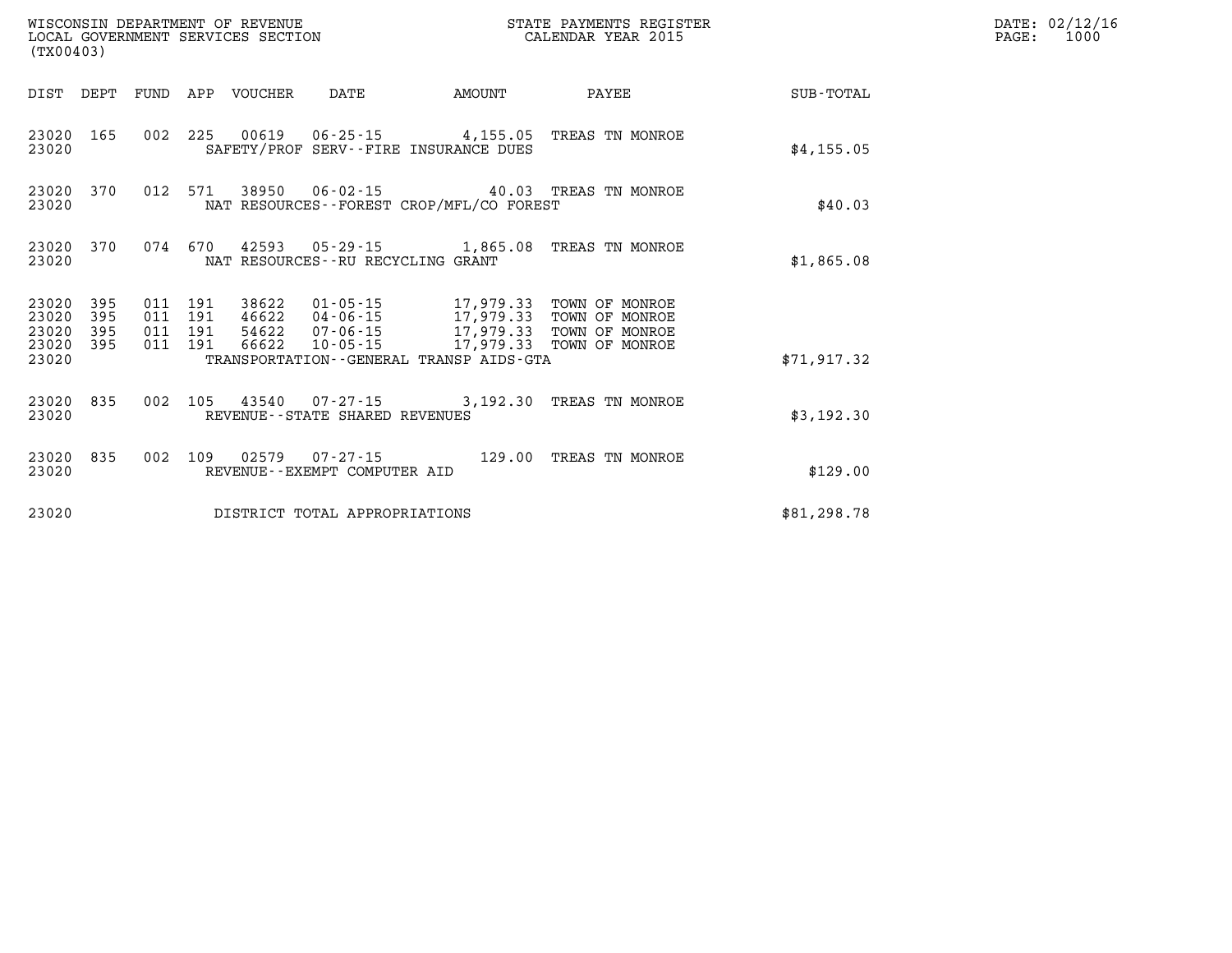| (TX00403)                                    |           |                               |  |                                 | WISCONSIN DEPARTMENT OF REVENUE<br>LOCAL GOVERNMENT SERVICES SECTION |                                                                                                                                                                                          | STATE PAYMENTS REGISTER<br>CALENDAR YEAR 2015             |             | $\mathtt{PAGE:}$ | DATE: 02/12/16<br>1000 |
|----------------------------------------------|-----------|-------------------------------|--|---------------------------------|----------------------------------------------------------------------|------------------------------------------------------------------------------------------------------------------------------------------------------------------------------------------|-----------------------------------------------------------|-------------|------------------|------------------------|
|                                              |           |                               |  | DIST DEPT FUND APP VOUCHER DATE |                                                                      | <b>AMOUNT</b>                                                                                                                                                                            | PAYEE                                                     | SUB-TOTAL   |                  |                        |
| 23020 165<br>23020                           |           |                               |  |                                 |                                                                      | SAFETY/PROF SERV--FIRE INSURANCE DUES                                                                                                                                                    | 002 225 00619 06-25-15 4,155.05 TREAS TN MONROE           | \$4,155.05  |                  |                        |
| 23020 370<br>23020                           |           |                               |  |                                 |                                                                      | NAT RESOURCES--FOREST CROP/MFL/CO FOREST                                                                                                                                                 | 012 571 38950 06-02-15 40.03 TREAS TN MONROE              | \$40.03     |                  |                        |
| 23020                                        | 23020 370 |                               |  |                                 | NAT RESOURCES - - RU RECYCLING GRANT                                 |                                                                                                                                                                                          | 074 670 42593 05-29-15 1,865.08 TREAS TN MONROE           | \$1,865.08  |                  |                        |
| 23020 395<br>23020<br>23020 395<br>23020 395 | 395       | 011 191<br>011 191<br>011 191 |  |                                 |                                                                      | 38622  01-05-15  17,979.33  TOWN OF MONROE<br>011 191 46622 04-06-15 17,979.33 TOWN OF MONROE<br>54622  07-06-15   17,979.33   TOWN OF MONROE<br>66622 10-05-15 17,979.33 TOWN OF MONROE |                                                           |             |                  |                        |
| 23020                                        |           |                               |  |                                 |                                                                      | TRANSPORTATION--GENERAL TRANSP AIDS-GTA                                                                                                                                                  |                                                           | \$71,917.32 |                  |                        |
| 23020                                        |           |                               |  |                                 | REVENUE--STATE SHARED REVENUES                                       |                                                                                                                                                                                          | 23020 835 002 105 43540 07-27-15 3,192.30 TREAS TN MONROE | \$3,192.30  |                  |                        |
| 23020                                        | 23020 835 |                               |  |                                 | REVENUE--EXEMPT COMPUTER AID                                         |                                                                                                                                                                                          | 002 109 02579 07-27-15 129.00 TREAS TN MONROE             | \$129.00    |                  |                        |
| 23020<br>DISTRICT TOTAL APPROPRIATIONS       |           |                               |  |                                 |                                                                      |                                                                                                                                                                                          | \$81,298.78                                               |             |                  |                        |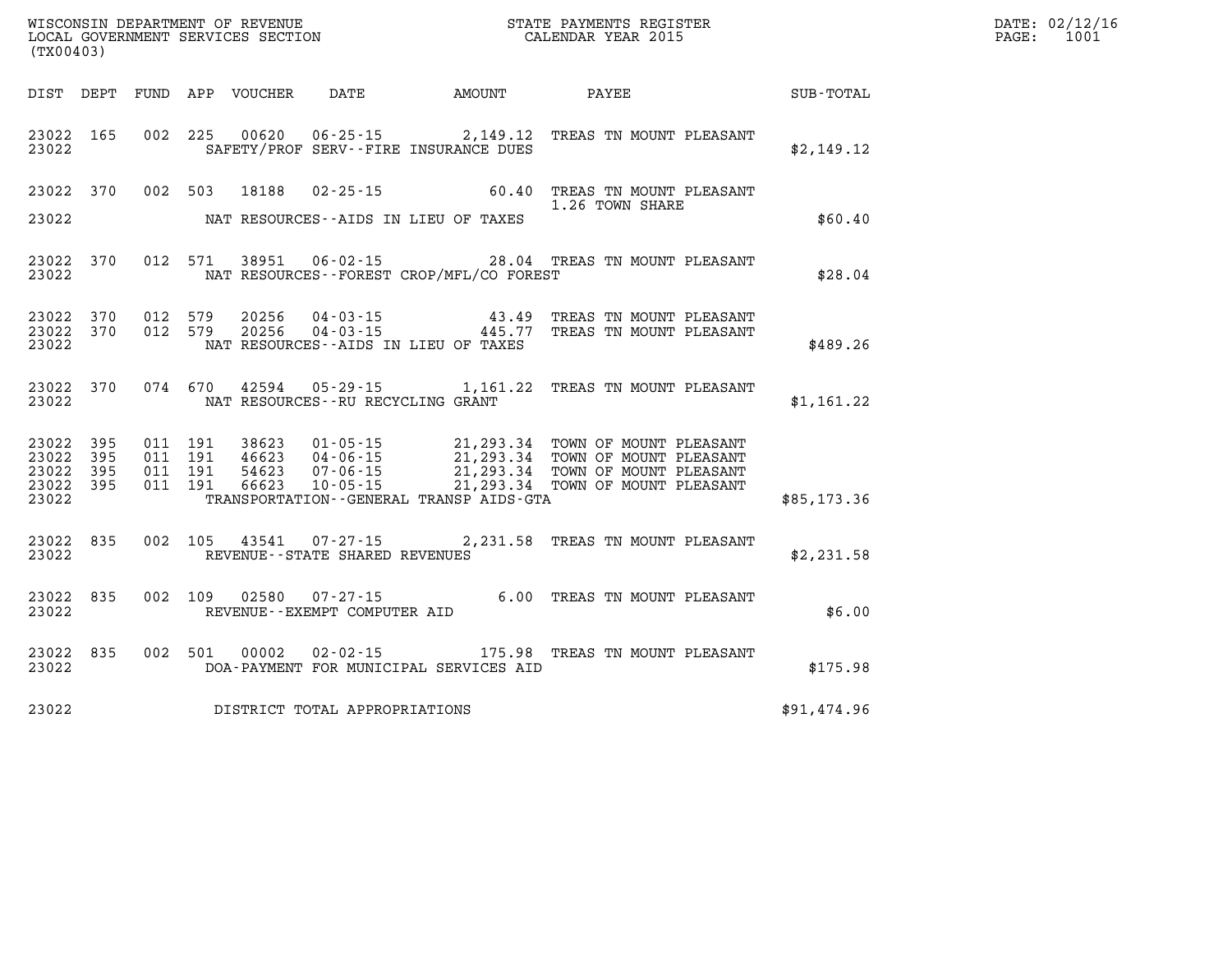| (TX00403)                                             |                        |  |                                                                    |                                              |                                                                                   |                                                    | DATE: 02/12/16<br>PAGE: 1001 |
|-------------------------------------------------------|------------------------|--|--------------------------------------------------------------------|----------------------------------------------|-----------------------------------------------------------------------------------|----------------------------------------------------|------------------------------|
|                                                       |                        |  |                                                                    |                                              |                                                                                   | DIST DEPT FUND APP VOUCHER DATE AMOUNT PAYEE TOTAL |                              |
| 23022                                                 |                        |  | SAFETY/PROF SERV--FIRE INSURANCE DUES                              |                                              | 23022 165 002 225 00620 06-25-15 2,149.12 TREAS TN MOUNT PLEASANT                 | \$2,149.12                                         |                              |
| 23022                                                 |                        |  | NAT RESOURCES--AIDS IN LIEU OF TAXES                               |                                              | 23022 370 002 503 18188 02-25-15 60.40 TREAS TN MOUNT PLEASANT<br>1.26 TOWN SHARE | \$60.40                                            |                              |
| 23022                                                 |                        |  |                                                                    | NAT RESOURCES -- FOREST CROP/MFL/CO FOREST   | 23022 370 012 571 38951 06-02-15 28.04 TREAS TN MOUNT PLEASANT                    | \$28.04                                            |                              |
| 23022                                                 | 23022 370<br>23022 370 |  | NAT RESOURCES--AIDS IN LIEU OF TAXES                               |                                              |                                                                                   | \$489.26                                           |                              |
| 23022                                                 | 23022 370              |  | NAT RESOURCES--RU RECYCLING GRANT                                  |                                              | 074 670 42594 05-29-15 1,161.22 TREAS TN MOUNT PLEASANT                           | \$1,161.22                                         |                              |
| 23022 395<br>23022<br>23022 395<br>23022 395<br>23022 | 395                    |  |                                                                    | TRANSPORTATION - - GENERAL TRANSP AIDS - GTA |                                                                                   | \$85,173.36                                        |                              |
| 23022                                                 |                        |  | 23022 835 002 105 43541 07-27-15<br>REVENUE--STATE SHARED REVENUES |                                              | 2,231.58 TREAS TN MOUNT PLEASANT                                                  | \$2,231.58                                         |                              |
| 23022                                                 | 23022 835              |  | REVENUE--EXEMPT COMPUTER AID                                       |                                              | 002 109 02580 07-27-15 6.00 TREAS TN MOUNT PLEASANT                               | \$6.00                                             |                              |
| 23022                                                 |                        |  |                                                                    | DOA-PAYMENT FOR MUNICIPAL SERVICES AID       | 23022 835 002 501 00002 02-02-15 175.98 TREAS TN MOUNT PLEASANT                   | \$175.98                                           |                              |
| 23022                                                 |                        |  | DISTRICT TOTAL APPROPRIATIONS                                      |                                              |                                                                                   | \$91,474.96                                        |                              |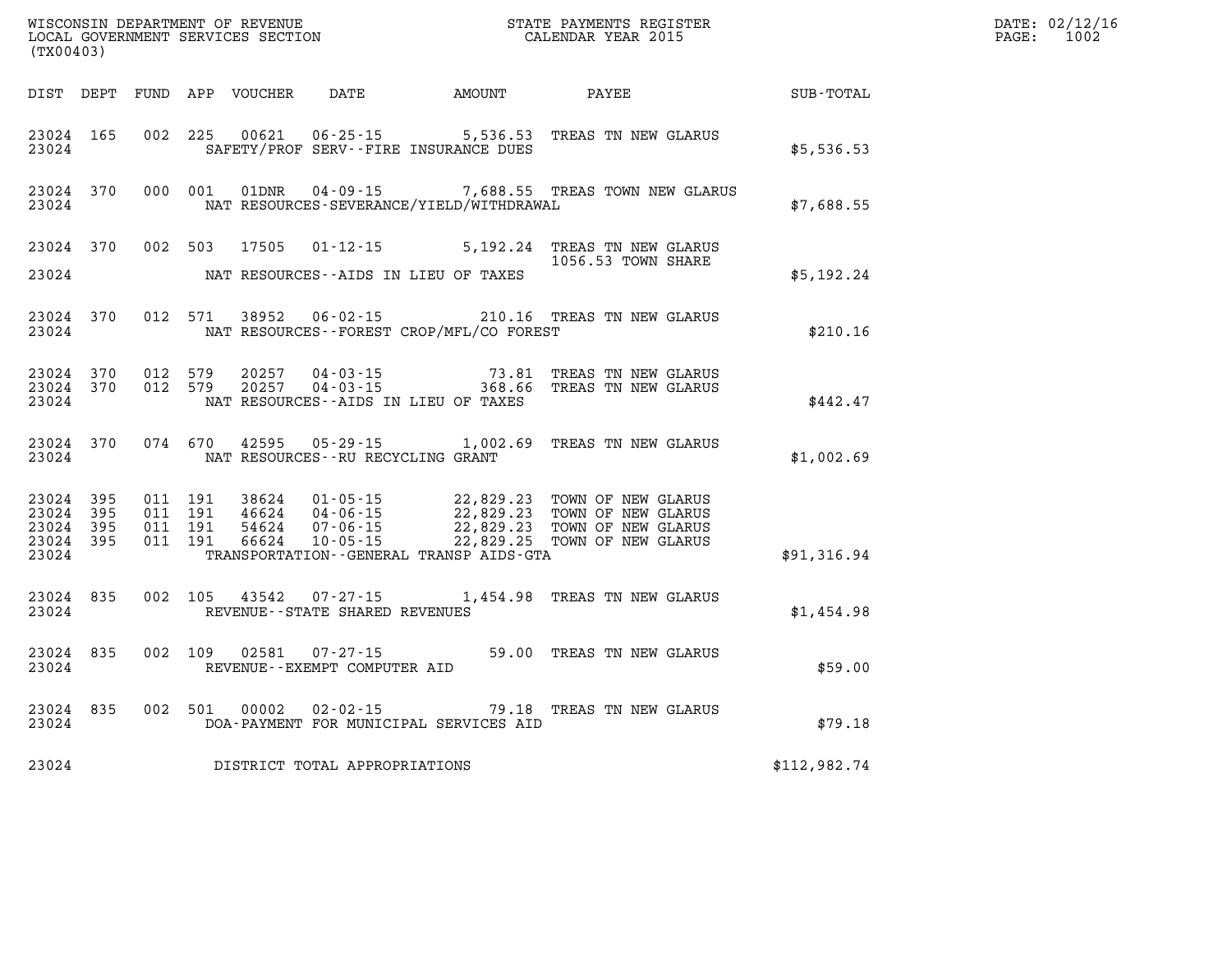| (TX00403)                                                 |                   |                                          |         | WISCONSIN DEPARTMENT OF REVENUE<br>LOCAL GOVERNMENT SERVICES SECTION |                                                     |                                                   | STATE PAYMENTS REGISTER<br>CALENDAR YEAR 2015                                                                                                                                                                                        |              | DATE: 02/12/16<br>$\mathtt{PAGE:}$<br>1002 |
|-----------------------------------------------------------|-------------------|------------------------------------------|---------|----------------------------------------------------------------------|-----------------------------------------------------|---------------------------------------------------|--------------------------------------------------------------------------------------------------------------------------------------------------------------------------------------------------------------------------------------|--------------|--------------------------------------------|
|                                                           |                   |                                          |         |                                                                      | DIST DEPT FUND APP VOUCHER DATE AMOUNT              |                                                   | PAYEE                                                                                                                                                                                                                                | SUB-TOTAL    |                                            |
| 23024 165<br>23024                                        |                   | 002 225                                  |         | 00621                                                                | $06 - 25 - 15$                                      | 5,536.53<br>SAFETY/PROF SERV--FIRE INSURANCE DUES | TREAS TN NEW GLARUS                                                                                                                                                                                                                  | \$5,536.53   |                                            |
| 23024                                                     | 23024 370         |                                          | 000 001 | 01DNR                                                                |                                                     | NAT RESOURCES-SEVERANCE/YIELD/WITHDRAWAL          | 04-09-15 7,688.55 TREAS TOWN NEW GLARUS                                                                                                                                                                                              | \$7,688.55   |                                            |
| 23024 370<br>23024                                        |                   | 002 503                                  |         | 17505                                                                | $01 - 12 - 15$                                      | NAT RESOURCES--AIDS IN LIEU OF TAXES              | 5,192.24 TREAS TN NEW GLARUS<br>1056.53 TOWN SHARE                                                                                                                                                                                   | \$5,192.24   |                                            |
| 23024 370<br>23024                                        |                   | 012 571                                  |         | 38952                                                                | $06 - 02 - 15$                                      | NAT RESOURCES - - FOREST CROP/MFL/CO FOREST       | 210.16 TREAS TN NEW GLARUS                                                                                                                                                                                                           | \$210.16     |                                            |
| 23024 370<br>23024                                        | 23024 370 012 579 | 012 579                                  |         |                                                                      |                                                     | NAT RESOURCES--AIDS IN LIEU OF TAXES              | 20257  04-03-15  73.81  TREAS TN NEW GLARUS<br>20257  04-03-15  368.66  TREAS TN NEW GLARUS                                                                                                                                          | \$442.47     |                                            |
| 23024                                                     | 23024 370         |                                          |         | 074 670 42595                                                        | NAT RESOURCES - - RU RECYCLING GRANT                |                                                   | 05-29-15 1,002.69 TREAS TN NEW GLARUS                                                                                                                                                                                                | \$1,002.69   |                                            |
| 23024 395<br>23024 395<br>23024 395<br>23024 395<br>23024 |                   | 011 191<br>011 191<br>011 191<br>011 191 |         | 66624                                                                | $10 - 05 - 15$                                      | TRANSPORTATION - - GENERAL TRANSP AIDS - GTA      | 38624  01-05-15  22,829.23  TOWN OF NEW GLARUS<br>46624  04-06-15  22,829.23  TOWN OF NEW GLARUS<br>54624  07-06-15  22,829.23  TOWN OF NEW GLARUS<br>66624  10-05-15  22,829.25  TOWN OF NEW GLARUS<br>22,829.25 TOWN OF NEW GLARUS | \$91,316.94  |                                            |
| 23024 835<br>23024                                        |                   |                                          | 002 105 |                                                                      | 43542 07-27-15<br>REVENUE - - STATE SHARED REVENUES |                                                   | 1,454.98 TREAS TN NEW GLARUS                                                                                                                                                                                                         | \$1,454.98   |                                            |
| 23024 835<br>23024                                        |                   | 002 109                                  |         | 02581                                                                | $07 - 27 - 15$<br>REVENUE--EXEMPT COMPUTER AID      |                                                   | 59.00 TREAS TN NEW GLARUS                                                                                                                                                                                                            | \$59.00      |                                            |
| 23024                                                     | 23024 835         |                                          |         | 002 501 00002                                                        | $02 - 02 - 15$                                      | DOA-PAYMENT FOR MUNICIPAL SERVICES AID            | 79.18 TREAS TN NEW GLARUS                                                                                                                                                                                                            | \$79.18      |                                            |
| 23024                                                     |                   |                                          |         |                                                                      | DISTRICT TOTAL APPROPRIATIONS                       |                                                   |                                                                                                                                                                                                                                      | \$112,982.74 |                                            |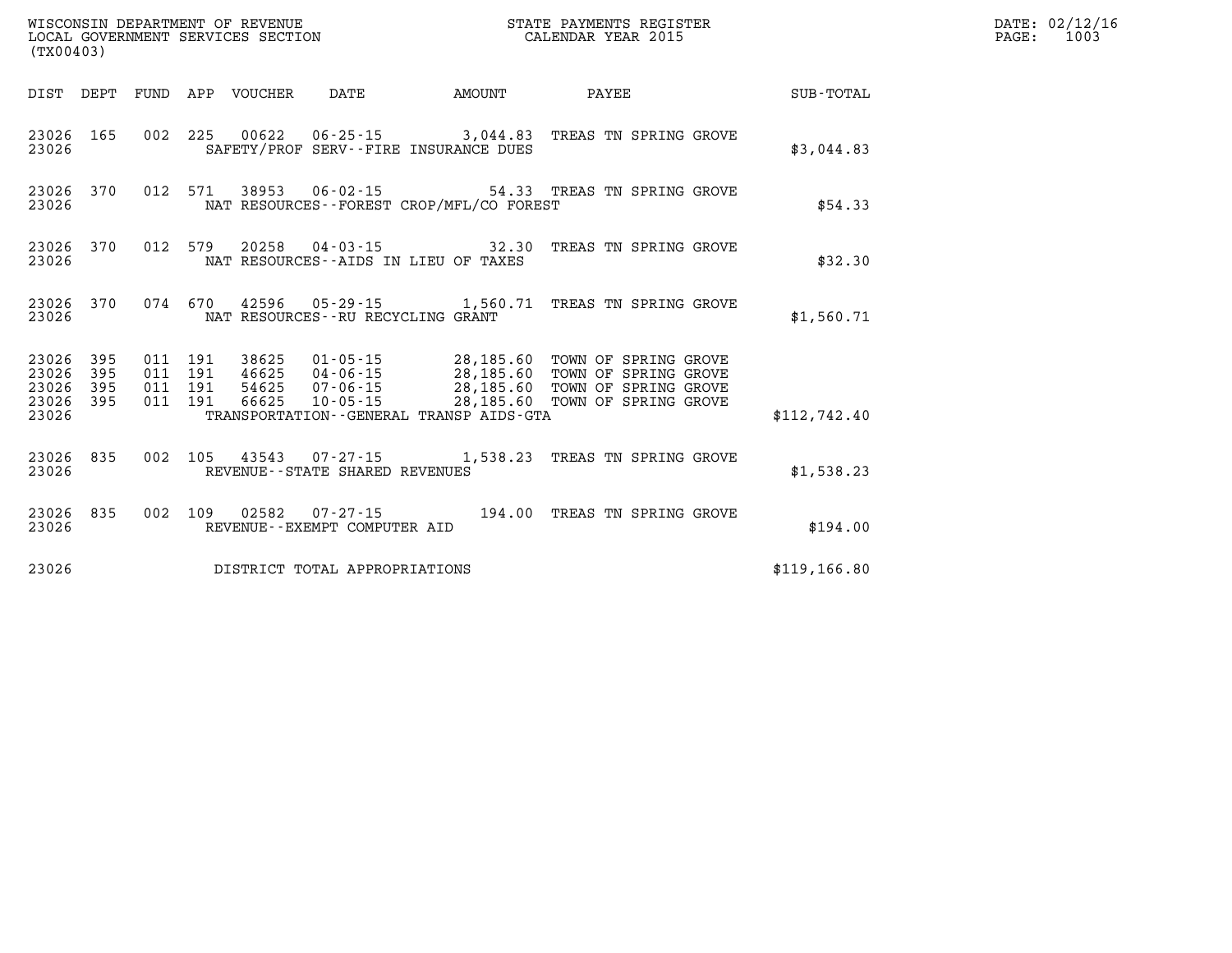| (TX00403) |                                                  |  |                                   |                                              |                                                                                                                                                                                                                                  |               | DATE: 02/12/16<br>$\mathtt{PAGE:}$<br>1003 |
|-----------|--------------------------------------------------|--|-----------------------------------|----------------------------------------------|----------------------------------------------------------------------------------------------------------------------------------------------------------------------------------------------------------------------------------|---------------|--------------------------------------------|
|           |                                                  |  |                                   |                                              |                                                                                                                                                                                                                                  |               |                                            |
| 23026     | 23026 165                                        |  |                                   | SAFETY/PROF SERV--FIRE INSURANCE DUES        | 002 225 00622 06-25-15 3,044.83 TREAS TN SPRING GROVE                                                                                                                                                                            | \$3,044.83    |                                            |
| 23026     | 23026 370                                        |  |                                   | NAT RESOURCES--FOREST CROP/MFL/CO FOREST     | 012 571 38953 06-02-15 54.33 TREAS TN SPRING GROVE                                                                                                                                                                               | \$54.33       |                                            |
| 23026     |                                                  |  |                                   | NAT RESOURCES--AIDS IN LIEU OF TAXES         | 23026 370 012 579 20258 04-03-15 32.30 TREAS TN SPRING GROVE                                                                                                                                                                     | \$32.30       |                                            |
| 23026     | 23026 370                                        |  | NAT RESOURCES--RU RECYCLING GRANT |                                              | 074 670 42596 05-29-15 1,560.71 TREAS TN SPRING GROVE                                                                                                                                                                            | \$1,560.71    |                                            |
| 23026     | 23026 395<br>23026 395<br>23026 395<br>23026 395 |  |                                   | TRANSPORTATION - - GENERAL TRANSP AIDS - GTA | 011 191 38625 01-05-15 28,185.60 TOWN OF SPRING GROVE<br>011 191 46625 04-06-15 28,185.60 TOWN OF SPRING GROVE<br>011 191 54625 07-06-15 28,185.60 TOWN OF SPRING GROVE<br>011 191 66625 10-05-15 28,185.60 TOWN OF SPRING GROVE | \$112,742.40  |                                            |
| 23026     | 23026 835                                        |  | REVENUE--STATE SHARED REVENUES    |                                              | 002 105 43543 07-27-15 1,538.23 TREAS TN SPRING GROVE                                                                                                                                                                            | \$1,538.23    |                                            |
| 23026     | 23026 835                                        |  | REVENUE--EXEMPT COMPUTER AID      |                                              | 002 109 02582 07-27-15 194.00 TREAS TN SPRING GROVE                                                                                                                                                                              | \$194.00      |                                            |
| 23026     |                                                  |  | DISTRICT TOTAL APPROPRIATIONS     |                                              |                                                                                                                                                                                                                                  | \$119, 166.80 |                                            |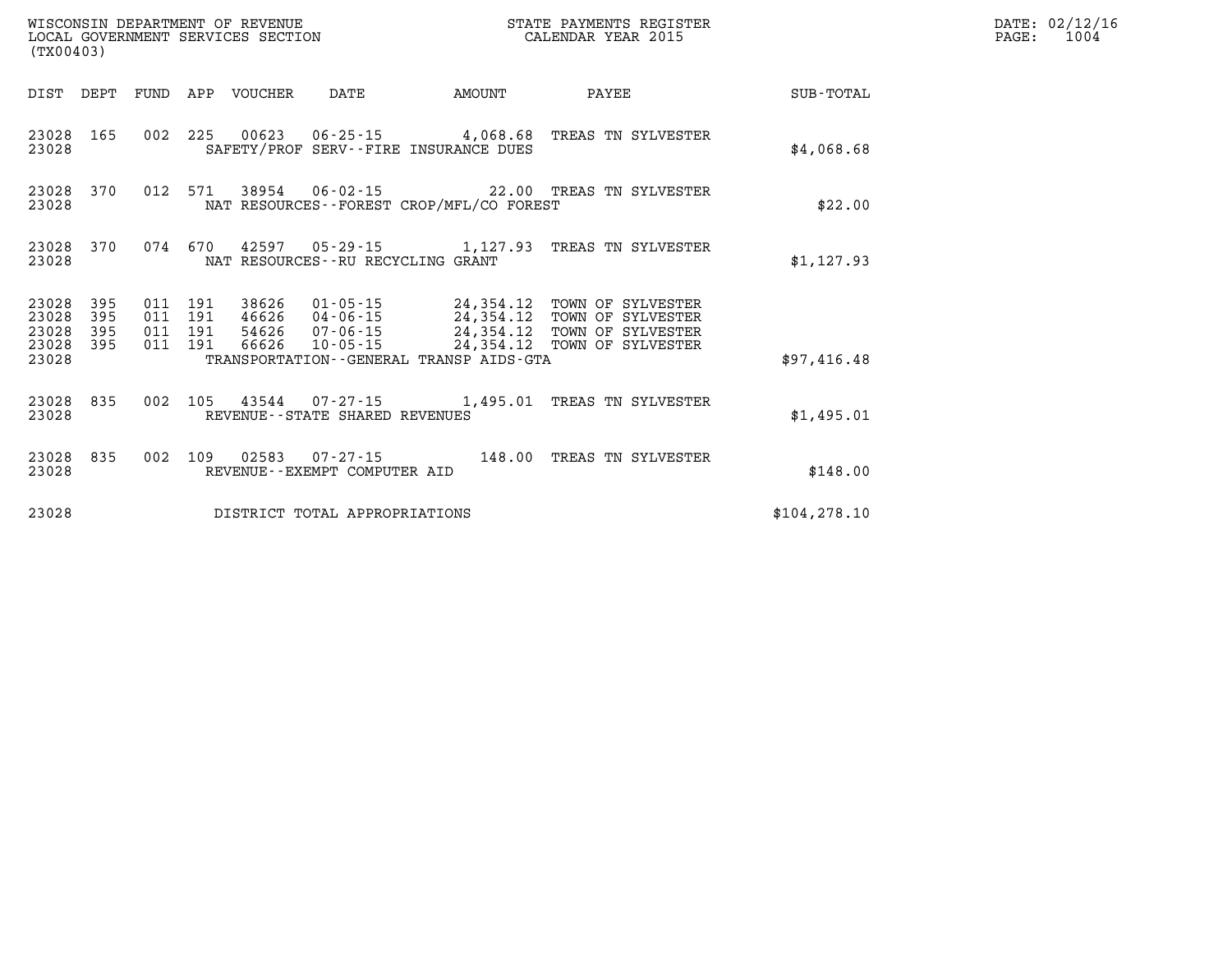| (TX00403)               |                   |                                          |                            |                                      |                                              | STATE PAYMENTS REGISTER                                                                                                                                                                 |               | DATE: 02/12/16<br>1004<br>$\mathtt{PAGE:}$ |
|-------------------------|-------------------|------------------------------------------|----------------------------|--------------------------------------|----------------------------------------------|-----------------------------------------------------------------------------------------------------------------------------------------------------------------------------------------|---------------|--------------------------------------------|
|                         |                   |                                          | DIST DEPT FUND APP VOUCHER | DATE                                 | <b>AMOUNT</b>                                | PAYEE                                                                                                                                                                                   | SUB-TOTAL     |                                            |
| 23028 165<br>23028      |                   |                                          |                            |                                      | SAFETY/PROF SERV--FIRE INSURANCE DUES        | 002 225 00623 06-25-15 4,068.68 TREAS TN SYLVESTER                                                                                                                                      | \$4,068.68    |                                            |
| 23028 370<br>23028      |                   |                                          |                            |                                      | NAT RESOURCES--FOREST CROP/MFL/CO FOREST     | 012 571 38954 06-02-15 22.00 TREAS TN SYLVESTER                                                                                                                                         | \$22.00       |                                            |
| 23028 370<br>23028      |                   |                                          |                            | NAT RESOURCES - - RU RECYCLING GRANT |                                              | 074 670 42597 05-29-15 1,127.93 TREAS TN SYLVESTER                                                                                                                                      | \$1,127.93    |                                            |
| 23028<br>23028<br>23028 | 395<br>395<br>395 | 011 191<br>011 191<br>011 191<br>011 191 |                            |                                      |                                              | 38626  01-05-15  24,354.12  TOWN OF SYLVESTER<br>46626 04-06-15 24,354.12 TOWN OF SYLVESTER<br>54626 07-06-15 24,354.12 TOWN OF SYLVESTER<br>66626 10-05-15 24,354.12 TOWN OF SYLVESTER |               |                                            |
| 23028 395<br>23028      |                   |                                          |                            |                                      | TRANSPORTATION - - GENERAL TRANSP AIDS - GTA |                                                                                                                                                                                         | \$97,416.48   |                                            |
| 23028 835<br>23028      |                   | 002                                      |                            | REVENUE--STATE SHARED REVENUES       |                                              | 105 43544 07-27-15 1,495.01 TREAS TN SYLVESTER                                                                                                                                          | \$1,495.01    |                                            |
| 23028 835<br>23028      |                   | 002 109                                  |                            | REVENUE--EXEMPT COMPUTER AID         |                                              | 02583  07-27-15  148.00 TREAS TN SYLVESTER                                                                                                                                              | \$148.00      |                                            |
| 23028                   |                   |                                          |                            | DISTRICT TOTAL APPROPRIATIONS        |                                              |                                                                                                                                                                                         | \$104, 278.10 |                                            |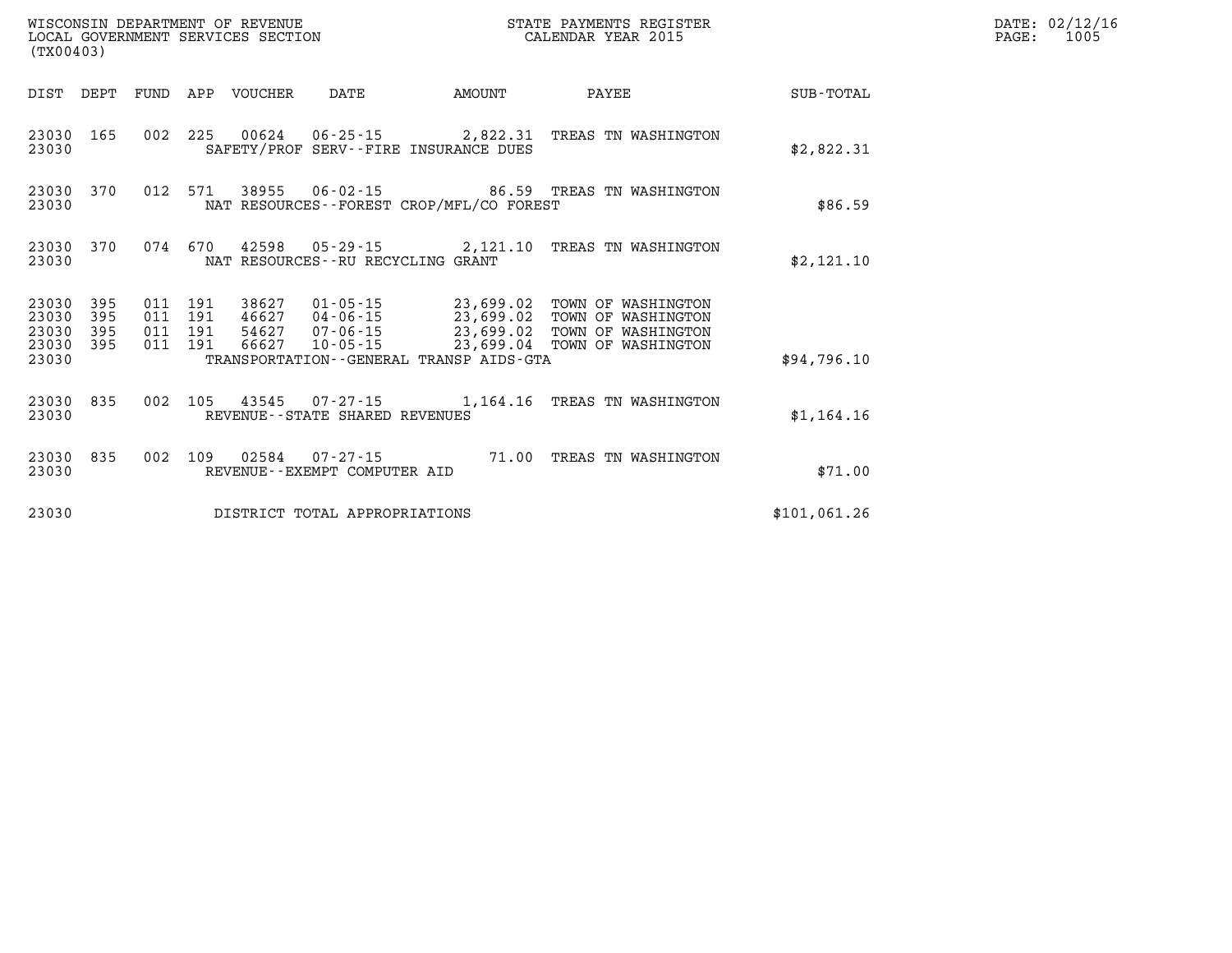| (TX00403)                              |            |                               |  |                            |                                                |                                             | STATE PAYMENTS REGISTER                                                                                                                                                                  |             | DATE: 02/12/16<br>1005<br>$\mathtt{PAGE:}$ |
|----------------------------------------|------------|-------------------------------|--|----------------------------|------------------------------------------------|---------------------------------------------|------------------------------------------------------------------------------------------------------------------------------------------------------------------------------------------|-------------|--------------------------------------------|
|                                        |            |                               |  | DIST DEPT FUND APP VOUCHER | DATE                                           | <b>EXAMPLE THE PROPERTY OF AMOUNT</b>       | <b>PAYEE</b>                                                                                                                                                                             | SUB-TOTAL   |                                            |
| 23030 165<br>23030                     |            |                               |  |                            |                                                | SAFETY/PROF SERV--FIRE INSURANCE DUES       | 002 225 00624 06-25-15 2,822.31 TREAS TN WASHINGTON                                                                                                                                      | \$2,822.31  |                                            |
| 23030 370<br>23030                     |            |                               |  |                            |                                                | NAT RESOURCES - - FOREST CROP/MFL/CO FOREST | 012 571 38955 06-02-15 86.59 TREAS TN WASHINGTON                                                                                                                                         | \$86.59     |                                            |
| 23030 370<br>23030                     |            |                               |  |                            | NAT RESOURCES--RU RECYCLING GRANT              |                                             | 074 670 42598 05-29-15 2,121.10 TREAS TN WASHINGTON                                                                                                                                      | \$2,121.10  |                                            |
| 23030<br>23030<br>23030 395            | 395<br>395 | 011 191<br>011 191<br>011 191 |  |                            |                                                |                                             | 38627 01-05-15 23,699.02 TOWN OF WASHINGTON<br>46627 04-06-15 23,699.02 TOWN OF WASHINGTON<br>54627 07-06-15 23,699.02 TOWN OF WASHINGTON<br>66627 10-05-15 23,699.04 TOWN OF WASHINGTON |             |                                            |
| 23030 395<br>23030                     |            | 011 191                       |  |                            |                                                | TRANSPORTATION--GENERAL TRANSP AIDS-GTA     |                                                                                                                                                                                          | \$94,796.10 |                                            |
| 23030 835<br>23030                     |            |                               |  |                            | REVENUE--STATE SHARED REVENUES                 |                                             | 002 105 43545 07-27-15 1,164.16 TREAS TN WASHINGTON                                                                                                                                      | \$1,164.16  |                                            |
| 23030 835<br>23030                     |            | 002 109                       |  |                            | 02584 07-27-15<br>REVENUE--EXEMPT COMPUTER AID |                                             | 71.00 TREAS TN WASHINGTON                                                                                                                                                                | \$71.00     |                                            |
| 23030<br>DISTRICT TOTAL APPROPRIATIONS |            |                               |  |                            |                                                |                                             | \$101,061.26                                                                                                                                                                             |             |                                            |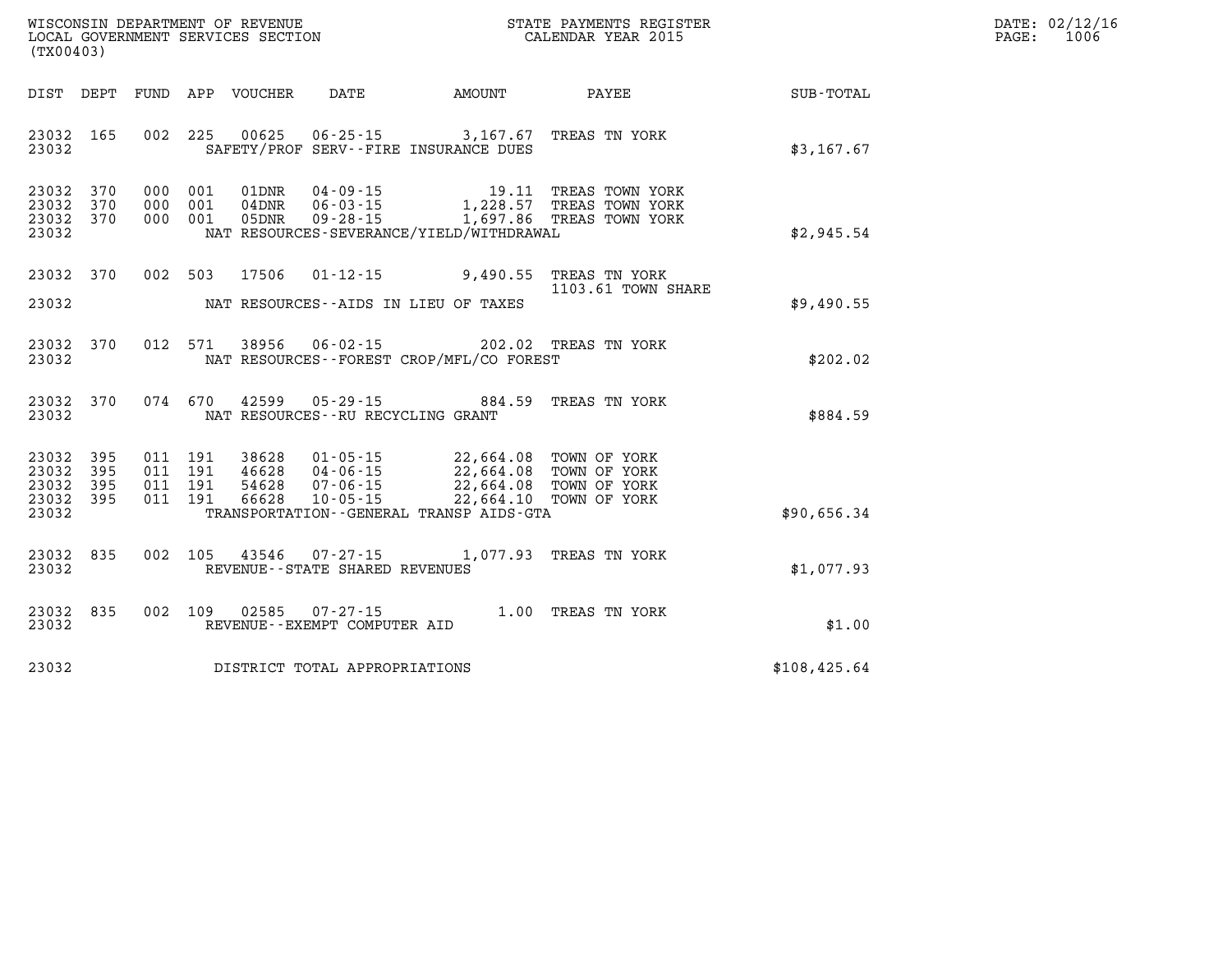| $\mathtt{DATE}$ : | 02/12/16 |
|-------------------|----------|
| PAGE:             | 1006     |

| (TX00403)                                                             |                          |                                                              |                                                                      |                                                                                |                                                                        |              |
|-----------------------------------------------------------------------|--------------------------|--------------------------------------------------------------|----------------------------------------------------------------------|--------------------------------------------------------------------------------|------------------------------------------------------------------------|--------------|
| DIST<br>DEPT                                                          | FUND                     | APP VOUCHER                                                  | DATE                                                                 | AMOUNT                                                                         | PAYEE                                                                  | SUB-TOTAL    |
| 23032<br>165<br>23032                                                 | 002                      | 225<br>00625                                                 |                                                                      | $06 - 25 - 15$ 3, 167.67<br>SAFETY/PROF SERV--FIRE INSURANCE DUES              | TREAS TN YORK                                                          | \$3,167.67   |
| 370<br>23032<br>23032<br>370<br>23032<br>370<br>23032                 | 000<br>000<br>000        | 001<br>01DNR<br>001<br>$04$ DNR<br>001<br>05DNR              | $04 - 09 - 15$<br>$06 - 03 - 15$<br>$09 - 28 - 15$                   | 19.11<br>1,228.57<br>1,697.86<br>NAT RESOURCES-SEVERANCE/YIELD/WITHDRAWAL      | TREAS TOWN YORK<br>TREAS TOWN YORK<br>TREAS TOWN YORK                  | \$2,945.54   |
| 23032<br>370                                                          | 002                      | 503<br>17506                                                 | $01 - 12 - 15$                                                       | 9,490.55                                                                       | TREAS TN YORK<br>1103.61 TOWN SHARE                                    |              |
| 23032                                                                 |                          |                                                              |                                                                      | NAT RESOURCES -- AIDS IN LIEU OF TAXES                                         |                                                                        | \$9,490.55   |
| 23032<br>370<br>23032                                                 | 012                      | 571<br>38956                                                 | $06 - 02 - 15$                                                       | NAT RESOURCES - - FOREST CROP/MFL/CO FOREST                                    | 202.02 TREAS TN YORK                                                   | \$202.02     |
| 23032<br>370<br>23032                                                 | 074                      | 670<br>42599                                                 | $05 - 29 - 15$<br>NAT RESOURCES - - RU RECYCLING GRANT               | 884.59                                                                         | TREAS TN YORK                                                          | \$884.59     |
| 23032<br>395<br>23032<br>395<br>23032<br>395<br>23032<br>395<br>23032 | 011<br>011<br>011<br>011 | 191<br>38628<br>191<br>46628<br>191<br>54628<br>191<br>66628 | $01 - 05 - 15$<br>$04 - 06 - 15$<br>$07 - 06 - 15$<br>$10 - 05 - 15$ | 22,664.08<br>22,664.08<br>22,664.10<br>TRANSPORTATION--GENERAL TRANSP AIDS-GTA | 22,664.08 TOWN OF YORK<br>TOWN OF YORK<br>TOWN OF YORK<br>TOWN OF YORK | \$90,656.34  |
| 23032<br>835<br>23032                                                 | 002                      | 105<br>43546                                                 | $07 - 27 - 15$<br>REVENUE - - STATE SHARED REVENUES                  | 1,077.93                                                                       | TREAS TN YORK                                                          | \$1,077.93   |
| 23032<br>835<br>23032                                                 | 002                      | 109<br>02585                                                 | $07 - 27 - 15$<br>REVENUE--EXEMPT COMPUTER AID                       | 1.00                                                                           | TREAS TN YORK                                                          | \$1.00       |
| 23032                                                                 |                          |                                                              | DISTRICT TOTAL APPROPRIATIONS                                        |                                                                                |                                                                        | \$108,425.64 |

WISCONSIN DEPARTMENT OF REVENUE **STATE PAYMENTS REGISTER**<br>LOCAL GOVERNMENT SERVICES SECTION

LOCAL GOVERNMENT SERVICES SECTION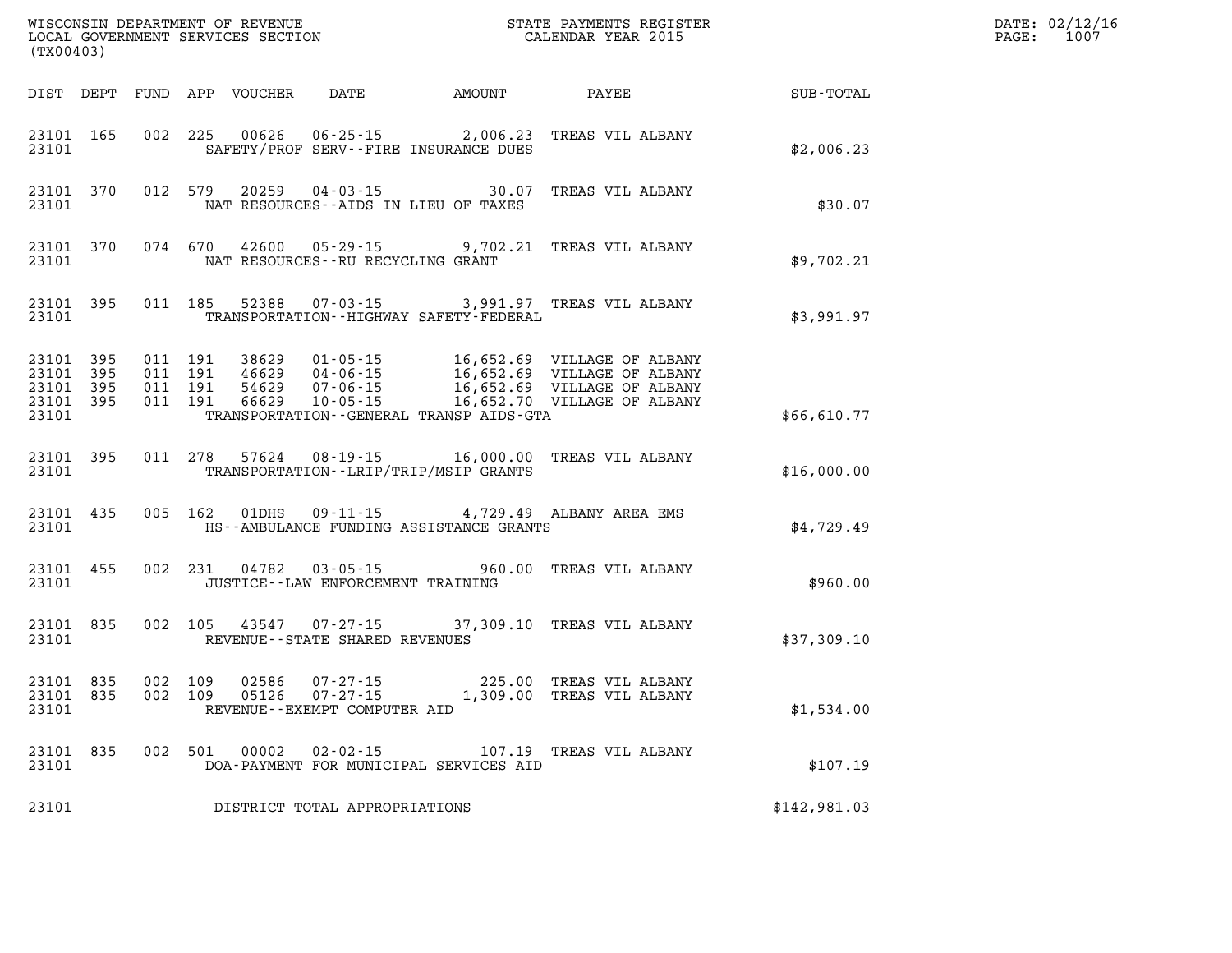| (TX00403)                                    |                    |         |                               |                |                                   |                                              | ${\tt WISCONSIM\ DEPARTMENT\ OF\ REVENUE}\qquad \qquad {\tt STATE\ PAYMENTS\ REGIS:}\label{thm:2015}$ LOCAL GOVERNMENT SERVICES SECTION $\hfill {\tt CALEINDAR\ YEAR\ 2015}$<br>STATE PAYMENTS REGISTER |                  | DATE: 02/12/16<br>$\mathtt{PAGE:}$<br>1007 |
|----------------------------------------------|--------------------|---------|-------------------------------|----------------|-----------------------------------|----------------------------------------------|---------------------------------------------------------------------------------------------------------------------------------------------------------------------------------------------------------|------------------|--------------------------------------------|
|                                              |                    |         |                               |                |                                   | DIST DEPT FUND APP VOUCHER DATE AMOUNT PAYEE |                                                                                                                                                                                                         | <b>SUB-TOTAL</b> |                                            |
| 23101                                        | 23101 165          |         |                               | 002 225 00626  |                                   | SAFETY/PROF SERV--FIRE INSURANCE DUES        | 06-25-15 2,006.23 TREAS VIL ALBANY                                                                                                                                                                      | \$2,006.23       |                                            |
| 23101                                        | 23101 370          |         | 012 579                       |                |                                   | NAT RESOURCES--AIDS IN LIEU OF TAXES         | 20259  04-03-15  30.07  TREAS VIL ALBANY                                                                                                                                                                | \$30.07          |                                            |
|                                              | 23101 370<br>23101 |         |                               |                | NAT RESOURCES--RU RECYCLING GRANT |                                              | 074 670 42600 05-29-15 9,702.21 TREAS VIL ALBANY                                                                                                                                                        | \$9,702.21       |                                            |
| 23101                                        | 23101 395          |         |                               |                |                                   | TRANSPORTATION - - HIGHWAY SAFETY - FEDERAL  | 011 185 52388 07-03-15 3,991.97 TREAS VIL ALBANY                                                                                                                                                        | \$3,991.97       |                                            |
| 23101 395<br>23101 395<br>23101 395<br>23101 | 23101 395          | 011 191 | 011 191<br>011 191<br>011 191 |                |                                   | TRANSPORTATION--GENERAL TRANSP AIDS-GTA      | 38629  01-05-15  16,652.69  VILLAGE OF ALBANY<br>46629  04-06-15  16,652.69  VILLAGE OF ALBANY<br>54629  07-06-15  16,652.69  VILLAGE OF ALBANY<br>66629  10-05-15  16,652.70  VILLAGE OF ALBANY        | \$66,610.77      |                                            |
| 23101                                        | 23101 395          |         |                               |                |                                   | TRANSPORTATION - - LRIP/TRIP/MSIP GRANTS     | 011  278  57624  08-19-15  16,000.00  TREAS VIL ALBANY                                                                                                                                                  | \$16,000.00      |                                            |
|                                              | 23101 435<br>23101 |         |                               |                |                                   | HS--AMBULANCE FUNDING ASSISTANCE GRANTS      | 005 162 01DHS 09-11-15 4,729.49 ALBANY AREA EMS                                                                                                                                                         | \$4,729.49       |                                            |
| 23101                                        | 23101 455          |         |                               |                | JUSTICE--LAW ENFORCEMENT TRAINING |                                              | 002 231 04782 03-05-15 960.00 TREAS VIL ALBANY                                                                                                                                                          | \$960.00         |                                            |
| 23101                                        | 23101 835          |         |                               |                | REVENUE--STATE SHARED REVENUES    |                                              | 002 105 43547 07-27-15 37,309.10 TREAS VIL ALBANY                                                                                                                                                       | \$37,309.10      |                                            |
| 23101 835<br>23101 835<br>23101              |                    |         | 002 109<br>002 109            | 02586<br>05126 | REVENUE--EXEMPT COMPUTER AID      |                                              | 07-27-15 225.00 TREAS VIL ALBANY<br>07-27-15 1,309.00 TREAS VIL ALBANY                                                                                                                                  | \$1,534.00       |                                            |
|                                              | 23101 835<br>23101 |         |                               |                |                                   | DOA-PAYMENT FOR MUNICIPAL SERVICES AID       | 002 501 00002 02-02-15 107.19 TREAS VIL ALBANY                                                                                                                                                          | \$107.19         |                                            |
| 23101                                        |                    |         |                               |                | DISTRICT TOTAL APPROPRIATIONS     |                                              |                                                                                                                                                                                                         | \$142,981.03     |                                            |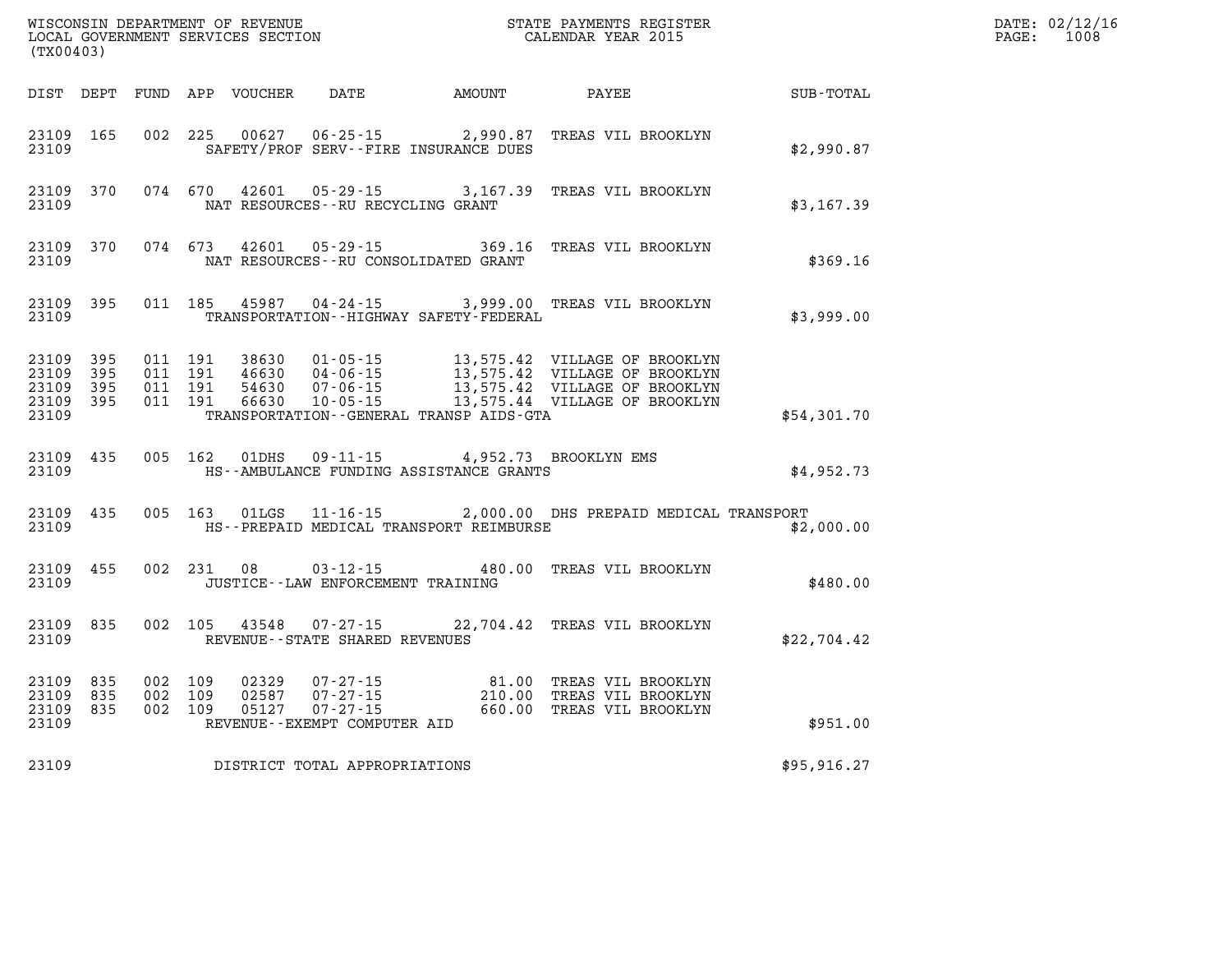| (TX00403)                                     |                   |                                          |         | WISCONSIN DEPARTMENT OF REVENUE<br>LOCAL GOVERNMENT SERVICES SECTION |                                                        |                                                   | STATE PAYMENTS REGISTER<br>CALENDAR YEAR 2015                                                                                                                        |              | DATE: 02/12/16<br>$\mathtt{PAGE}$ :<br>1008 |
|-----------------------------------------------|-------------------|------------------------------------------|---------|----------------------------------------------------------------------|--------------------------------------------------------|---------------------------------------------------|----------------------------------------------------------------------------------------------------------------------------------------------------------------------|--------------|---------------------------------------------|
|                                               |                   |                                          |         |                                                                      | DIST DEPT FUND APP VOUCHER DATE AMOUNT                 |                                                   | PAYEE                                                                                                                                                                | SUB-TOTAL    |                                             |
| 23109 165<br>23109                            |                   |                                          | 002 225 | 00627                                                                | 06-25-15                                               | 2,990.87<br>SAFETY/PROF SERV--FIRE INSURANCE DUES | TREAS VIL BROOKLYN                                                                                                                                                   | \$2,990.87   |                                             |
| 23109 370<br>23109                            |                   |                                          | 074 670 |                                                                      | NAT RESOURCES - - RU RECYCLING GRANT                   |                                                   | 42601  05-29-15  3,167.39  TREAS VIL BROOKLYN                                                                                                                        | \$3,167.39   |                                             |
| 23109<br>23109                                | 370               |                                          | 074 673 |                                                                      |                                                        | NAT RESOURCES--RU CONSOLIDATED GRANT              | 42601  05-29-15  369.16  TREAS VIL BROOKLYN                                                                                                                          | \$369.16     |                                             |
| 23109 395<br>23109                            |                   |                                          | 011 185 |                                                                      |                                                        | TRANSPORTATION - - HIGHWAY SAFETY - FEDERAL       | 45987  04-24-15  3,999.00  TREAS VIL BROOKLYN                                                                                                                        | \$3,999.00   |                                             |
| 23109 395<br>23109<br>23109<br>23109<br>23109 | 395<br>395<br>395 | 011 191<br>011 191<br>011 191<br>011 191 |         | 38630<br>46630<br>54630<br>66630                                     |                                                        | TRANSPORTATION--GENERAL TRANSP AIDS-GTA           | 01-05-15 13,575.42 VILLAGE OF BROOKLYN<br>04-06-15 13,575.42 VILLAGE OF BROOKLYN<br>07-06-15 13,575.42 VILLAGE OF BROOKLYN<br>10-05-15 13,575.44 VILLAGE OF BROOKLYN | \$54,301.70  |                                             |
| 23109 435<br>23109                            |                   |                                          | 005 162 | 01DHS                                                                | $09 - 11 - 15$                                         | HS--AMBULANCE FUNDING ASSISTANCE GRANTS           | 4,952.73 BROOKLYN EMS                                                                                                                                                | \$4,952.73   |                                             |
| 23109 435<br>23109                            |                   |                                          | 005 163 |                                                                      |                                                        |                                                   | 01LGS  11-16-15  2,000.00 DHS PREPAID MEDICAL TRANSPORT<br>HS--PREPAID MEDICAL TRANSPORT REIMBURSE                                                                   | \$2,000.00   |                                             |
| 23109 455<br>23109                            |                   |                                          |         | 002 231 08                                                           | $03 - 12 - 15$<br>JUSTICE - - LAW ENFORCEMENT TRAINING | 480.00                                            | TREAS VIL BROOKLYN                                                                                                                                                   | \$480.00     |                                             |
| 23109 835<br>23109                            |                   |                                          | 002 105 | 43548                                                                | 07-27-15<br>REVENUE - - STATE SHARED REVENUES          |                                                   | 22,704.42 TREAS VIL BROOKLYN                                                                                                                                         | \$22,704.42  |                                             |
| 23109 835<br>23109<br>23109 835<br>23109      | 835               | 002 109<br>002 109<br>002 109            |         | 02329<br>02587<br>05127                                              | REVENUE--EXEMPT COMPUTER AID                           |                                                   | 07-27-15  81.00 TREAS VIL BROOKLYN<br>07-27-15  210.00 TREAS VIL BROOKLYN<br>07-27-15  660.00 TREAS VIL BROOKLYN                                                     | \$951.00     |                                             |
| 23109                                         |                   |                                          |         |                                                                      | DISTRICT TOTAL APPROPRIATIONS                          |                                                   |                                                                                                                                                                      | \$95, 916.27 |                                             |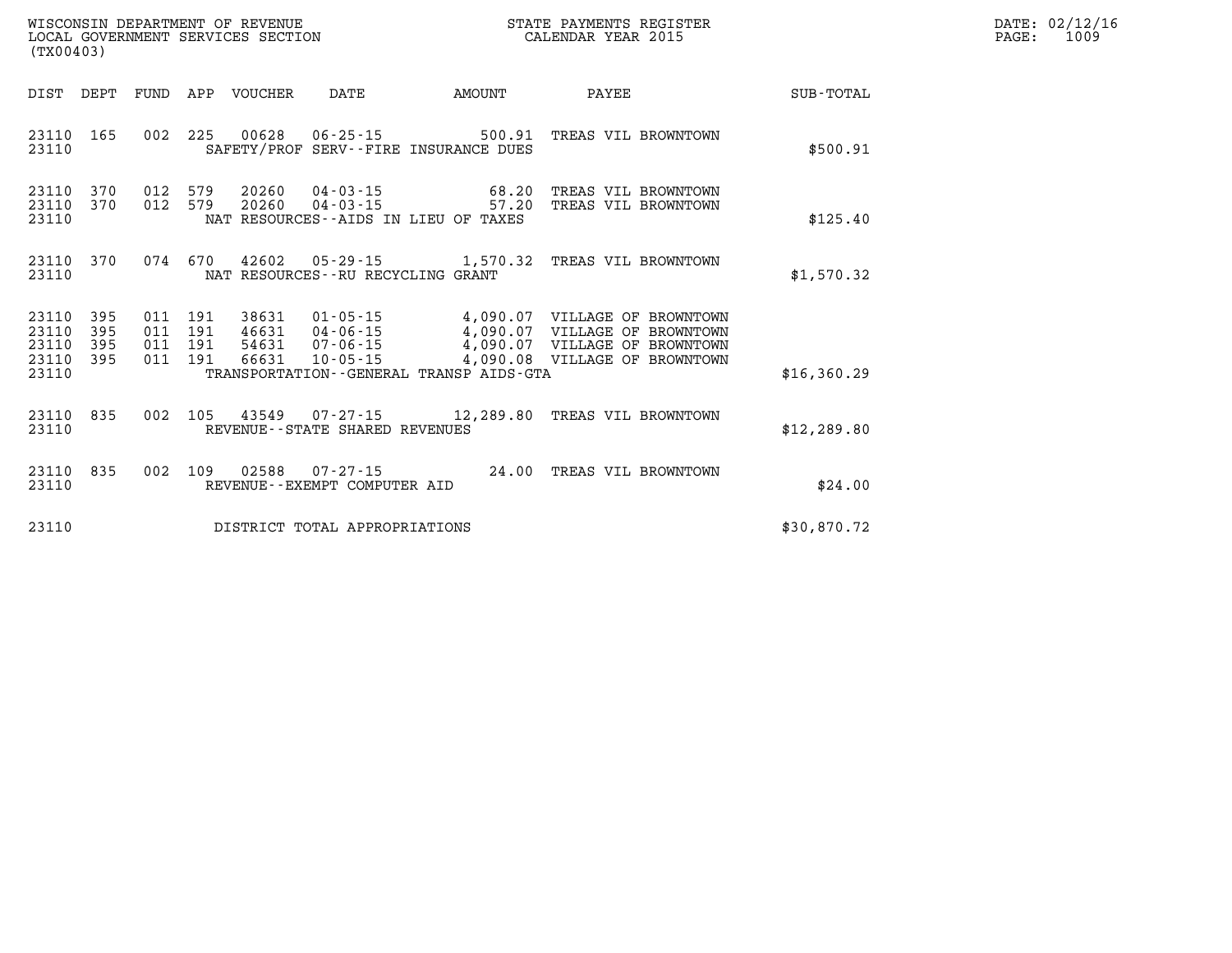| WISCONSIN DEPARTMENT OF REVENUE   | STATE PAYMENTS REGISTER | DATE: | 02/12/16 |
|-----------------------------------|-------------------------|-------|----------|
| LOCAL GOVERNMENT SERVICES SECTION | CALENDAR YEAR 2015      | PAGE  | 1009     |

| (TX00403)                                                             |                          |                                                                                                                                                                                                                                                                                                                                      |              |
|-----------------------------------------------------------------------|--------------------------|--------------------------------------------------------------------------------------------------------------------------------------------------------------------------------------------------------------------------------------------------------------------------------------------------------------------------------------|--------------|
| DIST<br>DEPT                                                          | FUND                     | APP<br><b>VOUCHER</b><br>DATE<br>AMOUNT<br>PAYEE                                                                                                                                                                                                                                                                                     | SUB-TOTAL    |
| 23110<br>165<br>23110                                                 | 002                      | 225<br>00628<br>$06 - 25 - 15$<br>500.91<br>TREAS VIL BROWNTOWN<br>SAFETY/PROF<br>SERV--FIRE INSURANCE DUES                                                                                                                                                                                                                          | \$500.91     |
| 23110<br>370<br>23110<br>370<br>23110                                 | 012<br>012               | 579<br>20260<br>$04 - 03 - 15$<br>68.20<br>TREAS VIL BROWNTOWN<br>579<br>20260<br>$04 - 03 - 15$<br>57.20<br>TREAS VIL BROWNTOWN<br>NAT RESOURCES -- AIDS IN LIEU OF TAXES                                                                                                                                                           | \$125.40     |
| 23110<br>370<br>23110                                                 | 074                      | 670<br>42602<br>1,570.32<br>$05 - 29 - 15$<br>TREAS VIL BROWNTOWN<br>NAT RESOURCES - - RU RECYCLING GRANT                                                                                                                                                                                                                            | \$1,570.32   |
| 23110<br>395<br>23110<br>395<br>23110<br>395<br>23110<br>395<br>23110 | 011<br>011<br>011<br>011 | 191<br>38631<br>$01 - 05 - 15$<br>4,090.07<br>VILLAGE OF BROWNTOWN<br>191<br>46631<br>$04 - 06 - 15$<br>4,090.07<br>VILLAGE OF BROWNTOWN<br>4,090.07<br>191<br>54631<br>$07 - 06 - 15$<br>VILLAGE OF BROWNTOWN<br>191<br>66631<br>$10 - 05 - 15$<br>4,090.08<br>VILLAGE OF BROWNTOWN<br>TRANSPORTATION - - GENERAL TRANSP AIDS - GTA | \$16,360.29  |
| 835<br>23110<br>23110                                                 | 002                      | 105<br>43549<br>$07 - 27 - 15$<br>12,289.80<br>TREAS VIL BROWNTOWN<br>REVENUE--STATE SHARED REVENUES                                                                                                                                                                                                                                 | \$12, 289.80 |
| 835<br>23110<br>23110                                                 | 002                      | 109<br>02588<br>24.00<br>$07 - 27 - 15$<br>TREAS VIL BROWNTOWN<br>REVENUE - - EXEMPT COMPUTER AID                                                                                                                                                                                                                                    | \$24.00      |
| 23110                                                                 |                          | DISTRICT TOTAL APPROPRIATIONS                                                                                                                                                                                                                                                                                                        | \$30,870.72  |

WISCONSIN DEPARTMENT OF REVENUE **STATE PAYMENTS REGISTER**<br>LOCAL GOVERNMENT SERVICES SECTION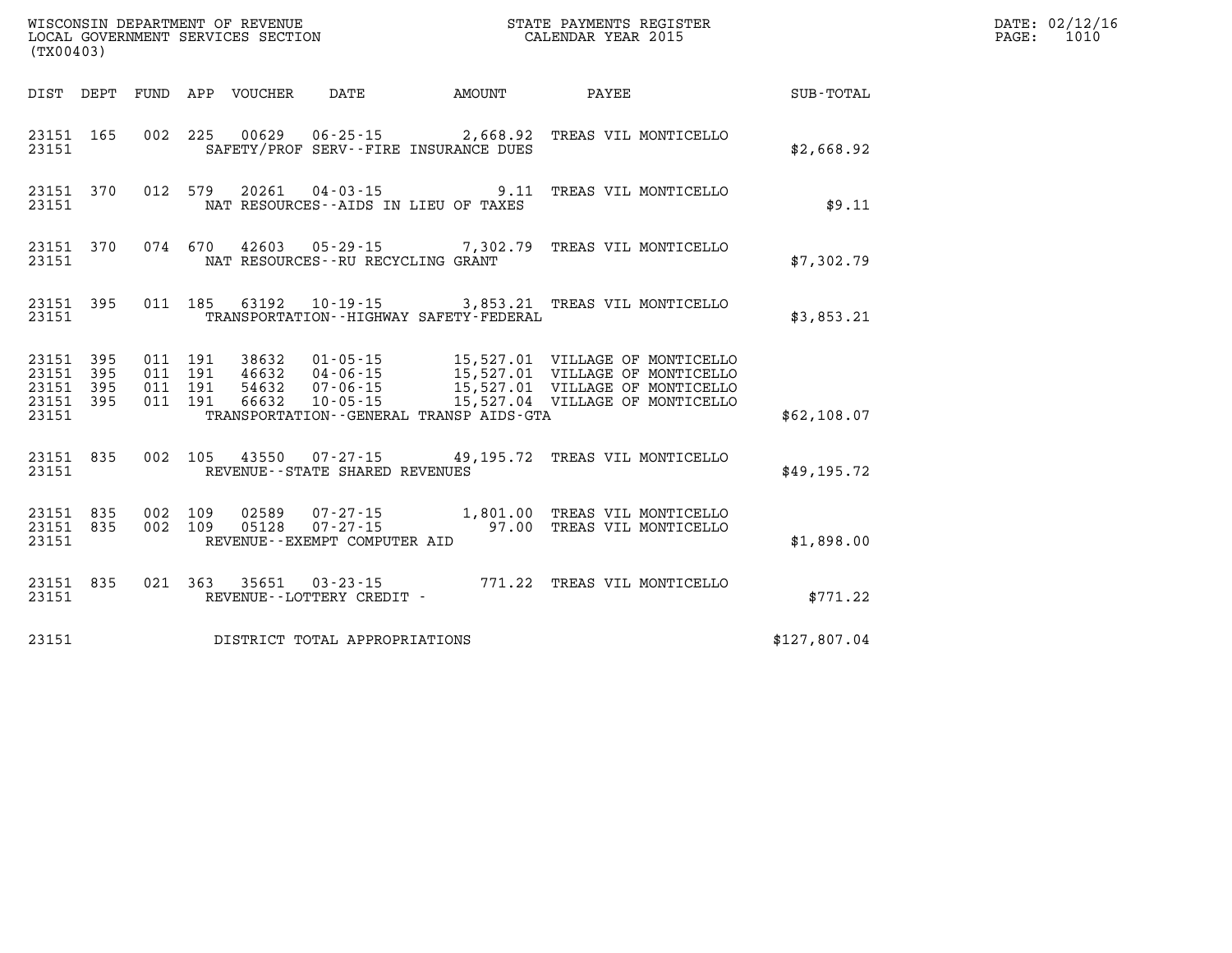| WISCONSIN DEPARTMENT OF REVENUE<br>LOCAL GOVERNMENT SERVICES SECTION<br>(TX00403) |                          |                          |                          |                                  |                                                     |                                                                    |                                                                                                                                                                                          |              |
|-----------------------------------------------------------------------------------|--------------------------|--------------------------|--------------------------|----------------------------------|-----------------------------------------------------|--------------------------------------------------------------------|------------------------------------------------------------------------------------------------------------------------------------------------------------------------------------------|--------------|
| DIST                                                                              | DEPT                     | FUND                     |                          | APP VOUCHER                      | DATE AMOUNT                                         |                                                                    | PAYEE                                                                                                                                                                                    | SUB-TOTAL    |
| 23151<br>23151                                                                    | 165                      | 002                      | 225                      |                                  |                                                     | 00629  06-25-15  2,668.92<br>SAFETY/PROF SERV--FIRE INSURANCE DUES | TREAS VIL MONTICELLO                                                                                                                                                                     | \$2,668.92   |
| 23151<br>23151                                                                    | 370                      | 012                      | 579                      | 20261                            |                                                     | $04 - 03 - 15$ 9.11<br>NAT RESOURCES -- AIDS IN LIEU OF TAXES      | TREAS VIL MONTICELLO                                                                                                                                                                     | \$9.11       |
| 23151<br>23151                                                                    | 370                      |                          | 074 670                  | 42603                            | NAT RESOURCES - - RU RECYCLING GRANT                | 05-29-15 7,302.79                                                  | TREAS VIL MONTICELLO                                                                                                                                                                     | \$7,302.79   |
| 23151<br>23151                                                                    | 395                      | 011                      | 185                      | 63192                            | 10-19-15                                            | TRANSPORTATION - - HIGHWAY SAFETY - FEDERAL                        | 3,853.21 TREAS VIL MONTICELLO                                                                                                                                                            | \$3,853.21   |
| 23151<br>23151<br>23151<br>23151<br>23151                                         | 395<br>395<br>395<br>395 | 011<br>011<br>011<br>011 | 191<br>191<br>191<br>191 | 38632<br>46632<br>54632<br>66632 |                                                     | TRANSPORTATION - - GENERAL TRANSP AIDS - GTA                       | 01-05-15 15,527.01 VILLAGE OF MONTICELLO<br>04-06-15<br>07-06-15 15,527.01 VILLAGE OF MONTICELLO<br>07-06-15 15,527.01 VILLAGE OF MONTICELLO<br>10-05-15 15,527.04 VILLAGE OF MONTICELLO | \$62,108.07  |
| 23151<br>23151                                                                    | 835                      | 002                      | 105                      |                                  | 43550 07-27-15<br>REVENUE - - STATE SHARED REVENUES | 49,195.72                                                          | TREAS VIL MONTICELLO                                                                                                                                                                     | \$49.195.72  |
| 23151<br>23151<br>23151                                                           | 835<br>835               | 002<br>002               | 109<br>109               | 02589<br>05128                   | REVENUE--EXEMPT COMPUTER AID                        |                                                                    | 07-27-15 1,801.00 TREAS VIL MONTICELLO<br>07-27-15 97.00 TREAS VIL MONTICELLO                                                                                                            | \$1,898.00   |
| 23151<br>23151                                                                    | 835                      | 021                      | 363                      | 35651                            | $03 - 23 - 15$<br>REVENUE--LOTTERY CREDIT -         |                                                                    | 771.22 TREAS VIL MONTICELLO                                                                                                                                                              | \$771.22     |
| 23151                                                                             |                          |                          |                          |                                  | DISTRICT TOTAL APPROPRIATIONS                       |                                                                    |                                                                                                                                                                                          | \$127,807.04 |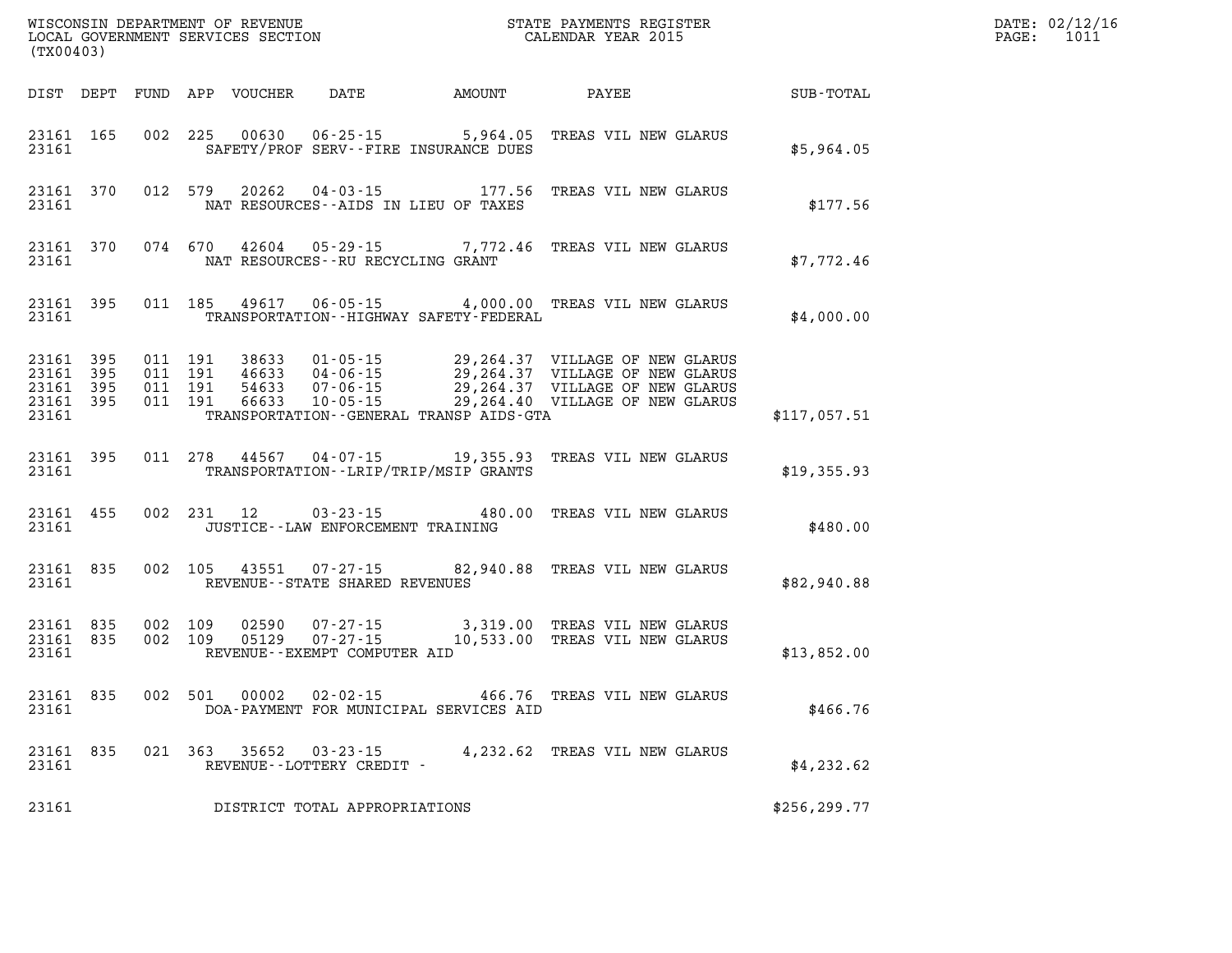| (TX00403)                                                 |                        |         |                               | WISCONSIN DEPARTMENT OF REVENUE<br>LOCAL GOVERNMENT SERVICES SECTION |                                                       |                                                                  | STATE PAYMENTS REGISTER<br>CALENDAR YEAR 2015                                                                                                                                |               | DATE: 02/12/16<br>PAGE: 1011 |
|-----------------------------------------------------------|------------------------|---------|-------------------------------|----------------------------------------------------------------------|-------------------------------------------------------|------------------------------------------------------------------|------------------------------------------------------------------------------------------------------------------------------------------------------------------------------|---------------|------------------------------|
|                                                           |                        |         |                               |                                                                      |                                                       | DIST DEPT FUND APP VOUCHER DATE AMOUNT PAYEE                     |                                                                                                                                                                              | SUB-TOTAL     |                              |
| 23161                                                     | 23161 165              |         |                               | 002 225 00630                                                        |                                                       | $06 - 25 - 15$ 5,964.05<br>SAFETY/PROF SERV--FIRE INSURANCE DUES | TREAS VIL NEW GLARUS                                                                                                                                                         | \$5,964.05    |                              |
| 23161 370<br>23161                                        |                        |         | 012 579                       | 20262                                                                |                                                       | $04 - 03 - 15$ 177.56<br>NAT RESOURCES--AIDS IN LIEU OF TAXES    | TREAS VIL NEW GLARUS                                                                                                                                                         | \$177.56      |                              |
| 23161                                                     | 23161 370              |         |                               | 074 670 42604                                                        | 05 - 29 - 15<br>NAT RESOURCES -- RU RECYCLING GRANT   |                                                                  | 7,772.46 TREAS VIL NEW GLARUS                                                                                                                                                | \$7,772.46    |                              |
| 23161                                                     | 23161 395              |         |                               |                                                                      |                                                       | TRANSPORTATION - - HIGHWAY SAFETY - FEDERAL                      | 011 185 49617 06-05-15 4,000.00 TREAS VIL NEW GLARUS                                                                                                                         | \$4,000.00    |                              |
| 23161 395<br>23161 395<br>23161 395<br>23161 395<br>23161 |                        | 011 191 | 011 191<br>011 191<br>011 191 | 38633<br>46633<br>54633<br>66633                                     |                                                       | TRANSPORTATION--GENERAL TRANSP AIDS-GTA                          | 01-05-15 29,264.37 VILLAGE OF NEW GLARUS<br>04-06-15 29,264.37 VILLAGE OF NEW GLARUS<br>07-06-15 29,264.37 VILLAGE OF NEW GLARUS<br>10-05-15 29,264.40 VILLAGE OF NEW GLARUS | \$117,057.51  |                              |
| 23161                                                     | 23161 395              |         |                               |                                                                      |                                                       | TRANSPORTATION - - LRIP/TRIP/MSIP GRANTS                         | 011 278 44567 04-07-15 19,355.93 TREAS VIL NEW GLARUS                                                                                                                        | \$19,355.93   |                              |
| 23161 455<br>23161                                        |                        |         |                               | 002 231 12                                                           | $03 - 23 - 15$<br>JUSTICE -- LAW ENFORCEMENT TRAINING | 480.00                                                           | TREAS VIL NEW GLARUS                                                                                                                                                         | \$480.00      |                              |
| 23161 835<br>23161                                        |                        |         |                               |                                                                      | REVENUE--STATE SHARED REVENUES                        |                                                                  | 002 105 43551 07-27-15 82,940.88 TREAS VIL NEW GLARUS                                                                                                                        | \$82,940.88   |                              |
| 23161                                                     | 23161 835<br>23161 835 | 002 109 | 002 109                       | 02590<br>05129                                                       | REVENUE--EXEMPT COMPUTER AID                          |                                                                  | 07-27-15 3,319.00 TREAS VIL NEW GLARUS<br>07-27-15 10,533.00 TREAS VIL NEW GLARUS                                                                                            | \$13,852.00   |                              |
| 23161 835<br>23161                                        |                        |         | 002 501                       | 00002                                                                | 02-02-15                                              | DOA-PAYMENT FOR MUNICIPAL SERVICES AID                           | 466.76 TREAS VIL NEW GLARUS                                                                                                                                                  | \$466.76      |                              |
| 23161                                                     | 23161 835              |         |                               |                                                                      | 021 363 35652 03-23-15<br>REVENUE--LOTTERY CREDIT -   |                                                                  | 4,232.62 TREAS VIL NEW GLARUS                                                                                                                                                | \$4,232.62    |                              |
| 23161                                                     |                        |         |                               |                                                                      | DISTRICT TOTAL APPROPRIATIONS                         |                                                                  |                                                                                                                                                                              | \$256, 299.77 |                              |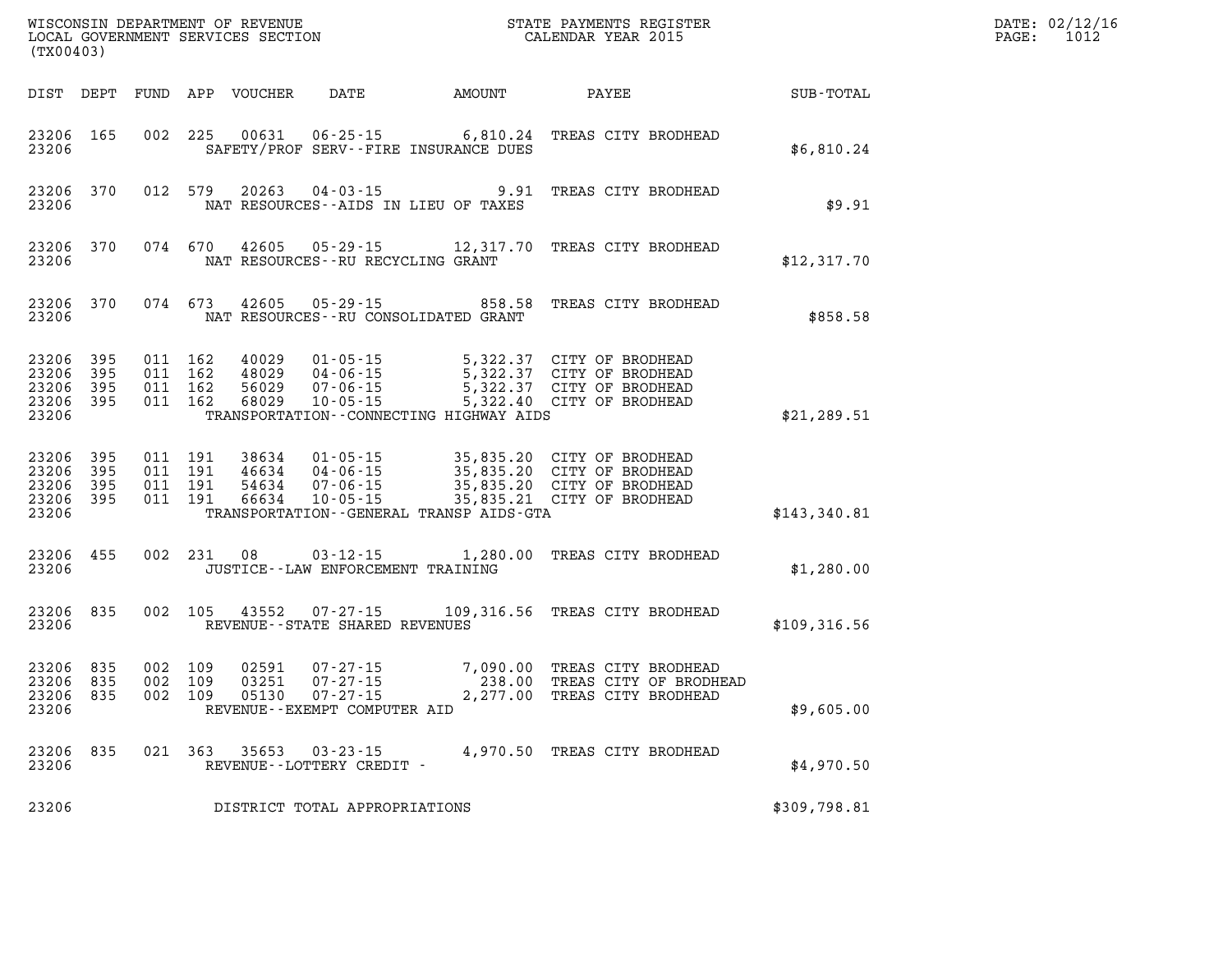|                                               | WISCONSIN DEPARTMENT OF REVENUE<br>LOCAL GOVERNMENT SERVICES SECTION<br>(TX00403) |                                          |         |                                  |                                                                            |                                                                  | STATE PAYMENTS REGISTER<br>CALENDAR YEAR 2015                                                                    |              | DATE: 02/12/16<br>$\mathtt{PAGE:}$<br>1012 |
|-----------------------------------------------|-----------------------------------------------------------------------------------|------------------------------------------|---------|----------------------------------|----------------------------------------------------------------------------|------------------------------------------------------------------|------------------------------------------------------------------------------------------------------------------|--------------|--------------------------------------------|
| DIST DEPT                                     |                                                                                   |                                          |         | FUND APP VOUCHER                 | DATE                                                                       | AMOUNT PAYEE                                                     |                                                                                                                  | SUB-TOTAL    |                                            |
| 23206 165<br>23206                            |                                                                                   | 002 225                                  |         | 00631                            |                                                                            | SAFETY/PROF SERV--FIRE INSURANCE DUES                            | 06-25-15 6,810.24 TREAS CITY BRODHEAD                                                                            | \$6,810.24   |                                            |
| 23206 370<br>23206                            |                                                                                   |                                          | 012 579 | 20263                            |                                                                            | $04 - 03 - 15$ 9.91<br>NAT RESOURCES--AIDS IN LIEU OF TAXES      | TREAS CITY BRODHEAD                                                                                              | \$9.91       |                                            |
| 23206 370<br>23206                            |                                                                                   | 074 670                                  |         | 42605                            |                                                                            | NAT RESOURCES - - RU RECYCLING GRANT                             | 05-29-15 12,317.70 TREAS CITY BRODHEAD                                                                           | \$12,317.70  |                                            |
| 23206 370<br>23206                            |                                                                                   |                                          | 074 673 | 42605                            |                                                                            | $05 - 29 - 15$ 858.58<br>NAT RESOURCES - - RU CONSOLIDATED GRANT | TREAS CITY BRODHEAD                                                                                              | \$858.58     |                                            |
| 23206 395<br>23206<br>23206<br>23206<br>23206 | - 395<br>395<br>- 395                                                             | 011 162<br>011 162<br>011 162<br>011 162 |         | 40029<br>48029<br>56029<br>68029 | 01-05-15<br>$04 - 06 - 15$<br>$07 - 06 - 15$<br>$10 - 05 - 15$             | TRANSPORTATION - - CONNECTING HIGHWAY AIDS                       | 5,322.37 CITY OF BRODHEAD<br>5,322.37 CITY OF BRODHEAD<br>5,322.37 CITY OF BRODHEAD<br>5,322.40 CITY OF BRODHEAD | \$21, 289.51 |                                            |
| 23206 395<br>23206<br>23206<br>23206<br>23206 | 395<br>- 395<br>- 395                                                             | 011 191<br>011 191<br>011 191<br>011 191 |         | 38634<br>46634<br>54634<br>66634 | $01 - 05 - 15$<br>07-06-15<br>10-05-15                                     | TRANSPORTATION - - GENERAL TRANSP AIDS - GTA                     | 35,835.20 CITY OF BRODHEAD<br>35,835.20 CITY OF BRODHEAD<br>35,835.21 CITY OF BRODHEAD                           | \$143,340.81 |                                            |
| 23206 455<br>23206                            |                                                                                   |                                          | 002 231 | 08                               |                                                                            | JUSTICE - - LAW ENFORCEMENT TRAINING                             | 03-12-15 1,280.00 TREAS CITY BRODHEAD                                                                            | \$1,280.00   |                                            |
| 23206 835<br>23206                            |                                                                                   | 002 105                                  |         | 43552                            | 07-27-15<br>REVENUE--STATE SHARED REVENUES                                 |                                                                  | 109,316.56 TREAS CITY BRODHEAD                                                                                   | \$109,316.56 |                                            |
| 23206<br>23206 835<br>23206 835<br>23206      | 835                                                                               | 002 109<br>002 109<br>002 109            |         | 02591<br>03251<br>05130          | 07 - 27 - 15<br>07-27-15<br>$07 - 27 - 15$<br>REVENUE--EXEMPT COMPUTER AID |                                                                  | 7,090.00 TREAS CITY BRODHEAD<br>238.00 TREAS CITY OF BRODHEAD<br>2,277.00 TREAS CITY BRODHEAD                    | \$9,605.00   |                                            |
| 23206 835<br>23206                            |                                                                                   | 021 363                                  |         |                                  | 35653 03-23-15<br>REVENUE--LOTTERY CREDIT -                                |                                                                  | 4,970.50 TREAS CITY BRODHEAD                                                                                     | \$4,970.50   |                                            |
| 23206                                         |                                                                                   |                                          |         |                                  | DISTRICT TOTAL APPROPRIATIONS                                              |                                                                  |                                                                                                                  | \$309,798.81 |                                            |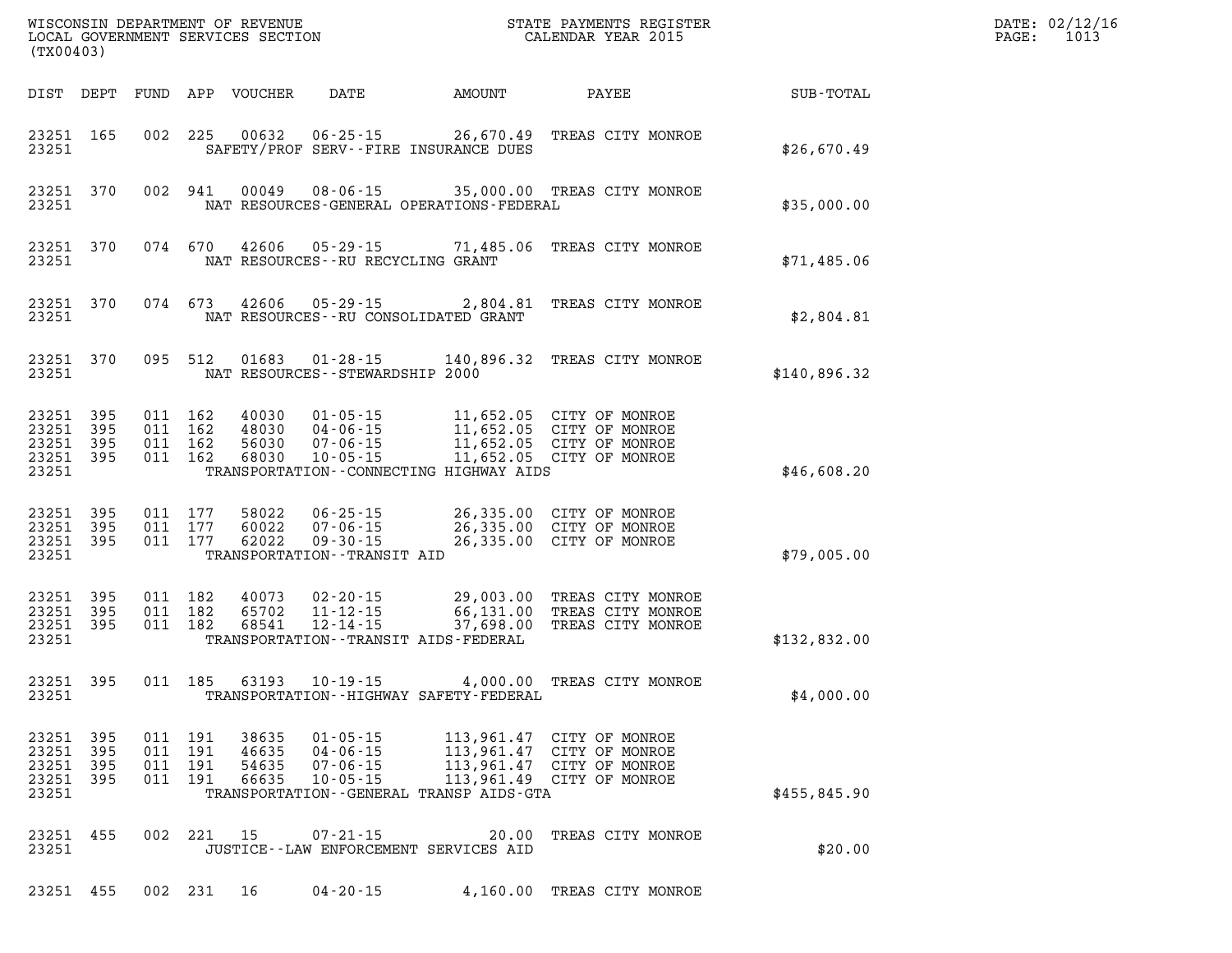|                                  | WISCONSIN DEPARTMENT OF REVENUE<br>LOCAL GOVERNMENT SERVICES SECTION<br>(TX00403) |                          |                                          |                                  |                                                                                      |                                                                                                 | STATE PAYMENTS REGISTER<br>CALENDAR YEAR 2015                                                                    |              | DATE: 02/12/16<br>1013<br>PAGE: |
|----------------------------------|-----------------------------------------------------------------------------------|--------------------------|------------------------------------------|----------------------------------|--------------------------------------------------------------------------------------|-------------------------------------------------------------------------------------------------|------------------------------------------------------------------------------------------------------------------|--------------|---------------------------------|
|                                  | DIST DEPT                                                                         |                          |                                          | FUND APP VOUCHER                 | DATE                                                                                 | AMOUNT                                                                                          | PAYEE                                                                                                            | SUB-TOTAL    |                                 |
| 23251                            | 23251 165                                                                         |                          | 002 225                                  | 00632                            | $06 - 25 - 15$                                                                       | SAFETY/PROF SERV--FIRE INSURANCE DUES                                                           | 26,670.49 TREAS CITY MONROE                                                                                      | \$26,670.49  |                                 |
| 23251                            | 23251 370                                                                         |                          | 002 941                                  | 00049                            |                                                                                      | NAT RESOURCES-GENERAL OPERATIONS-FEDERAL                                                        | 08-06-15 35,000.00 TREAS CITY MONROE                                                                             | \$35,000.00  |                                 |
| 23251                            | 23251 370                                                                         |                          | 074 670                                  | 42606                            | 05 - 29 - 15<br>NAT RESOURCES - - RU RECYCLING GRANT                                 |                                                                                                 | 71,485.06 TREAS CITY MONROE                                                                                      | \$71,485.06  |                                 |
| 23251                            | 23251 370                                                                         |                          | 074 673                                  | 42606                            |                                                                                      | NAT RESOURCES - - RU CONSOLIDATED GRANT                                                         | 05-29-15 2,804.81 TREAS CITY MONROE                                                                              | \$2,804.81   |                                 |
| 23251                            | 23251 370                                                                         |                          | 095 512                                  | 01683                            | NAT RESOURCES - - STEWARDSHIP 2000                                                   |                                                                                                 | 01-28-15 140,896.32 TREAS CITY MONROE                                                                            | \$140,896.32 |                                 |
| 23251                            | 23251 395<br>23251 395<br>23251 395<br>23251 395                                  |                          | 011 162<br>011 162<br>011 162<br>011 162 | 40030<br>48030<br>56030<br>68030 | $01 - 05 - 15$<br>$04 - 06 - 15$<br>$07 - 06 - 15$<br>$10 - 05 - 15$                 | 11,652.05 CITY OF MONROE<br>11,652.05 CITY OF MONROE<br>TRANSPORTATION--CONNECTING HIGHWAY AIDS | 11,652.05 CITY OF MONROE<br>11,652.05 CITY OF MONROE<br>11,652.05 CITY OF MONROE                                 | \$46,608.20  |                                 |
| 23251                            | 23251 395<br>23251 395<br>23251 395                                               |                          | 011 177<br>011 177<br>011 177            | 58022<br>60022<br>62022          | $06 - 25 - 15$<br>$07 - 06 - 15$<br>$09 - 30 - 15$<br>TRANSPORTATION - - TRANSIT AID |                                                                                                 | 26,335.00 CITY OF MONROE<br>26,335.00 CITY OF MONROE<br>26,335.00 CITY OF MONROE                                 | \$79,005.00  |                                 |
| 23251                            | 23251 395<br>23251 395<br>23251 395                                               |                          | 011 182<br>011 182<br>011 182            | 40073<br>65702<br>68541          | $02 - 20 - 15$<br>$11 - 12 - 15$<br>$12 - 14 - 15$                                   | TRANSPORTATION - - TRANSIT AIDS - FEDERAL                                                       | 29,003.00 TREAS CITY MONROE<br>66,131.00 TREAS CITY MONROE<br>37,698.00 TREAS CITY MONROE                        | \$132,832.00 |                                 |
| 23251                            | 23251 395                                                                         |                          | 011 185                                  | 63193                            | $10 - 19 - 15$                                                                       | TRANSPORTATION - - HIGHWAY SAFETY - FEDERAL                                                     | 4,000.00 TREAS CITY MONROE                                                                                       | \$4,000.00   |                                 |
| 23251<br>23251<br>23251<br>23251 | 395<br>395<br>395<br>23251 395                                                    | 011<br>011<br>011<br>011 | 191<br>191<br>191<br>191                 | 38635<br>46635<br>54635<br>66635 | $01 - 05 - 15$<br>$04 - 06 - 15$<br>$07 - 06 - 15$<br>$10 - 05 - 15$                 | TRANSPORTATION - - GENERAL TRANSP AIDS - GTA                                                    | 113,961.47 CITY OF MONROE<br>113,961.47 CITY OF MONROE<br>113,961.47 CITY OF MONROE<br>113,961.49 CITY OF MONROE | \$455,845.90 |                                 |
| 23251<br>23251                   | 455                                                                               |                          | 002 221                                  | 15                               | $07 - 21 - 15$                                                                       | 20.00<br>JUSTICE -- LAW ENFORCEMENT SERVICES AID                                                | TREAS CITY MONROE                                                                                                | \$20.00      |                                 |
| 23251                            | 455                                                                               |                          | 002 231                                  | 16                               | $04 - 20 - 15$                                                                       | 4,160.00                                                                                        | TREAS CITY MONROE                                                                                                |              |                                 |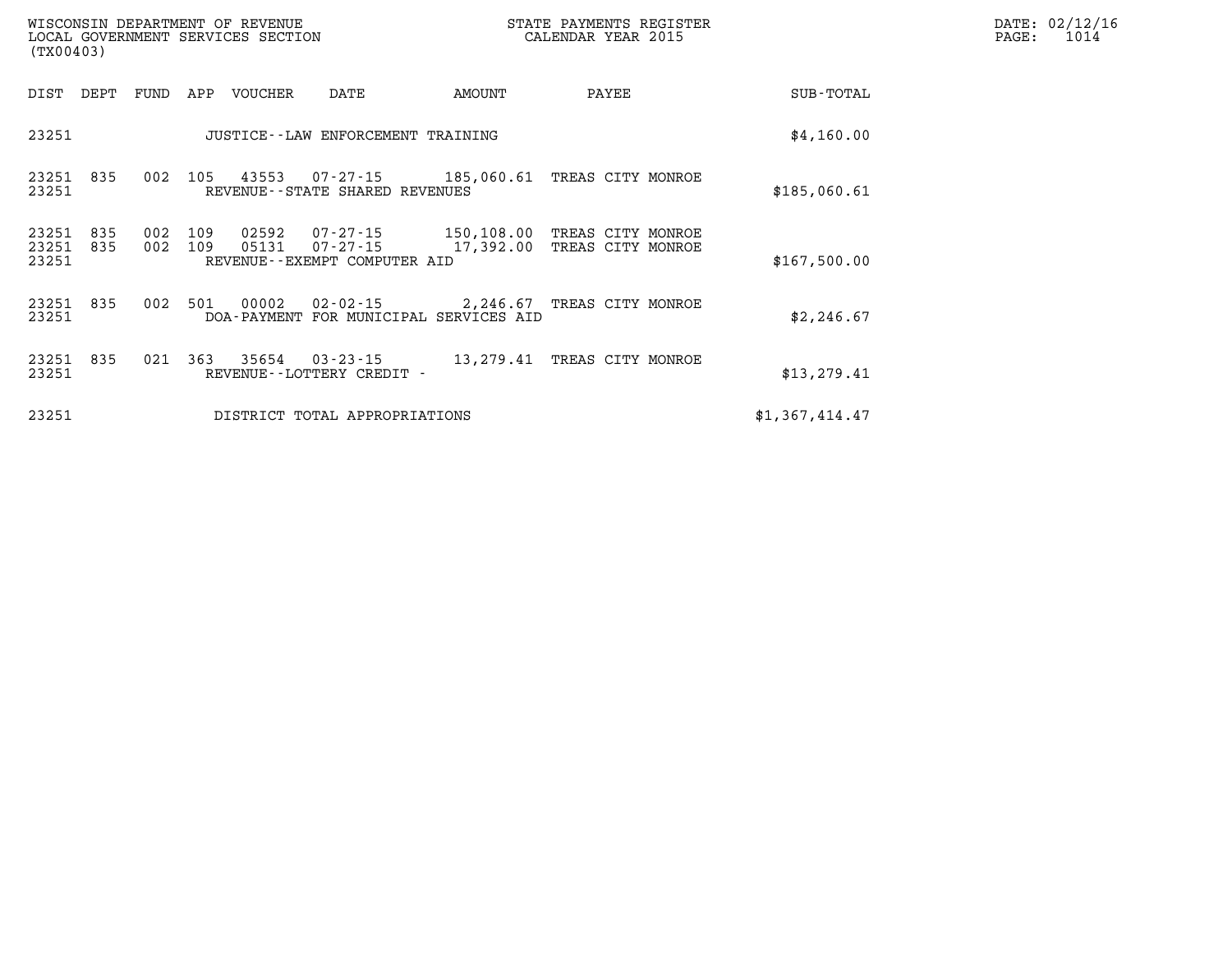|                         | WISCONSIN DEPARTMENT OF REVENUE<br>LOCAL GOVERNMENT SERVICES SECTION<br>(TX00403) |            |            |                |                                                                                       |           | STATE PAYMENTS REGISTER<br>CALENDAR YEAR 2015 |                | DATE: 02/12/16<br>PAGE:<br>1014 |
|-------------------------|-----------------------------------------------------------------------------------|------------|------------|----------------|---------------------------------------------------------------------------------------|-----------|-----------------------------------------------|----------------|---------------------------------|
| DIST                    | DEPT                                                                              | FUND       | APP        | VOUCHER        | DATE                                                                                  | AMOUNT    | PAYEE                                         | SUB-TOTAL      |                                 |
| 23251                   |                                                                                   |            |            |                | JUSTICE - - LAW ENFORCEMENT TRAINING                                                  |           |                                               | \$4,160.00     |                                 |
| 23251 835<br>23251      |                                                                                   | 002        | 105        | 43553          | $07 - 27 - 15$ 185,060.61<br>REVENUE - - STATE SHARED REVENUES                        |           | TREAS CITY MONROE                             | \$185,060.61   |                                 |
| 23251<br>23251<br>23251 | 835<br>835                                                                        | 002<br>002 | 109<br>109 | 02592<br>05131 | $07 - 27 - 15$ 150,108.00<br>$07 - 27 - 15$ 17,392.00<br>REVENUE--EXEMPT COMPUTER AID |           | TREAS CITY MONROE<br>TREAS CITY MONROE        | \$167,500.00   |                                 |
| 23251<br>23251          | 835                                                                               | 002        | 501        | 00002          | 02-02-15<br>DOA-PAYMENT FOR MUNICIPAL SERVICES AID                                    |           | 2,246.67 TREAS CITY MONROE                    | \$2,246.67     |                                 |
| 23251 835<br>23251      |                                                                                   | 021        | 363        | 35654          | $03 - 23 - 15$<br>REVENUE--LOTTERY CREDIT -                                           | 13,279.41 | TREAS CITY MONROE                             | \$13, 279.41   |                                 |
| 23251                   |                                                                                   |            |            |                | DISTRICT TOTAL APPROPRIATIONS                                                         |           |                                               | \$1,367,414.47 |                                 |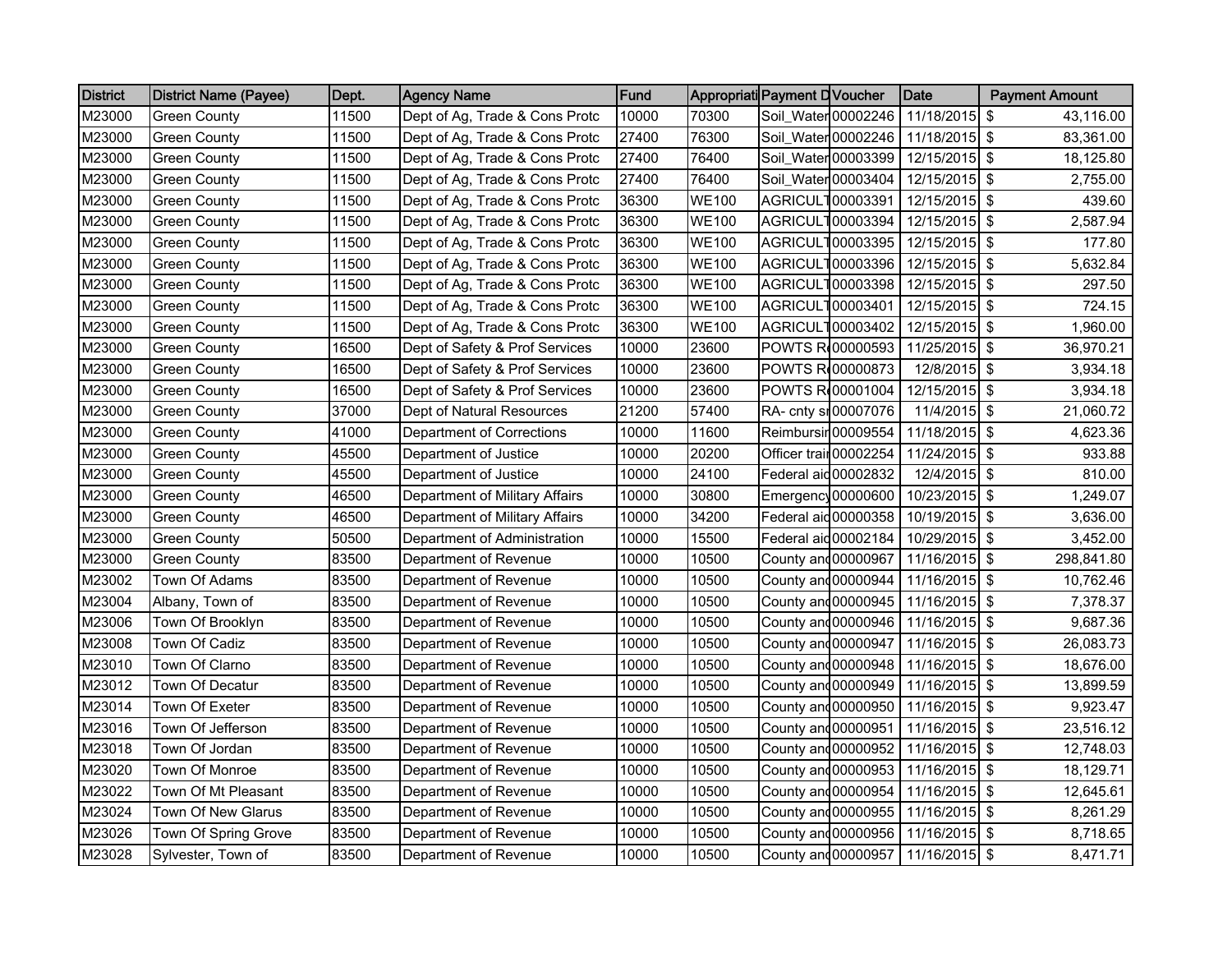| <b>District</b> | <b>District Name (Payee)</b> | Dept. | <b>Agency Name</b>               | Fund  |              | Appropriati Payment D Voucher |                     | <b>Date</b>                           | <b>Payment Amount</b> |
|-----------------|------------------------------|-------|----------------------------------|-------|--------------|-------------------------------|---------------------|---------------------------------------|-----------------------|
| M23000          | Green County                 | 11500 | Dept of Ag, Trade & Cons Protc   | 10000 | 70300        | Soil_Water 00002246           |                     | 11/18/2015 \$                         | 43,116.00             |
| M23000          | Green County                 | 11500 | Dept of Ag, Trade & Cons Protc   | 27400 | 76300        |                               | Soil_Water 00002246 | 11/18/2015 \$                         | 83,361.00             |
| M23000          | Green Countv                 | 11500 | Dept of Ag. Trade & Cons Protc   | 27400 | 76400        | Soil Water 00003399           |                     | 12/15/2015 \$                         | 18,125.80             |
| M23000          | Green County                 | 11500 | Dept of Ag, Trade & Cons Protc   | 27400 | 76400        | Soil_Water 00003404           |                     | 12/15/2015 \$                         | 2,755.00              |
| M23000          | Green County                 | 11500 | Dept of Ag, Trade & Cons Protc   | 36300 | <b>WE100</b> | AGRICUL100003391              |                     | 12/15/2015 \$                         | 439.60                |
| M23000          | Green County                 | 11500 | Dept of Ag, Trade & Cons Protc   | 36300 | <b>WE100</b> | AGRICUL100003394              |                     | 12/15/2015 \$                         | 2,587.94              |
| M23000          | Green County                 | 11500 | Dept of Ag, Trade & Cons Protc   | 36300 | <b>WE100</b> | AGRICUL1                      | 00003395            | 12/15/2015 \$                         | 177.80                |
| M23000          | Green County                 | 11500 | Dept of Ag, Trade & Cons Protc   | 36300 | <b>WE100</b> | AGRICUL100003396              |                     | 12/15/2015 \$                         | 5,632.84              |
| M23000          | Green County                 | 11500 | Dept of Ag. Trade & Cons Protc   | 36300 | <b>WE100</b> | AGRICUL100003398              |                     | 12/15/2015 \$                         | 297.50                |
| M23000          | Green County                 | 11500 | Dept of Ag, Trade & Cons Protc   | 36300 | <b>WE100</b> | AGRICUL100003401              |                     | 12/15/2015 \$                         | 724.15                |
| M23000          | Green County                 | 11500 | Dept of Ag, Trade & Cons Protc   | 36300 | <b>WE100</b> | AGRICUL100003402              |                     | 12/15/2015 \$                         | 1,960.00              |
| M23000          | Green County                 | 16500 | Dept of Safety & Prof Services   | 10000 | 23600        | POWTS R 00000593              |                     | 11/25/2015 \$                         | 36,970.21             |
| M23000          | Green County                 | 16500 | Dept of Safety & Prof Services   | 10000 | 23600        | POWTS R 00000873              |                     | 12/8/2015 \$                          | 3,934.18              |
| M23000          | Green County                 | 16500 | Dept of Safety & Prof Services   | 10000 | 23600        | POWTS R 00001004              |                     | 12/15/2015 \$                         | 3,934.18              |
| M23000          | <b>Green County</b>          | 37000 | Dept of Natural Resources        | 21200 | 57400        | RA- cnty si 00007076          |                     | 11/4/2015 \$                          | 21,060.72             |
| M23000          | <b>Green County</b>          | 41000 | <b>Department of Corrections</b> | 10000 | 11600        | Reimbursir 00009554           |                     | 11/18/2015 \$                         | 4,623.36              |
| M23000          | <b>Green County</b>          | 45500 | Department of Justice            | 10000 | 20200        | Officer trail 00002254        |                     | 11/24/2015 \$                         | 933.88                |
| M23000          | Green County                 | 45500 | Department of Justice            | 10000 | 24100        | Federal aid 00002832          |                     | 12/4/2015 \$                          | 810.00                |
| M23000          | Green County                 | 46500 | Department of Military Affairs   | 10000 | 30800        | Emergency 00000600            |                     | 10/23/2015 \$                         | 1,249.07              |
| M23000          | <b>Green County</b>          | 46500 | Department of Military Affairs   | 10000 | 34200        | Federal aid 00000358          |                     | 10/19/2015 \$                         | 3,636.00              |
| M23000          | <b>Green County</b>          | 50500 | Department of Administration     | 10000 | 15500        | Federal aid 00002184          |                     | 10/29/2015 \$                         | 3,452.00              |
| M23000          | <b>Green County</b>          | 83500 | Department of Revenue            | 10000 | 10500        | County and 00000967           |                     | 11/16/2015 \$                         | 298,841.80            |
| M23002          | Town Of Adams                | 83500 | Department of Revenue            | 10000 | 10500        | County and 00000944           |                     | 11/16/2015 \$                         | 10,762.46             |
| M23004          | Albany, Town of              | 83500 | Department of Revenue            | 10000 | 10500        | County and 00000945           |                     | 11/16/2015 \$                         | 7,378.37              |
| M23006          | Town Of Brooklyn             | 83500 | Department of Revenue            | 10000 | 10500        | County and 00000946           |                     | 11/16/2015 \$                         | 9,687.36              |
| M23008          | Town Of Cadiz                | 83500 | Department of Revenue            | 10000 | 10500        | County and 00000947           |                     | 11/16/2015 \$                         | 26,083.73             |
| M23010          | Town Of Clarno               | 83500 | Department of Revenue            | 10000 | 10500        | County and 00000948           |                     | 11/16/2015 \$                         | 18,676.00             |
| M23012          | Town Of Decatur              | 83500 | Department of Revenue            | 10000 | 10500        | County and 00000949           |                     | 11/16/2015 \$                         | 13,899.59             |
| M23014          | Town Of Exeter               | 83500 | Department of Revenue            | 10000 | 10500        | County and 00000950           |                     | 11/16/2015 \$                         | 9,923.47              |
| M23016          | Town Of Jefferson            | 83500 | Department of Revenue            | 10000 | 10500        | County and 00000951           |                     | 11/16/2015 \$                         | 23,516.12             |
| M23018          | Town Of Jordan               | 83500 | Department of Revenue            | 10000 | 10500        | County and 00000952           |                     | 11/16/2015 \$                         | 12,748.03             |
| M23020          | <b>Town Of Monroe</b>        | 83500 | Department of Revenue            | 10000 | 10500        | County and 00000953           |                     | $11/16/2015$ \$                       | 18,129.71             |
| M23022          | Town Of Mt Pleasant          | 83500 | Department of Revenue            | 10000 | 10500        | County and 00000954           |                     | 11/16/2015 \$                         | 12,645.61             |
| M23024          | Town Of New Glarus           | 83500 | Department of Revenue            | 10000 | 10500        | County and 00000955           |                     | $11/16/2015$ \$                       | 8,261.29              |
| M23026          | Town Of Spring Grove         | 83500 | Department of Revenue            | 10000 | 10500        |                               |                     | County and 00000956   11/16/2015   \$ | 8,718.65              |
| M23028          | Sylvester, Town of           | 83500 | Department of Revenue            | 10000 | 10500        |                               |                     | County and 00000957   11/16/2015   \$ | 8,471.71              |